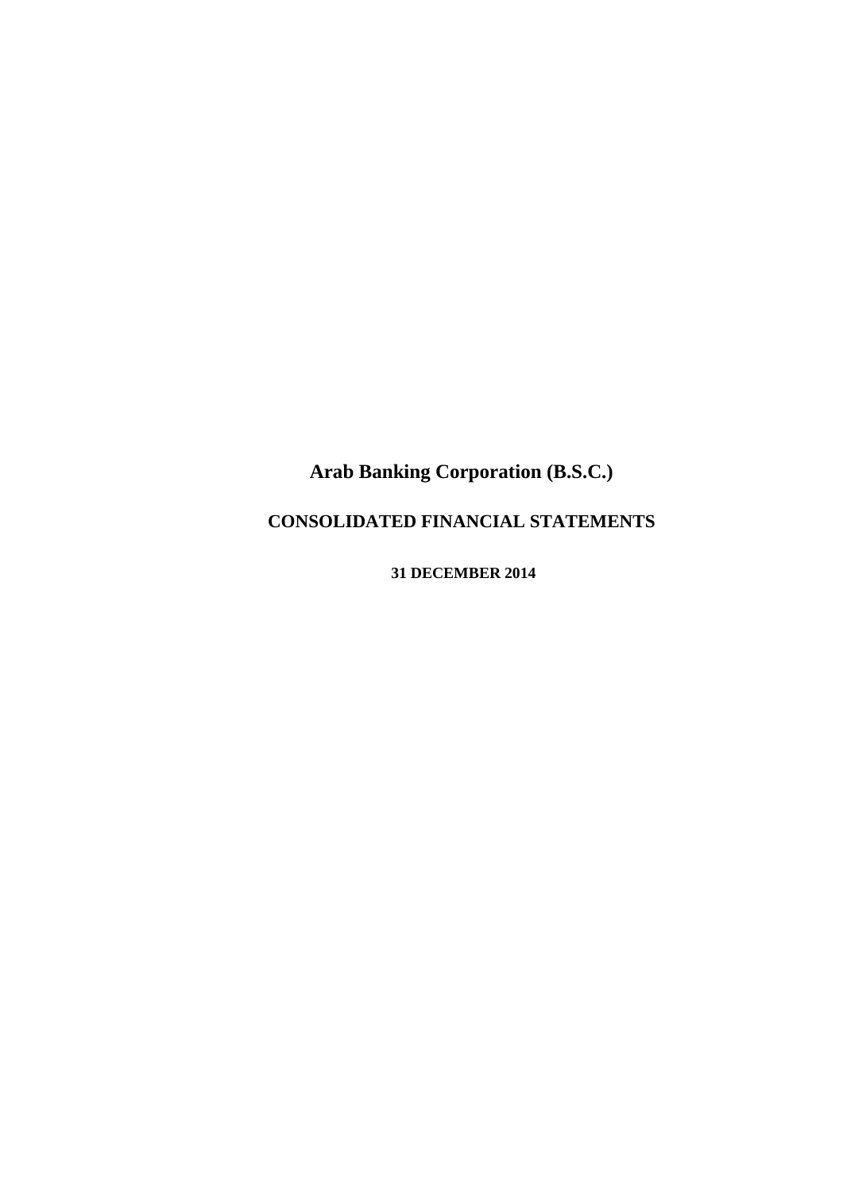**CONSOLIDATED FINANCIAL STATEMENTS**

 **31 DECEMBER 2014**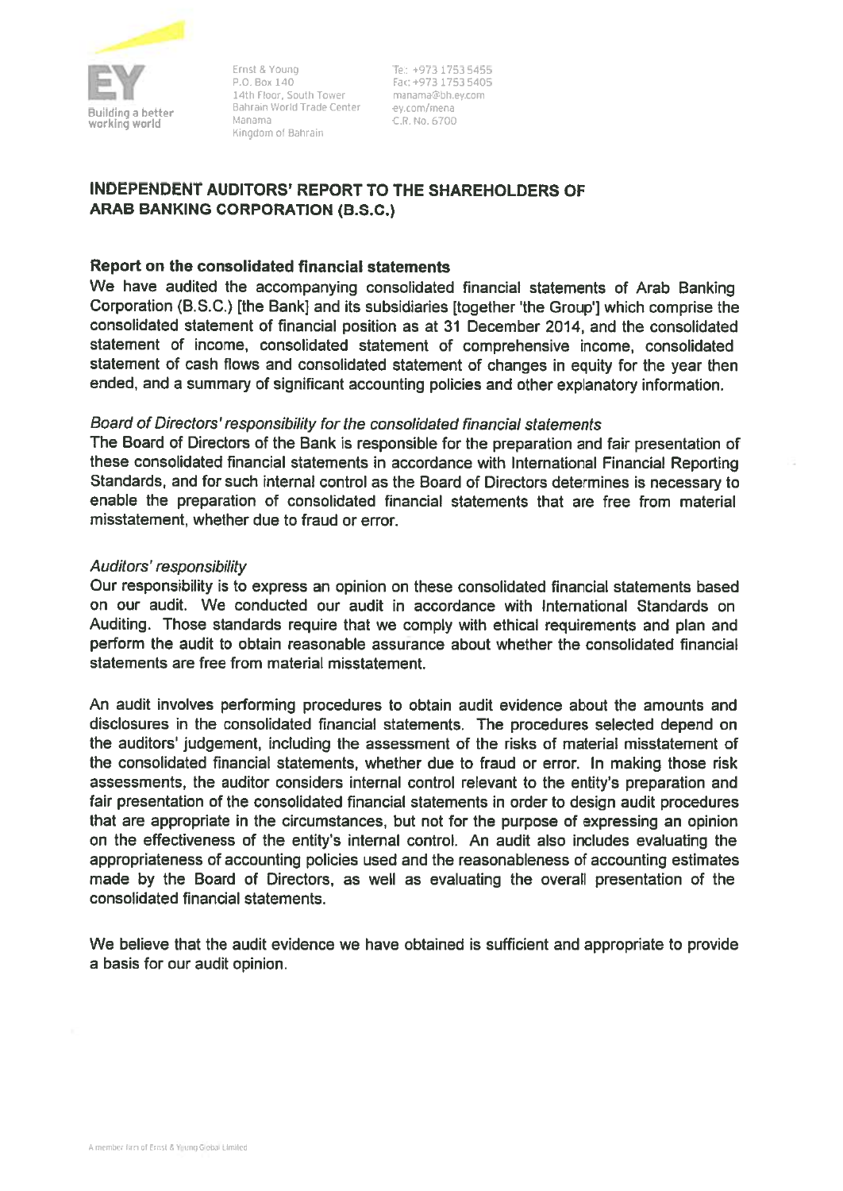

Ernst & Young P.O. Box 140 14th Floor, South Tower Bahrain World Trade Center Manama Kingdom of Bahrain

Tel: +973 1753 5455 Fax: +973 1753 5405 manama@bh.ey.com ev.com/mena C.R. No. 6700

# **INDEPENDENT AUDITORS' REPORT TO THE SHAREHOLDERS OF ARAB BANKING CORPORATION (B.S.C.)**

## Report on the consolidated financial statements

We have audited the accompanying consolidated financial statements of Arab Banking Corporation (B.S.C.) [the Bank] and its subsidiaries [together 'the Group'] which comprise the consolidated statement of financial position as at 31 December 2014, and the consolidated statement of income, consolidated statement of comprehensive income, consolidated statement of cash flows and consolidated statement of changes in equity for the year then ended, and a summary of significant accounting policies and other explanatory information.

## Board of Directors' responsibility for the consolidated financial statements

The Board of Directors of the Bank is responsible for the preparation and fair presentation of these consolidated financial statements in accordance with International Financial Reporting Standards, and for such internal control as the Board of Directors determines is necessary to enable the preparation of consolidated financial statements that are free from material misstatement, whether due to fraud or error.

### **Auditors' responsibility**

Our responsibility is to express an opinion on these consolidated financial statements based on our audit. We conducted our audit in accordance with International Standards on Auditing. Those standards require that we comply with ethical requirements and plan and perform the audit to obtain reasonable assurance about whether the consolidated financial statements are free from material misstatement.

An audit involves performing procedures to obtain audit evidence about the amounts and disclosures in the consolidated financial statements. The procedures selected depend on the auditors' judgement, including the assessment of the risks of material misstatement of the consolidated financial statements, whether due to fraud or error. In making those risk assessments, the auditor considers internal control relevant to the entity's preparation and fair presentation of the consolidated financial statements in order to design audit procedures that are appropriate in the circumstances, but not for the purpose of expressing an opinion on the effectiveness of the entity's internal control. An audit also includes evaluating the appropriateness of accounting policies used and the reasonableness of accounting estimates made by the Board of Directors, as well as evaluating the overall presentation of the consolidated financial statements.

We believe that the audit evidence we have obtained is sufficient and appropriate to provide a basis for our audit opinion.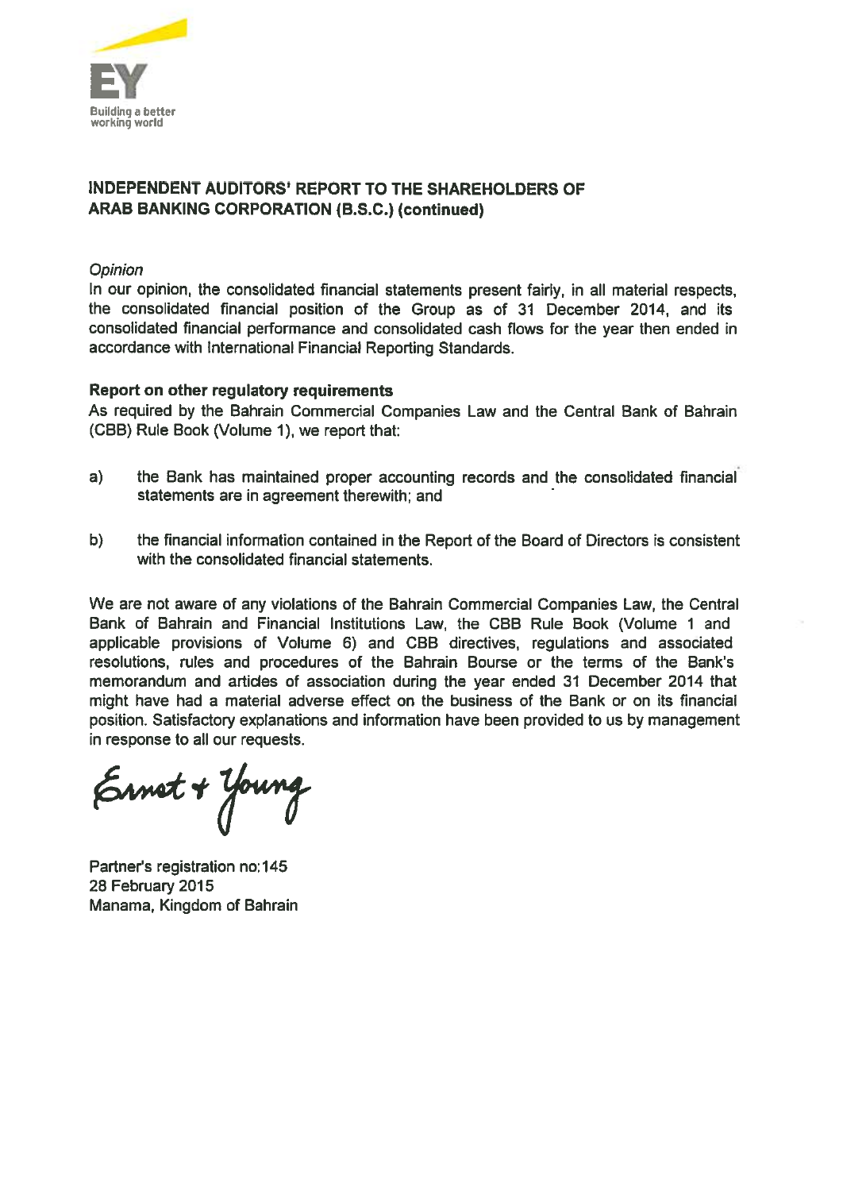

## **INDEPENDENT AUDITORS' REPORT TO THE SHAREHOLDERS OF ARAB BANKING CORPORATION (B.S.C.) (continued)**

## Opinion

In our opinion, the consolidated financial statements present fairly, in all material respects. the consolidated financial position of the Group as of 31 December 2014, and its consolidated financial performance and consolidated cash flows for the year then ended in accordance with International Financial Reporting Standards.

## Report on other regulatory requirements

As required by the Bahrain Commercial Companies Law and the Central Bank of Bahrain (CBB) Rule Book (Volume 1), we report that:

- $a)$ the Bank has maintained proper accounting records and the consolidated financial statements are in agreement therewith; and
- $b)$ the financial information contained in the Report of the Board of Directors is consistent with the consolidated financial statements.

We are not aware of any violations of the Bahrain Commercial Companies Law, the Central Bank of Bahrain and Financial Institutions Law, the CBB Rule Book (Volume 1 and applicable provisions of Volume 6) and CBB directives, regulations and associated resolutions, rules and procedures of the Bahrain Bourse or the terms of the Bank's memorandum and articles of association during the year ended 31 December 2014 that might have had a material adverse effect on the business of the Bank or on its financial position. Satisfactory explanations and information have been provided to us by management in response to all our requests.

Ernet + Young

Partner's registration no:145 28 February 2015 Manama, Kingdom of Bahrain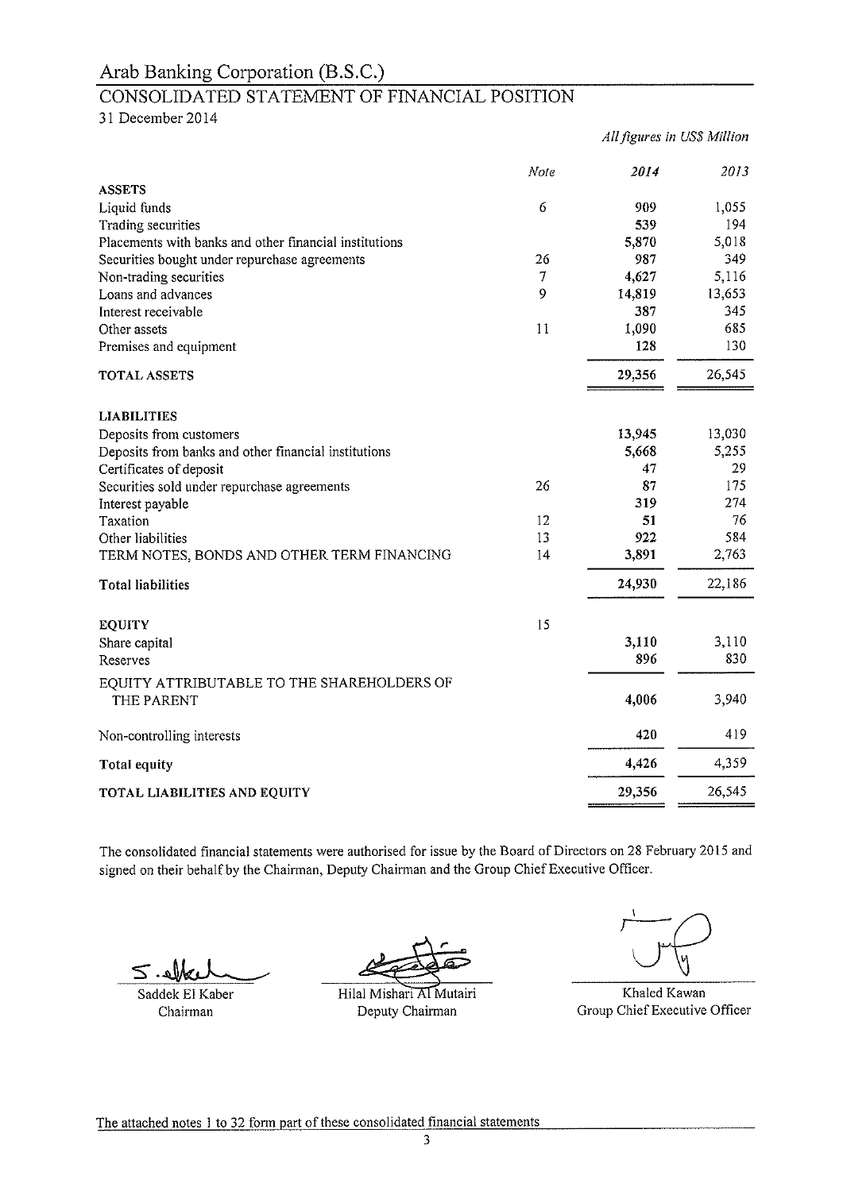# CONSOLIDATED STATEMENT OF FINANCIAL POSITION

31 December 2014

All figures in US\$ Million

|                                                          | Note | 2014   | 2013   |
|----------------------------------------------------------|------|--------|--------|
| <b>ASSETS</b>                                            |      |        |        |
| Liquid funds                                             | 6    | 909    | 1,055  |
| Trading securities                                       |      | 539    | 194    |
| Placements with banks and other financial institutions   |      | 5,870  | 5,018  |
| Securities bought under repurchase agreements            | 26   | 987    | 349    |
| Non-trading securities                                   | 7    | 4,627  | 5,116  |
| Loans and advances                                       | 9    | 14,819 | 13,653 |
| Interest receivable                                      |      | 387    | 345    |
| Other assets                                             | 11   | 1,090  | 685    |
| Premises and equipment                                   |      | 128    | 130    |
| <b>TOTAL ASSETS</b>                                      |      | 29,356 | 26,545 |
| <b>LIABILITIES</b>                                       |      |        |        |
| Deposits from customers                                  |      | 13,945 | 13,030 |
| Deposits from banks and other financial institutions     |      | 5,668  | 5,255  |
| Certificates of deposit                                  |      | 47     | 29     |
| Securities sold under repurchase agreements              | 26   | 87     | 175    |
| Interest payable                                         |      | 319    | 274    |
| Taxation                                                 | 12   | 51     | 76     |
| Other liabilities                                        | 13   | 922    | 584    |
| TERM NOTES, BONDS AND OTHER TERM FINANCING               | 14   | 3,891  | 2,763  |
| <b>Total liabilities</b>                                 |      | 24,930 | 22,186 |
|                                                          |      |        |        |
| <b>EQUITY</b>                                            | 15   |        |        |
| Share capital                                            |      | 3,110  | 3,110  |
| Reserves                                                 |      | 896    | 830    |
| EQUITY ATTRIBUTABLE TO THE SHAREHOLDERS OF<br>THE PARENT |      | 4,006  | 3,940  |
| Non-controlling interests                                |      | 420    | 419    |
| Total equity                                             |      | 4,426  | 4,359  |
| TOTAL LIABILITIES AND EQUITY                             |      | 29,356 | 26,545 |
|                                                          |      |        |        |

The consolidated financial statements were authorised for issue by the Board of Directors on 28 February 2015 and signed on their behalf by the Chairman, Deputy Chairman and the Group Chief Executive Officer.

 $\leq$  . Note Saddek El Kaber

Chairman

Hilal Mishari Al Mutairi Deputy Chairman

Khaled Kawan Group Chief Executive Officer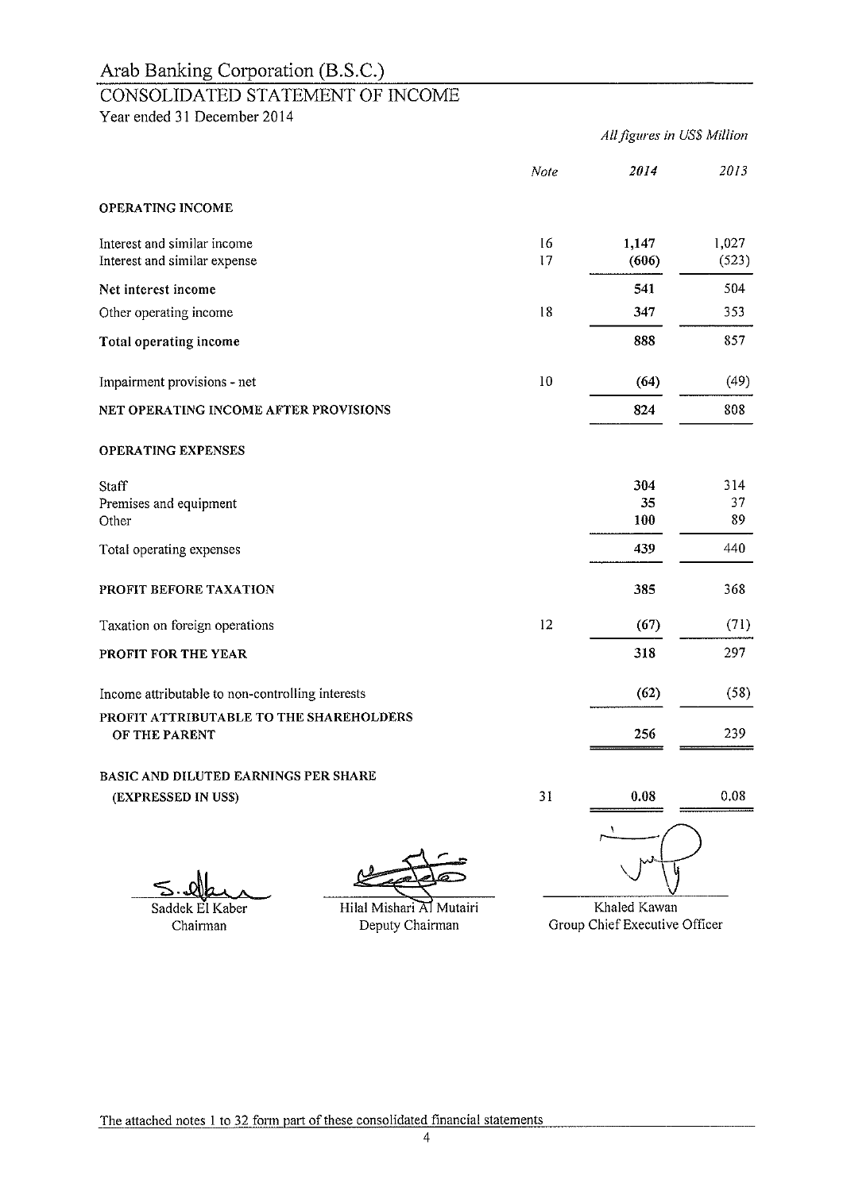# CONSOLIDATED STATEMENT OF INCOME

Year ended 31 December 2014

|                                                             |          | All figures in US\$ Million |                 |  |
|-------------------------------------------------------------|----------|-----------------------------|-----------------|--|
|                                                             | Note     | 2014                        | 2013            |  |
| <b>OPERATING INCOME</b>                                     |          |                             |                 |  |
| Interest and similar income<br>Interest and similar expense | 16<br>17 | 1,147<br>(606)              | 1,027<br>(523)  |  |
| Net interest income                                         |          | 541                         | 504             |  |
| Other operating income                                      | 18       | 347                         | 353             |  |
| Total operating income                                      |          | 888                         | 857             |  |
| Impairment provisions - net                                 | 10       | (64)                        | (49)            |  |
| NET OPERATING INCOME AFTER PROVISIONS                       |          | 824                         | 808             |  |
| <b>OPERATING EXPENSES</b>                                   |          |                             |                 |  |
| Staff<br>Premises and equipment<br>Other                    |          | 304<br>35<br>100            | 314<br>37<br>89 |  |
| Total operating expenses                                    |          | 439                         | 440             |  |
| PROFIT BEFORE TAXATION                                      |          | 385                         | 368             |  |
| Taxation on foreign operations                              | 12       | (67)                        | (71)            |  |
| PROFIT FOR THE YEAR                                         |          | 318                         | 297             |  |
| Income attributable to non-controlling interests            |          | (62)                        | (58)            |  |
| PROFIT ATTRIBUTABLE TO THE SHAREHOLDERS<br>OF THE PARENT    |          | 256                         | 239             |  |
| <b>BASIC AND DILUTED EARNINGS PER SHARE</b>                 |          |                             |                 |  |
| (EXPRESSED IN USS)                                          | 31       | 0.08                        | 0.08            |  |
|                                                             |          |                             |                 |  |

Saddek El Kaber Chairman

Hilal Mishari Al Mutairi Deputy Chairman

Khaled Kawan Group Chief Executive Officer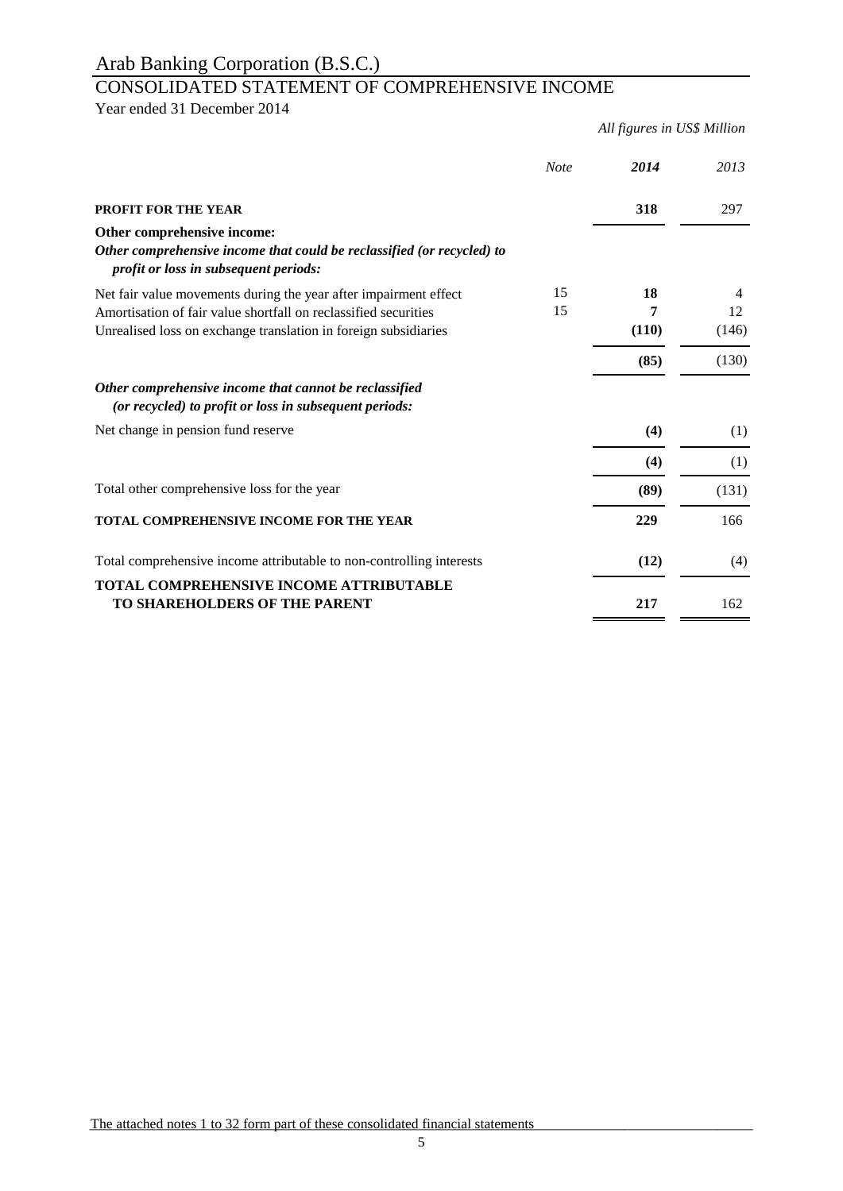# CONSOLIDATED STATEMENT OF COMPREHENSIVE INCOME

Year ended 31 December 2014

*Note 2014 2013* **PROFIT FOR THE YEAR** 318 297 **Other comprehensive income:** *Other comprehensive income that could be reclassified (or recycled) to profit or loss in subsequent periods:* Net fair value movements during the year after impairment effect 15 18 18 Amortisation of fair value shortfall on reclassified securities 15 7 12 Unrealised loss on exchange translation in foreign subsidiaries (110) (146)  **(85)** (130) *Other comprehensive income that cannot be reclassified (or recycled) to profit or loss in subsequent periods:* Net change in pension fund reserve (4) (1)  **(4)** (1) Total other comprehensive loss for the year **(89)** (131) **TOTAL COMPREHENSIVE INCOME FOR THE YEAR** 229 29 166 Total comprehensive income attributable to non-controlling interests (12) (4) **TOTAL COMPREHENSIVE INCOME ATTRIBUTABLE TO SHAREHOLDERS OF THE PARENT 217** 217 162 *All figures in US\$ Million*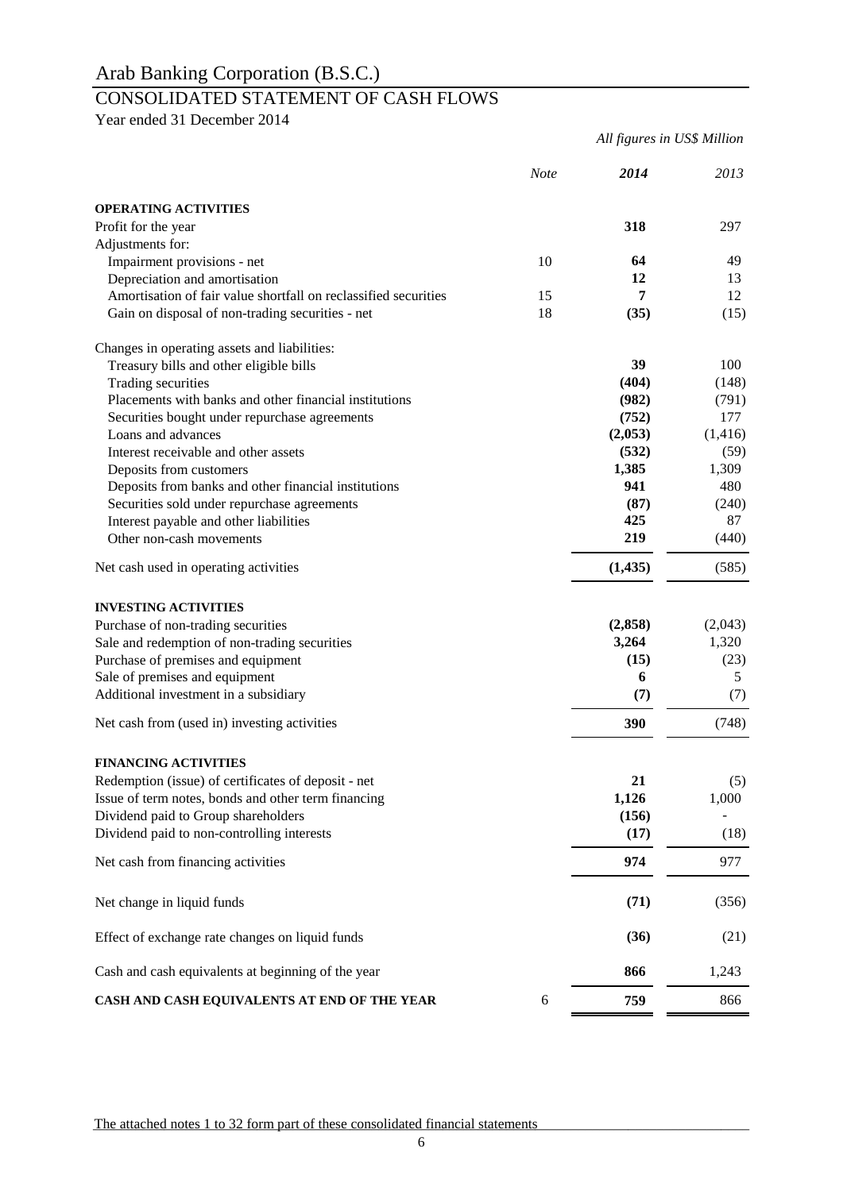# CONSOLIDATED STATEMENT OF CASH FLOWS

Year ended 31 December 2014

*All figures in US\$ Million*

|                                                                 | <b>Note</b> | 2014     | 2013     |
|-----------------------------------------------------------------|-------------|----------|----------|
| <b>OPERATING ACTIVITIES</b>                                     |             |          |          |
| Profit for the year                                             |             | 318      | 297      |
| Adjustments for:                                                |             |          |          |
| Impairment provisions - net                                     | 10          | 64       | 49       |
| Depreciation and amortisation                                   |             | 12       | 13       |
| Amortisation of fair value shortfall on reclassified securities | 15          | 7        | 12       |
| Gain on disposal of non-trading securities - net                | 18          | (35)     | (15)     |
| Changes in operating assets and liabilities:                    |             |          |          |
| Treasury bills and other eligible bills                         |             | 39       | 100      |
| Trading securities                                              |             | (404)    | (148)    |
| Placements with banks and other financial institutions          |             | (982)    | (791)    |
| Securities bought under repurchase agreements                   |             | (752)    | 177      |
| Loans and advances                                              |             | (2,053)  | (1, 416) |
| Interest receivable and other assets                            |             | (532)    | (59)     |
| Deposits from customers                                         |             | 1,385    | 1,309    |
| Deposits from banks and other financial institutions            |             | 941      | 480      |
| Securities sold under repurchase agreements                     |             | (87)     | (240)    |
| Interest payable and other liabilities                          |             | 425      | 87       |
| Other non-cash movements                                        |             | 219      | (440)    |
| Net cash used in operating activities                           |             | (1, 435) | (585)    |
| <b>INVESTING ACTIVITIES</b>                                     |             |          |          |
| Purchase of non-trading securities                              |             | (2,858)  | (2,043)  |
| Sale and redemption of non-trading securities                   |             | 3,264    | 1,320    |
| Purchase of premises and equipment                              |             | (15)     | (23)     |
| Sale of premises and equipment                                  |             | 6        | 5        |
| Additional investment in a subsidiary                           |             | (7)      | (7)      |
| Net cash from (used in) investing activities                    |             | 390      | (748)    |
| <b>FINANCING ACTIVITIES</b>                                     |             |          |          |
| Redemption (issue) of certificates of deposit - net             |             | 21       | (5)      |
| Issue of term notes, bonds and other term financing             |             | 1,126    | 1,000    |
| Dividend paid to Group shareholders                             |             | (156)    |          |
| Dividend paid to non-controlling interests                      |             | (17)     | (18)     |
| Net cash from financing activities                              |             | 974      | 977      |
|                                                                 |             |          |          |
| Net change in liquid funds                                      |             | (71)     | (356)    |
| Effect of exchange rate changes on liquid funds                 |             | (36)     | (21)     |
| Cash and cash equivalents at beginning of the year              |             | 866      | 1,243    |
| CASH AND CASH EQUIVALENTS AT END OF THE YEAR                    | 6           | 759      | 866      |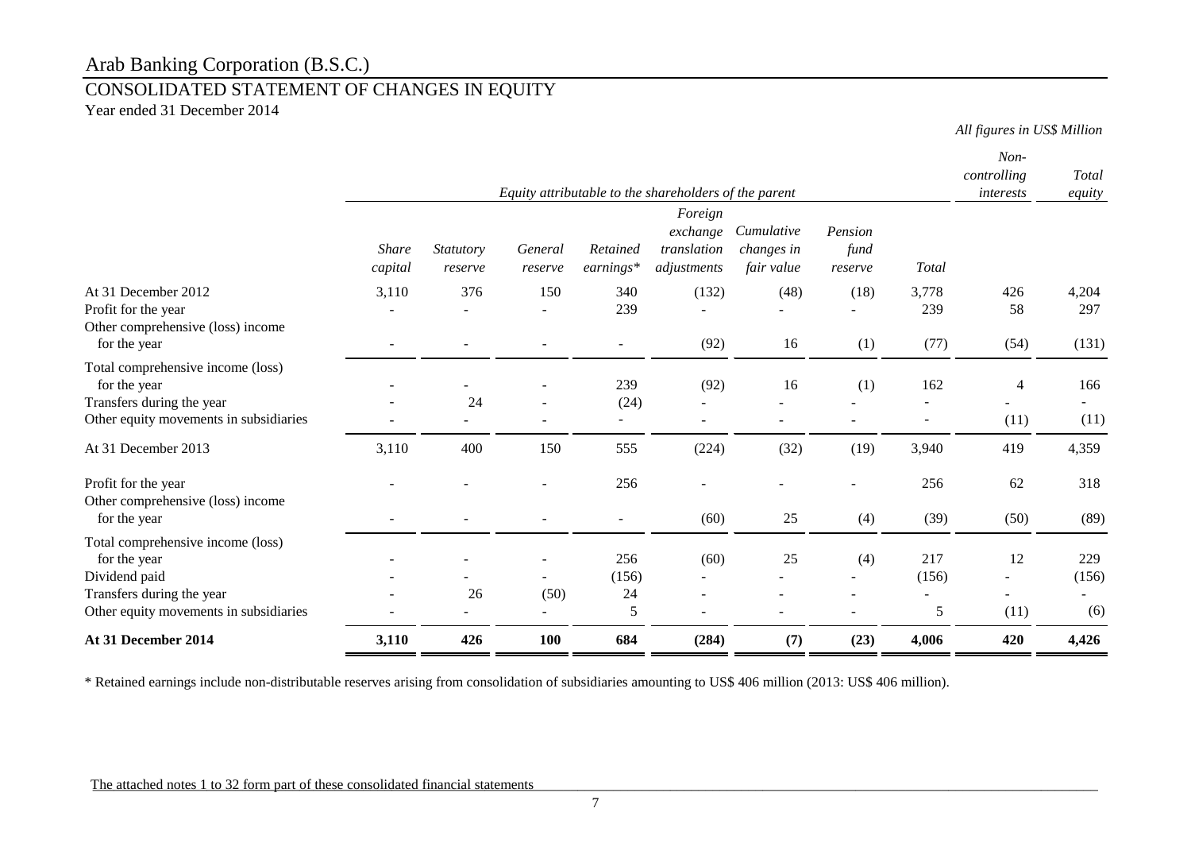# CONSOLIDATED STATEMENT OF CHANGES IN EQUITY

Year ended 31 December 2014

*All figures in US\$ Million*

|                                                          |                         |                      |                    |                         |                                                       |                                        |                            |       | Non-           |        |
|----------------------------------------------------------|-------------------------|----------------------|--------------------|-------------------------|-------------------------------------------------------|----------------------------------------|----------------------------|-------|----------------|--------|
|                                                          |                         |                      |                    |                         |                                                       |                                        |                            |       | controlling    | Total  |
|                                                          |                         |                      |                    |                         | Equity attributable to the shareholders of the parent |                                        |                            |       | interests      | equity |
|                                                          | <b>Share</b><br>capital | Statutory<br>reserve | General<br>reserve | Retained<br>$earnings*$ | Foreign<br>exchange<br>translation<br>adjustments     | Cumulative<br>changes in<br>fair value | Pension<br>fund<br>reserve | Total |                |        |
| At 31 December 2012                                      | 3,110                   | 376                  | 150                | 340                     | (132)                                                 | (48)                                   | (18)                       | 3,778 | 426            | 4,204  |
| Profit for the year                                      |                         |                      |                    | 239                     |                                                       |                                        | $\sim$                     | 239   | 58             | 297    |
| Other comprehensive (loss) income<br>for the year        |                         |                      |                    |                         | (92)                                                  | 16                                     | (1)                        | (77)  | (54)           | (131)  |
| Total comprehensive income (loss)<br>for the year        |                         |                      |                    | 239                     | (92)                                                  | 16                                     | (1)                        | 162   | $\overline{4}$ | 166    |
| Transfers during the year                                |                         | 24                   |                    | (24)                    |                                                       |                                        |                            |       |                |        |
| Other equity movements in subsidiaries                   |                         |                      |                    |                         | ٠                                                     |                                        |                            |       | (11)           | (11)   |
| At 31 December 2013                                      | 3,110                   | 400                  | 150                | 555                     | (224)                                                 | (32)                                   | (19)                       | 3,940 | 419            | 4,359  |
| Profit for the year<br>Other comprehensive (loss) income |                         |                      |                    | 256                     |                                                       |                                        | $\sim$                     | 256   | 62             | 318    |
| for the year                                             |                         |                      |                    |                         | (60)                                                  | 25                                     | (4)                        | (39)  | (50)           | (89)   |
| Total comprehensive income (loss)<br>for the year        |                         |                      |                    | 256                     | (60)                                                  | 25                                     | (4)                        | 217   | 12             | 229    |
| Dividend paid                                            |                         |                      |                    | (156)                   |                                                       |                                        |                            | (156) |                | (156)  |
| Transfers during the year                                |                         | 26                   | (50)               | 24                      |                                                       |                                        |                            |       |                |        |
| Other equity movements in subsidiaries                   |                         |                      |                    | 5                       |                                                       |                                        |                            | 5     | (11)           | (6)    |
| At 31 December 2014                                      | 3,110                   | 426                  | 100                | 684                     | (284)                                                 | (7)                                    | (23)                       | 4,006 | 420            | 4,426  |

\* Retained earnings include non-distributable reserves arising from consolidation of subsidiaries amounting to US\$ 406 million (2013: US\$ 406 million).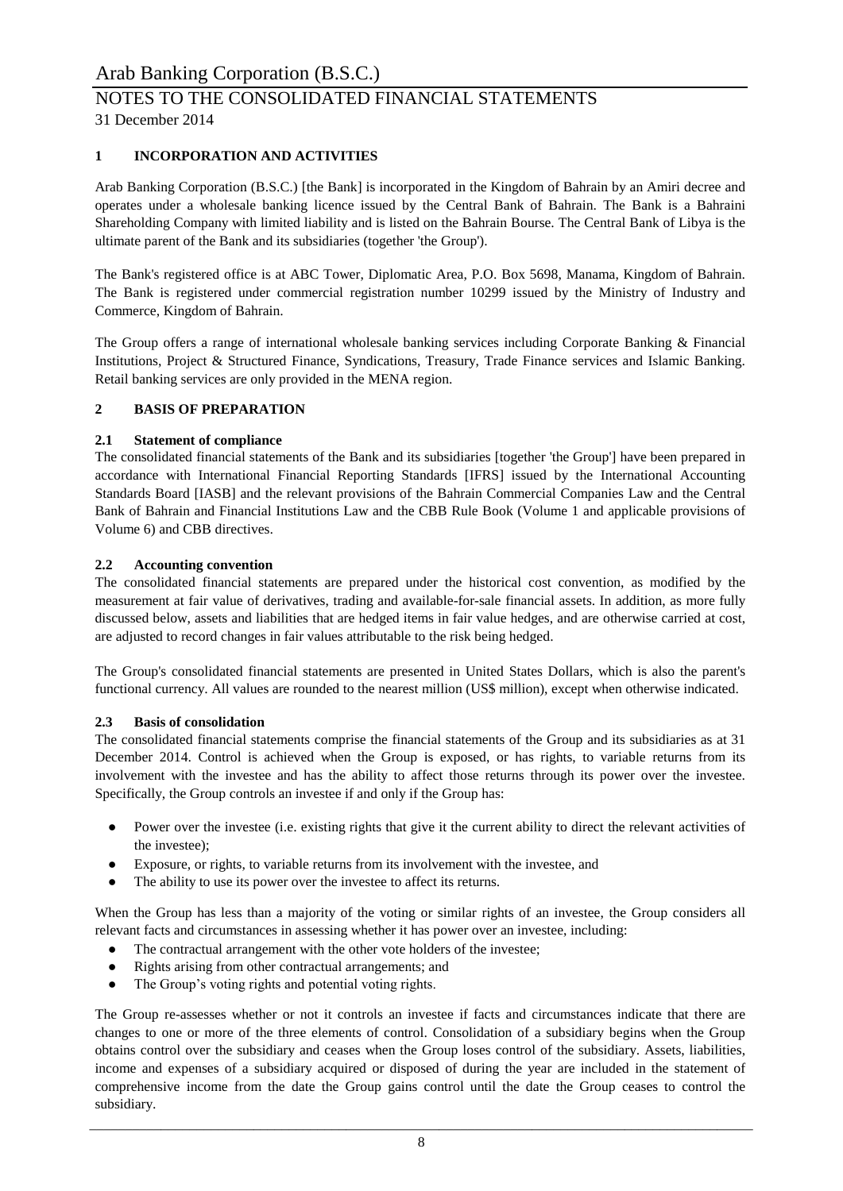31 December 2014

### **1 INCORPORATION AND ACTIVITIES**

Arab Banking Corporation (B.S.C.) [the Bank] is incorporated in the Kingdom of Bahrain by an Amiri decree and operates under a wholesale banking licence issued by the Central Bank of Bahrain. The Bank is a Bahraini Shareholding Company with limited liability and is listed on the Bahrain Bourse. The Central Bank of Libya is the ultimate parent of the Bank and its subsidiaries (together 'the Group').

The Bank's registered office is at ABC Tower, Diplomatic Area, P.O. Box 5698, Manama, Kingdom of Bahrain. The Bank is registered under commercial registration number 10299 issued by the Ministry of Industry and Commerce, Kingdom of Bahrain.

The Group offers a range of international wholesale banking services including Corporate Banking & Financial Institutions, Project & Structured Finance, Syndications, Treasury, Trade Finance services and Islamic Banking. Retail banking services are only provided in the MENA region.

### **2 BASIS OF PREPARATION**

### **2.1 Statement of compliance**

The consolidated financial statements of the Bank and its subsidiaries [together 'the Group'] have been prepared in accordance with International Financial Reporting Standards [IFRS] issued by the International Accounting Standards Board [IASB] and the relevant provisions of the Bahrain Commercial Companies Law and the Central Bank of Bahrain and Financial Institutions Law and the CBB Rule Book (Volume 1 and applicable provisions of Volume 6) and CBB directives.

### **2.2 Accounting convention**

The consolidated financial statements are prepared under the historical cost convention, as modified by the measurement at fair value of derivatives, trading and available-for-sale financial assets. In addition, as more fully discussed below, assets and liabilities that are hedged items in fair value hedges, and are otherwise carried at cost, are adjusted to record changes in fair values attributable to the risk being hedged.

The Group's consolidated financial statements are presented in United States Dollars, which is also the parent's functional currency. All values are rounded to the nearest million (US\$ million), except when otherwise indicated.

### **2.3 Basis of consolidation**

The consolidated financial statements comprise the financial statements of the Group and its subsidiaries as at 31 December 2014. Control is achieved when the Group is exposed, or has rights, to variable returns from its involvement with the investee and has the ability to affect those returns through its power over the investee. Specifically, the Group controls an investee if and only if the Group has:

- $\bullet$ Power over the investee (i.e. existing rights that give it the current ability to direct the relevant activities of the investee);
- Exposure, or rights, to variable returns from its involvement with the investee, and
- The ability to use its power over the investee to affect its returns.

When the Group has less than a majority of the voting or similar rights of an investee, the Group considers all relevant facts and circumstances in assessing whether it has power over an investee, including:

- $\bullet$ The contractual arrangement with the other vote holders of the investee;
- Rights arising from other contractual arrangements; and
- The Group's voting rights and potential voting rights.

The Group re-assesses whether or not it controls an investee if facts and circumstances indicate that there are changes to one or more of the three elements of control. Consolidation of a subsidiary begins when the Group obtains control over the subsidiary and ceases when the Group loses control of the subsidiary. Assets, liabilities, income and expenses of a subsidiary acquired or disposed of during the year are included in the statement of comprehensive income from the date the Group gains control until the date the Group ceases to control the subsidiary.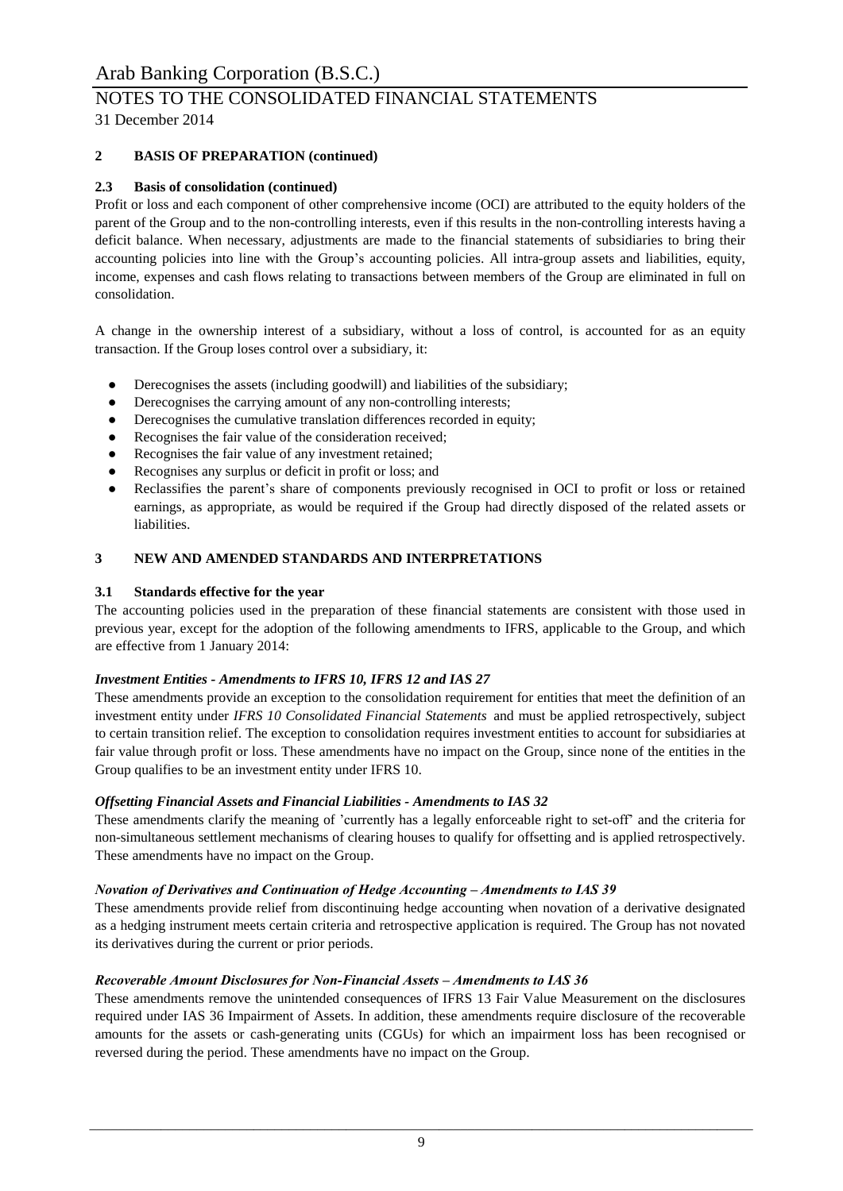# NOTES TO THE CONSOLIDATED FINANCIAL STATEMENTS

31 December 2014

## **2 BASIS OF PREPARATION (continued)**

### **2.3 Basis of consolidation (continued)**

Profit or loss and each component of other comprehensive income (OCI) are attributed to the equity holders of the parent of the Group and to the non-controlling interests, even if this results in the non-controlling interests having a deficit balance. When necessary, adjustments are made to the financial statements of subsidiaries to bring their accounting policies into line with the Group's accounting policies. All intra-group assets and liabilities, equity, income, expenses and cash flows relating to transactions between members of the Group are eliminated in full on consolidation.

A change in the ownership interest of a subsidiary, without a loss of control, is accounted for as an equity transaction. If the Group loses control over a subsidiary, it:

- Derecognises the assets (including goodwill) and liabilities of the subsidiary;
- Derecognises the carrying amount of any non-controlling interests;
- Derecognises the cumulative translation differences recorded in equity;
- Recognises the fair value of the consideration received;
- Recognises the fair value of any investment retained;
- Recognises any surplus or deficit in profit or loss; and
- Reclassifies the parent's share of components previously recognised in OCI to profit or loss or retained earnings, as appropriate, as would be required if the Group had directly disposed of the related assets or liabilities.

#### **3 NEW AND AMENDED STANDARDS AND INTERPRETATIONS**

### **3.1 Standards effective for the year**

The accounting policies used in the preparation of these financial statements are consistent with those used in previous year, except for the adoption of the following amendments to IFRS, applicable to the Group, and which are effective from 1 January 2014:

### *Investment Entities - Amendments to IFRS 10, IFRS 12 and IAS 27*

These amendments provide an exception to the consolidation requirement for entities that meet the definition of an investment entity under *IFRS 10 Consolidated Financial Statements* and must be applied retrospectively, subject to certain transition relief. The exception to consolidation requires investment entities to account for subsidiaries at fair value through profit or loss. These amendments have no impact on the Group, since none of the entities in the Group qualifies to be an investment entity under IFRS 10.

### *Offsetting Financial Assets and Financial Liabilities - Amendments to IAS 32*

These amendments clarify the meaning of 'currently has a legally enforceable right to set-off' and the criteria for non-simultaneous settlement mechanisms of clearing houses to qualify for offsetting and is applied retrospectively. These amendments have no impact on the Group.

### *Novation of Derivatives and Continuation of Hedge Accounting – Amendments to IAS 39*

These amendments provide relief from discontinuing hedge accounting when novation of a derivative designated as a hedging instrument meets certain criteria and retrospective application is required. The Group has not novated its derivatives during the current or prior periods.

## *Recoverable Amount Disclosures for Non-Financial Assets – Amendments to IAS 36*

These amendments remove the unintended consequences of IFRS 13 Fair Value Measurement on the disclosures required under IAS 36 Impairment of Assets. In addition, these amendments require disclosure of the recoverable amounts for the assets or cash-generating units (CGUs) for which an impairment loss has been recognised or reversed during the period. These amendments have no impact on the Group.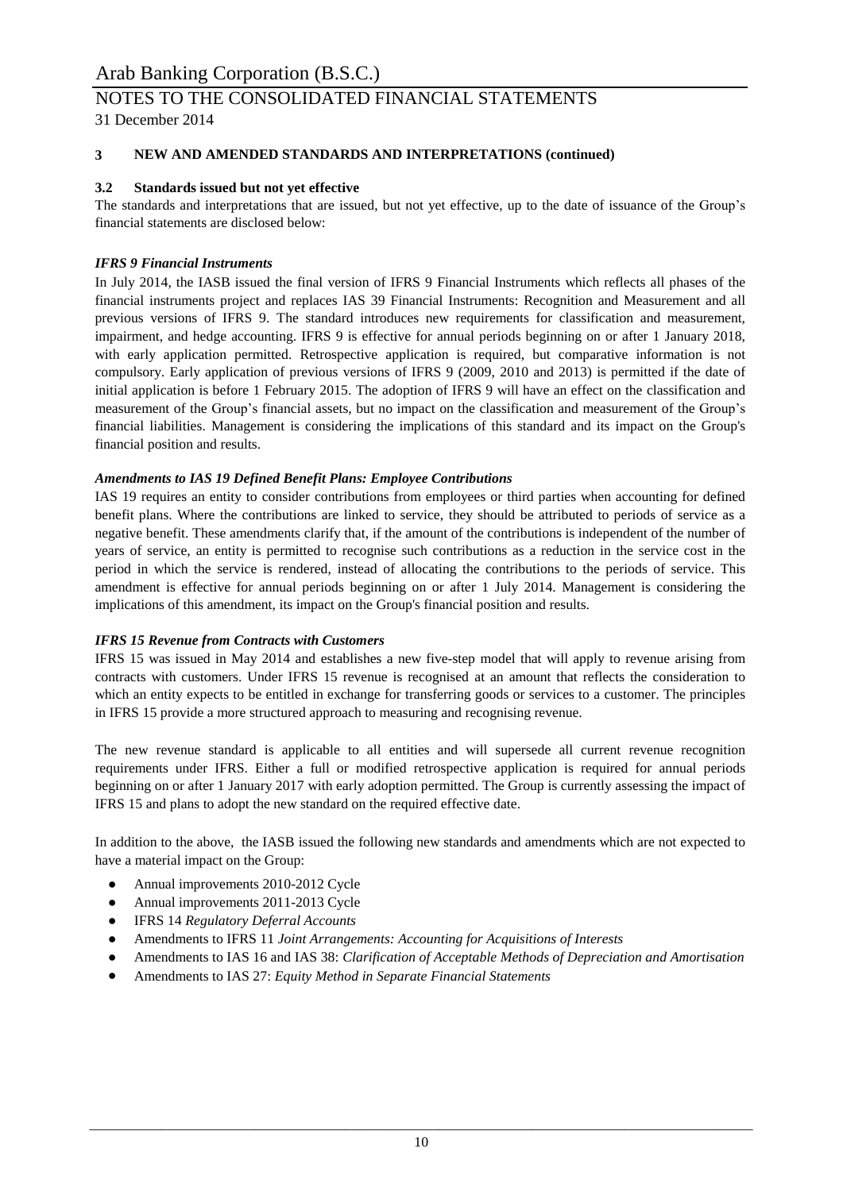## NOTES TO THE CONSOLIDATED FINANCIAL STATEMENTS 31 December 2014

### **3 NEW AND AMENDED STANDARDS AND INTERPRETATIONS (continued)**

### **3.2 Standards issued but not yet effective**

The standards and interpretations that are issued, but not yet effective, up to the date of issuance of the Group's financial statements are disclosed below:

### *IFRS 9 Financial Instruments*

In July 2014, the IASB issued the final version of IFRS 9 Financial Instruments which reflects all phases of the financial instruments project and replaces IAS 39 Financial Instruments: Recognition and Measurement and all previous versions of IFRS 9. The standard introduces new requirements for classification and measurement, impairment, and hedge accounting. IFRS 9 is effective for annual periods beginning on or after 1 January 2018, with early application permitted. Retrospective application is required, but comparative information is not compulsory. Early application of previous versions of IFRS 9 (2009, 2010 and 2013) is permitted if the date of initial application is before 1 February 2015. The adoption of IFRS 9 will have an effect on the classification and measurement of the Group's financial assets, but no impact on the classification and measurement of the Group's financial liabilities. Management is considering the implications of this standard and its impact on the Group's financial position and results.

### *Amendments to IAS 19 Defined Benefit Plans: Employee Contributions*

IAS 19 requires an entity to consider contributions from employees or third parties when accounting for defined benefit plans. Where the contributions are linked to service, they should be attributed to periods of service as a negative benefit. These amendments clarify that, if the amount of the contributions is independent of the number of years of service, an entity is permitted to recognise such contributions as a reduction in the service cost in the period in which the service is rendered, instead of allocating the contributions to the periods of service. This amendment is effective for annual periods beginning on or after 1 July 2014. Management is considering the implications of this amendment, its impact on the Group's financial position and results.

## *IFRS 15 Revenue from Contracts with Customers*

IFRS 15 was issued in May 2014 and establishes a new five-step model that will apply to revenue arising from contracts with customers. Under IFRS 15 revenue is recognised at an amount that reflects the consideration to which an entity expects to be entitled in exchange for transferring goods or services to a customer. The principles in IFRS 15 provide a more structured approach to measuring and recognising revenue.

The new revenue standard is applicable to all entities and will supersede all current revenue recognition requirements under IFRS. Either a full or modified retrospective application is required for annual periods beginning on or after 1 January 2017 with early adoption permitted. The Group is currently assessing the impact of IFRS 15 and plans to adopt the new standard on the required effective date.

In addition to the above, the IASB issued the following new standards and amendments which are not expected to have a material impact on the Group:

- Annual improvements 2010-2012 Cycle
- Annual improvements 2011-2013 Cycle
- IFRS 14 *Regulatory Deferral Accounts*
- Amendments to IFRS 11 *Joint Arrangements: Accounting for Acquisitions of Interests*
- Amendments to IAS 16 and IAS 38: *Clarification of Acceptable Methods of Depreciation and Amortisation*
- Amendments to IAS 27: *Equity Method in Separate Financial Statements*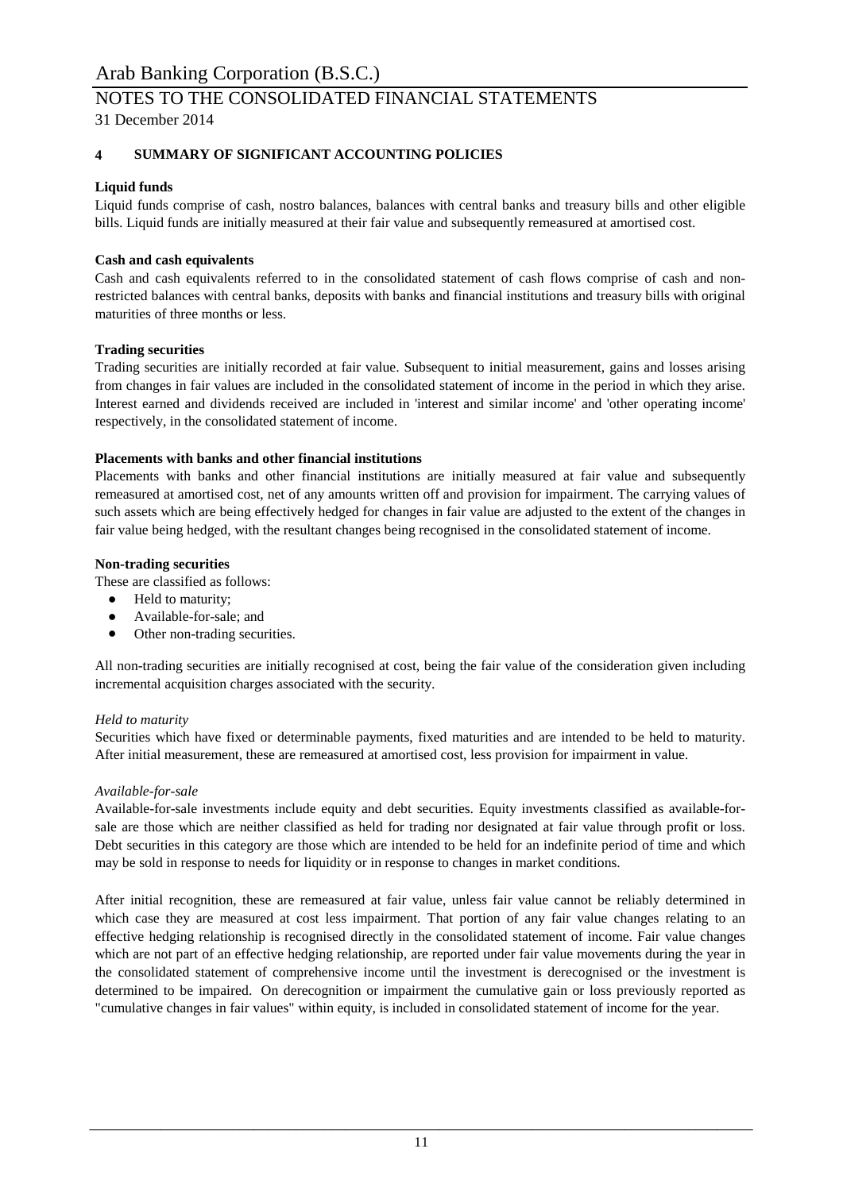# NOTES TO THE CONSOLIDATED FINANCIAL STATEMENTS

31 December 2014

### **4 SUMMARY OF SIGNIFICANT ACCOUNTING POLICIES**

## **Liquid funds**

Liquid funds comprise of cash, nostro balances, balances with central banks and treasury bills and other eligible bills. Liquid funds are initially measured at their fair value and subsequently remeasured at amortised cost.

## **Cash and cash equivalents**

Cash and cash equivalents referred to in the consolidated statement of cash flows comprise of cash and nonrestricted balances with central banks, deposits with banks and financial institutions and treasury bills with original maturities of three months or less.

### **Trading securities**

Trading securities are initially recorded at fair value. Subsequent to initial measurement, gains and losses arising from changes in fair values are included in the consolidated statement of income in the period in which they arise. Interest earned and dividends received are included in 'interest and similar income' and 'other operating income' respectively, in the consolidated statement of income.

### **Placements with banks and other financial institutions**

Placements with banks and other financial institutions are initially measured at fair value and subsequently remeasured at amortised cost, net of any amounts written off and provision for impairment. The carrying values of such assets which are being effectively hedged for changes in fair value are adjusted to the extent of the changes in fair value being hedged, with the resultant changes being recognised in the consolidated statement of income.

### **Non-trading securities**

These are classified as follows:

- Held to maturity;
- Available-for-sale; and
- $\bullet$ Other non-trading securities.

All non-trading securities are initially recognised at cost, being the fair value of the consideration given including incremental acquisition charges associated with the security.

### *Held to maturity*

Securities which have fixed or determinable payments, fixed maturities and are intended to be held to maturity. After initial measurement, these are remeasured at amortised cost, less provision for impairment in value.

### *Available-for-sale*

Available-for-sale investments include equity and debt securities. Equity investments classified as available-forsale are those which are neither classified as held for trading nor designated at fair value through profit or loss. Debt securities in this category are those which are intended to be held for an indefinite period of time and which may be sold in response to needs for liquidity or in response to changes in market conditions.

After initial recognition, these are remeasured at fair value, unless fair value cannot be reliably determined in which case they are measured at cost less impairment. That portion of any fair value changes relating to an effective hedging relationship is recognised directly in the consolidated statement of income. Fair value changes which are not part of an effective hedging relationship, are reported under fair value movements during the year in the consolidated statement of comprehensive income until the investment is derecognised or the investment is determined to be impaired. On derecognition or impairment the cumulative gain or loss previously reported as "cumulative changes in fair values" within equity, is included in consolidated statement of income for the year.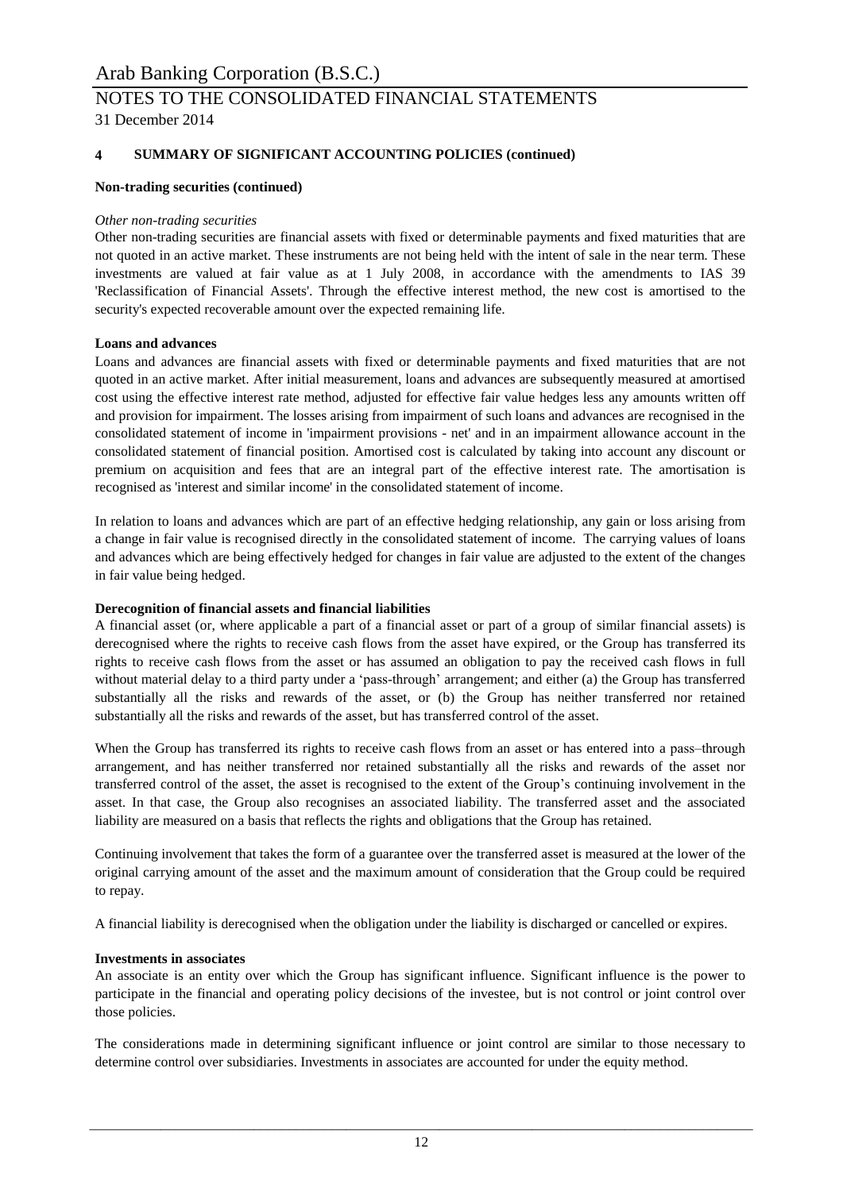# NOTES TO THE CONSOLIDATED FINANCIAL STATEMENTS 31 December 2014

### **4 SUMMARY OF SIGNIFICANT ACCOUNTING POLICIES (continued)**

### **Non-trading securities (continued)**

### *Other non-trading securities*

Other non-trading securities are financial assets with fixed or determinable payments and fixed maturities that are not quoted in an active market. These instruments are not being held with the intent of sale in the near term. These investments are valued at fair value as at 1 July 2008, in accordance with the amendments to IAS 39 'Reclassification of Financial Assets'. Through the effective interest method, the new cost is amortised to the security's expected recoverable amount over the expected remaining life.

### **Loans and advances**

Loans and advances are financial assets with fixed or determinable payments and fixed maturities that are not quoted in an active market. After initial measurement, loans and advances are subsequently measured at amortised cost using the effective interest rate method, adjusted for effective fair value hedges less any amounts written off and provision for impairment. The losses arising from impairment of such loans and advances are recognised in the consolidated statement of income in 'impairment provisions - net' and in an impairment allowance account in the consolidated statement of financial position. Amortised cost is calculated by taking into account any discount or premium on acquisition and fees that are an integral part of the effective interest rate. The amortisation is recognised as 'interest and similar income' in the consolidated statement of income.

In relation to loans and advances which are part of an effective hedging relationship, any gain or loss arising from a change in fair value is recognised directly in the consolidated statement of income. The carrying values of loans and advances which are being effectively hedged for changes in fair value are adjusted to the extent of the changes in fair value being hedged.

### **Derecognition of financial assets and financial liabilities**

A financial asset (or, where applicable a part of a financial asset or part of a group of similar financial assets) is derecognised where the rights to receive cash flows from the asset have expired, or the Group has transferred its rights to receive cash flows from the asset or has assumed an obligation to pay the received cash flows in full without material delay to a third party under a 'pass-through' arrangement; and either (a) the Group has transferred substantially all the risks and rewards of the asset, or (b) the Group has neither transferred nor retained substantially all the risks and rewards of the asset, but has transferred control of the asset.

When the Group has transferred its rights to receive cash flows from an asset or has entered into a pass–through arrangement, and has neither transferred nor retained substantially all the risks and rewards of the asset nor transferred control of the asset, the asset is recognised to the extent of the Group's continuing involvement in the asset. In that case, the Group also recognises an associated liability. The transferred asset and the associated liability are measured on a basis that reflects the rights and obligations that the Group has retained.

Continuing involvement that takes the form of a guarantee over the transferred asset is measured at the lower of the original carrying amount of the asset and the maximum amount of consideration that the Group could be required to repay.

A financial liability is derecognised when the obligation under the liability is discharged or cancelled or expires.

### **Investments in associates**

An associate is an entity over which the Group has significant influence. Significant influence is the power to participate in the financial and operating policy decisions of the investee, but is not control or joint control over those policies.

The considerations made in determining significant influence or joint control are similar to those necessary to determine control over subsidiaries. Investments in associates are accounted for under the equity method.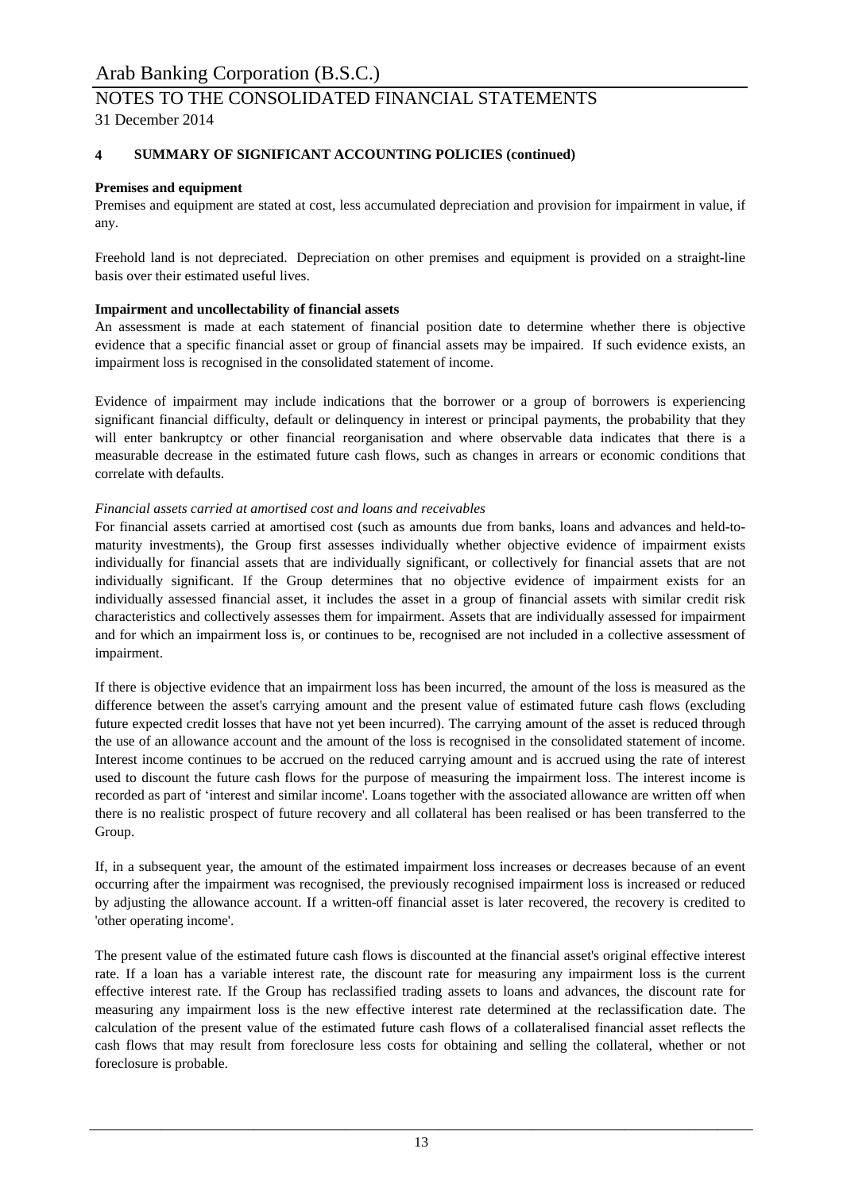# NOTES TO THE CONSOLIDATED FINANCIAL STATEMENTS 31 December 2014

### **4 SUMMARY OF SIGNIFICANT ACCOUNTING POLICIES (continued)**

### **Premises and equipment**

Premises and equipment are stated at cost, less accumulated depreciation and provision for impairment in value, if any.

Freehold land is not depreciated. Depreciation on other premises and equipment is provided on a straight-line basis over their estimated useful lives.

### **Impairment and uncollectability of financial assets**

An assessment is made at each statement of financial position date to determine whether there is objective evidence that a specific financial asset or group of financial assets may be impaired. If such evidence exists, an impairment loss is recognised in the consolidated statement of income.

Evidence of impairment may include indications that the borrower or a group of borrowers is experiencing significant financial difficulty, default or delinquency in interest or principal payments, the probability that they will enter bankruptcy or other financial reorganisation and where observable data indicates that there is a measurable decrease in the estimated future cash flows, such as changes in arrears or economic conditions that correlate with defaults.

### *Financial assets carried at amortised cost and loans and receivables*

For financial assets carried at amortised cost (such as amounts due from banks, loans and advances and held-tomaturity investments), the Group first assesses individually whether objective evidence of impairment exists individually for financial assets that are individually significant, or collectively for financial assets that are not individually significant. If the Group determines that no objective evidence of impairment exists for an individually assessed financial asset, it includes the asset in a group of financial assets with similar credit risk characteristics and collectively assesses them for impairment. Assets that are individually assessed for impairment and for which an impairment loss is, or continues to be, recognised are not included in a collective assessment of impairment.

If there is objective evidence that an impairment loss has been incurred, the amount of the loss is measured as the difference between the asset's carrying amount and the present value of estimated future cash flows (excluding future expected credit losses that have not yet been incurred). The carrying amount of the asset is reduced through the use of an allowance account and the amount of the loss is recognised in the consolidated statement of income. Interest income continues to be accrued on the reduced carrying amount and is accrued using the rate of interest used to discount the future cash flows for the purpose of measuring the impairment loss. The interest income is recorded as part of 'interest and similar income'. Loans together with the associated allowance are written off when there is no realistic prospect of future recovery and all collateral has been realised or has been transferred to the Group.

If, in a subsequent year, the amount of the estimated impairment loss increases or decreases because of an event occurring after the impairment was recognised, the previously recognised impairment loss is increased or reduced by adjusting the allowance account. If a written-off financial asset is later recovered, the recovery is credited to 'other operating income'.

The present value of the estimated future cash flows is discounted at the financial asset's original effective interest rate. If a loan has a variable interest rate, the discount rate for measuring any impairment loss is the current effective interest rate. If the Group has reclassified trading assets to loans and advances, the discount rate for measuring any impairment loss is the new effective interest rate determined at the reclassification date. The calculation of the present value of the estimated future cash flows of a collateralised financial asset reflects the cash flows that may result from foreclosure less costs for obtaining and selling the collateral, whether or not foreclosure is probable.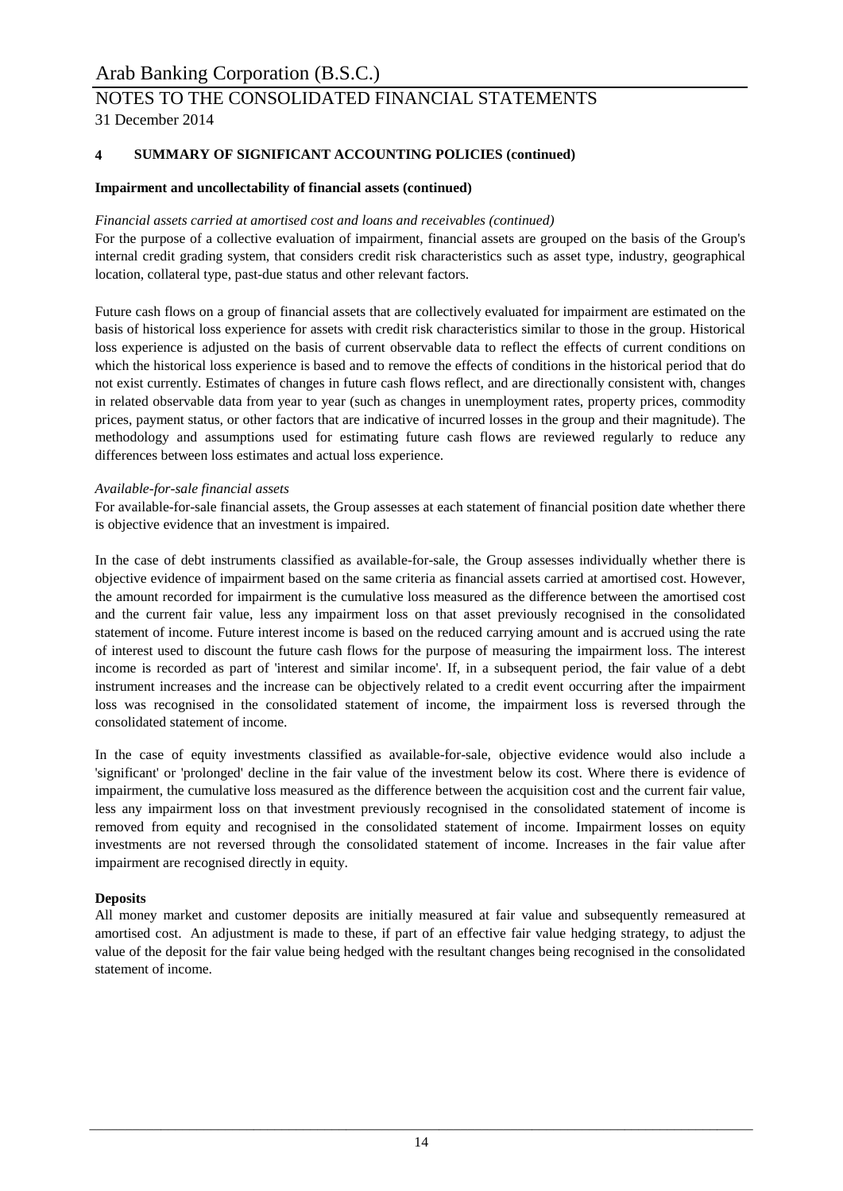# NOTES TO THE CONSOLIDATED FINANCIAL STATEMENTS 31 December 2014

#### **4 SUMMARY OF SIGNIFICANT ACCOUNTING POLICIES (continued)**

### **Impairment and uncollectability of financial assets (continued)**

### *Financial assets carried at amortised cost and loans and receivables (continued)*

For the purpose of a collective evaluation of impairment, financial assets are grouped on the basis of the Group's internal credit grading system, that considers credit risk characteristics such as asset type, industry, geographical location, collateral type, past-due status and other relevant factors.

Future cash flows on a group of financial assets that are collectively evaluated for impairment are estimated on the basis of historical loss experience for assets with credit risk characteristics similar to those in the group. Historical loss experience is adjusted on the basis of current observable data to reflect the effects of current conditions on which the historical loss experience is based and to remove the effects of conditions in the historical period that do not exist currently. Estimates of changes in future cash flows reflect, and are directionally consistent with, changes in related observable data from year to year (such as changes in unemployment rates, property prices, commodity prices, payment status, or other factors that are indicative of incurred losses in the group and their magnitude). The methodology and assumptions used for estimating future cash flows are reviewed regularly to reduce any differences between loss estimates and actual loss experience.

### *Available-for-sale financial assets*

For available-for-sale financial assets, the Group assesses at each statement of financial position date whether there is objective evidence that an investment is impaired.

In the case of debt instruments classified as available-for-sale, the Group assesses individually whether there is objective evidence of impairment based on the same criteria as financial assets carried at amortised cost. However, the amount recorded for impairment is the cumulative loss measured as the difference between the amortised cost and the current fair value, less any impairment loss on that asset previously recognised in the consolidated statement of income. Future interest income is based on the reduced carrying amount and is accrued using the rate of interest used to discount the future cash flows for the purpose of measuring the impairment loss. The interest income is recorded as part of 'interest and similar income'. If, in a subsequent period, the fair value of a debt instrument increases and the increase can be objectively related to a credit event occurring after the impairment loss was recognised in the consolidated statement of income, the impairment loss is reversed through the consolidated statement of income.

In the case of equity investments classified as available-for-sale, objective evidence would also include a 'significant' or 'prolonged' decline in the fair value of the investment below its cost. Where there is evidence of impairment, the cumulative loss measured as the difference between the acquisition cost and the current fair value, less any impairment loss on that investment previously recognised in the consolidated statement of income is removed from equity and recognised in the consolidated statement of income. Impairment losses on equity investments are not reversed through the consolidated statement of income. Increases in the fair value after impairment are recognised directly in equity.

### **Deposits**

All money market and customer deposits are initially measured at fair value and subsequently remeasured at amortised cost. An adjustment is made to these, if part of an effective fair value hedging strategy, to adjust the value of the deposit for the fair value being hedged with the resultant changes being recognised in the consolidated statement of income.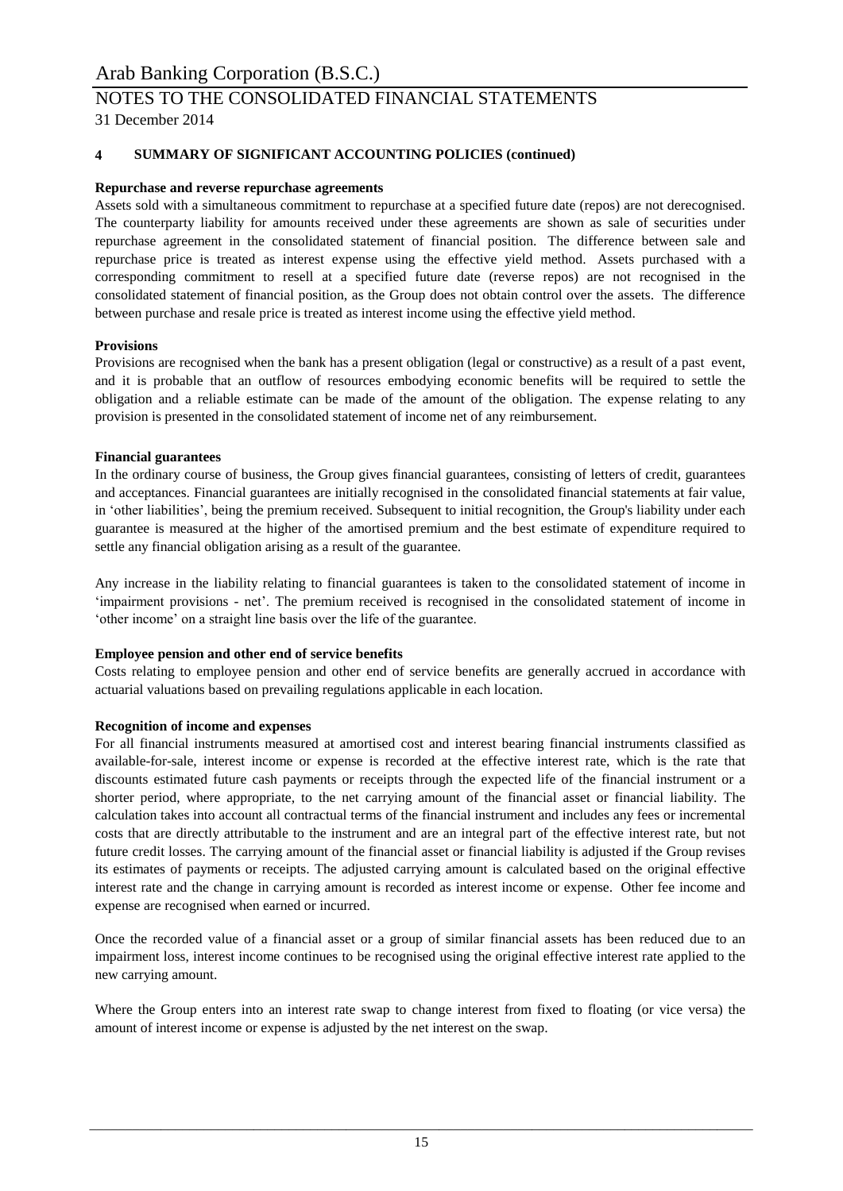## NOTES TO THE CONSOLIDATED FINANCIAL STATEMENTS 31 December 2014

### **4 SUMMARY OF SIGNIFICANT ACCOUNTING POLICIES (continued)**

### **Repurchase and reverse repurchase agreements**

Assets sold with a simultaneous commitment to repurchase at a specified future date (repos) are not derecognised. The counterparty liability for amounts received under these agreements are shown as sale of securities under repurchase agreement in the consolidated statement of financial position. The difference between sale and repurchase price is treated as interest expense using the effective yield method. Assets purchased with a corresponding commitment to resell at a specified future date (reverse repos) are not recognised in the consolidated statement of financial position, as the Group does not obtain control over the assets. The difference between purchase and resale price is treated as interest income using the effective yield method.

### **Provisions**

Provisions are recognised when the bank has a present obligation (legal or constructive) as a result of a past event, and it is probable that an outflow of resources embodying economic benefits will be required to settle the obligation and a reliable estimate can be made of the amount of the obligation. The expense relating to any provision is presented in the consolidated statement of income net of any reimbursement.

### **Financial guarantees**

In the ordinary course of business, the Group gives financial guarantees, consisting of letters of credit, guarantees and acceptances. Financial guarantees are initially recognised in the consolidated financial statements at fair value, in 'other liabilities', being the premium received. Subsequent to initial recognition, the Group's liability under each guarantee is measured at the higher of the amortised premium and the best estimate of expenditure required to settle any financial obligation arising as a result of the guarantee.

Any increase in the liability relating to financial guarantees is taken to the consolidated statement of income in 'impairment provisions - net'. The premium received is recognised in the consolidated statement of income in 'other income' on a straight line basis over the life of the guarantee.

### **Employee pension and other end of service benefits**

Costs relating to employee pension and other end of service benefits are generally accrued in accordance with actuarial valuations based on prevailing regulations applicable in each location.

### **Recognition of income and expenses**

For all financial instruments measured at amortised cost and interest bearing financial instruments classified as available-for-sale, interest income or expense is recorded at the effective interest rate, which is the rate that discounts estimated future cash payments or receipts through the expected life of the financial instrument or a shorter period, where appropriate, to the net carrying amount of the financial asset or financial liability. The calculation takes into account all contractual terms of the financial instrument and includes any fees or incremental costs that are directly attributable to the instrument and are an integral part of the effective interest rate, but not future credit losses. The carrying amount of the financial asset or financial liability is adjusted if the Group revises its estimates of payments or receipts. The adjusted carrying amount is calculated based on the original effective interest rate and the change in carrying amount is recorded as interest income or expense. Other fee income and expense are recognised when earned or incurred.

Once the recorded value of a financial asset or a group of similar financial assets has been reduced due to an impairment loss, interest income continues to be recognised using the original effective interest rate applied to the new carrying amount.

Where the Group enters into an interest rate swap to change interest from fixed to floating (or vice versa) the amount of interest income or expense is adjusted by the net interest on the swap.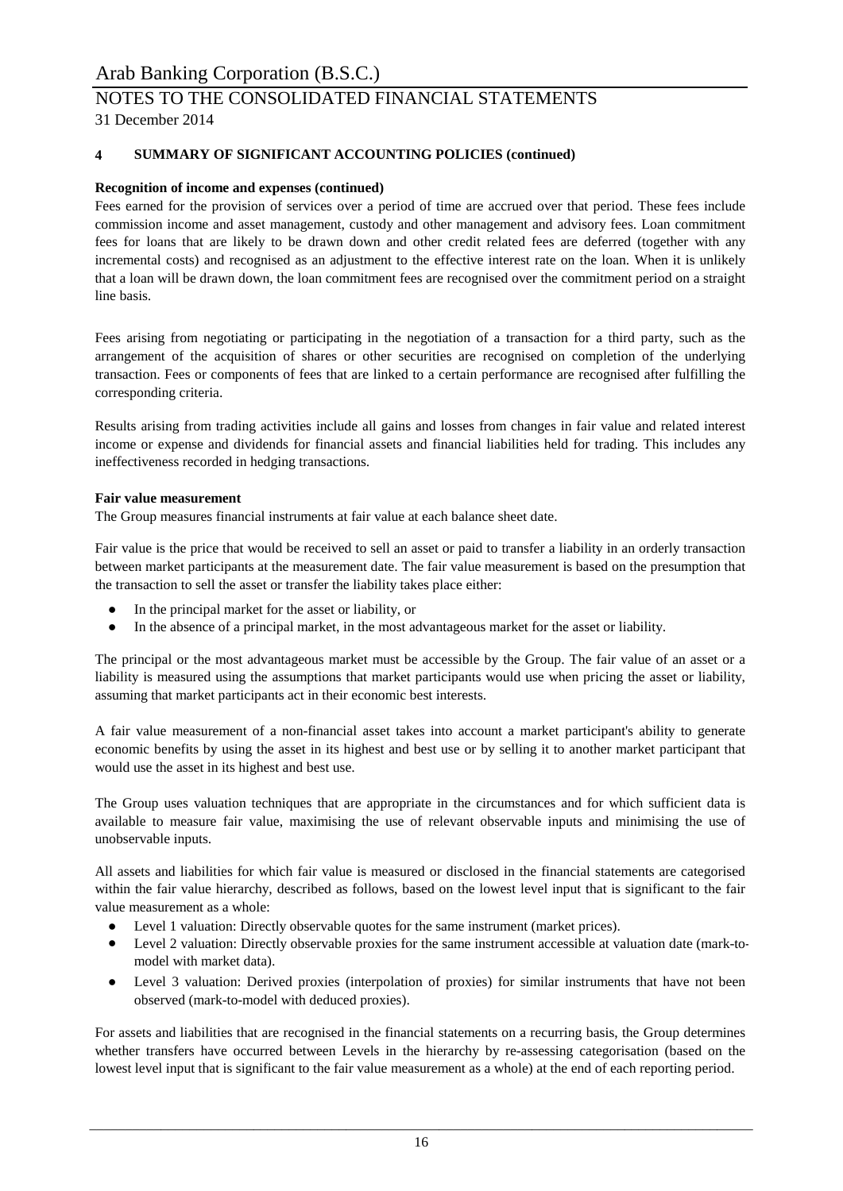## NOTES TO THE CONSOLIDATED FINANCIAL STATEMENTS 31 December 2014

### **4 SUMMARY OF SIGNIFICANT ACCOUNTING POLICIES (continued)**

### **Recognition of income and expenses (continued)**

Fees earned for the provision of services over a period of time are accrued over that period. These fees include commission income and asset management, custody and other management and advisory fees. Loan commitment fees for loans that are likely to be drawn down and other credit related fees are deferred (together with any incremental costs) and recognised as an adjustment to the effective interest rate on the loan. When it is unlikely that a loan will be drawn down, the loan commitment fees are recognised over the commitment period on a straight line basis.

Fees arising from negotiating or participating in the negotiation of a transaction for a third party, such as the arrangement of the acquisition of shares or other securities are recognised on completion of the underlying transaction. Fees or components of fees that are linked to a certain performance are recognised after fulfilling the corresponding criteria.

Results arising from trading activities include all gains and losses from changes in fair value and related interest income or expense and dividends for financial assets and financial liabilities held for trading. This includes any ineffectiveness recorded in hedging transactions.

### **Fair value measurement**

The Group measures financial instruments at fair value at each balance sheet date.

Fair value is the price that would be received to sell an asset or paid to transfer a liability in an orderly transaction between market participants at the measurement date. The fair value measurement is based on the presumption that the transaction to sell the asset or transfer the liability takes place either:

- In the principal market for the asset or liability, or
- In the absence of a principal market, in the most advantageous market for the asset or liability.

The principal or the most advantageous market must be accessible by the Group. The fair value of an asset or a liability is measured using the assumptions that market participants would use when pricing the asset or liability, assuming that market participants act in their economic best interests.

A fair value measurement of a non-financial asset takes into account a market participant's ability to generate economic benefits by using the asset in its highest and best use or by selling it to another market participant that would use the asset in its highest and best use.

The Group uses valuation techniques that are appropriate in the circumstances and for which sufficient data is available to measure fair value, maximising the use of relevant observable inputs and minimising the use of unobservable inputs.

All assets and liabilities for which fair value is measured or disclosed in the financial statements are categorised within the fair value hierarchy, described as follows, based on the lowest level input that is significant to the fair value measurement as a whole:

- $\bullet$ Level 1 valuation: Directly observable quotes for the same instrument (market prices).
- Level 2 valuation: Directly observable proxies for the same instrument accessible at valuation date (mark-tomodel with market data).
- $\bullet$ Level 3 valuation: Derived proxies (interpolation of proxies) for similar instruments that have not been observed (mark-to-model with deduced proxies).

For assets and liabilities that are recognised in the financial statements on a recurring basis, the Group determines whether transfers have occurred between Levels in the hierarchy by re-assessing categorisation (based on the lowest level input that is significant to the fair value measurement as a whole) at the end of each reporting period.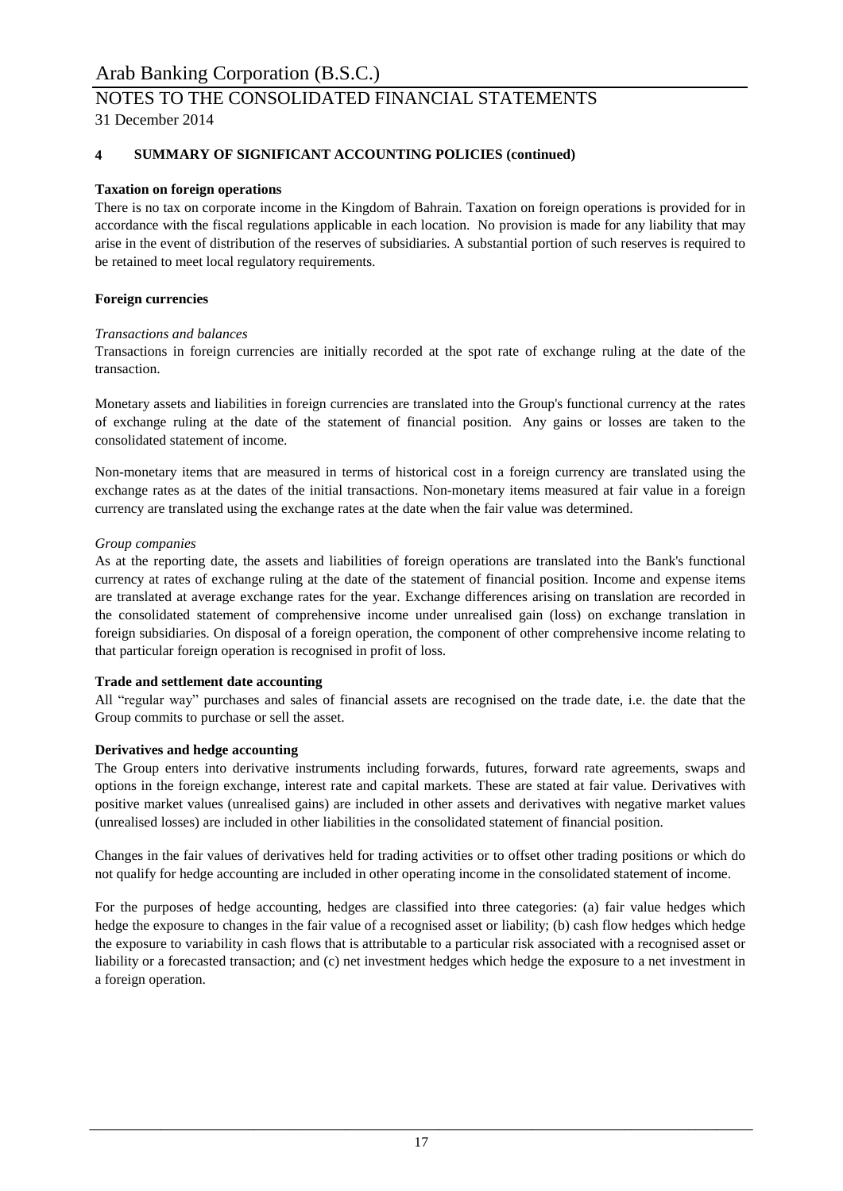## NOTES TO THE CONSOLIDATED FINANCIAL STATEMENTS 31 December 2014

### **4 SUMMARY OF SIGNIFICANT ACCOUNTING POLICIES (continued)**

### **Taxation on foreign operations**

There is no tax on corporate income in the Kingdom of Bahrain. Taxation on foreign operations is provided for in accordance with the fiscal regulations applicable in each location. No provision is made for any liability that may arise in the event of distribution of the reserves of subsidiaries. A substantial portion of such reserves is required to be retained to meet local regulatory requirements.

### **Foreign currencies**

### *Transactions and balances*

Transactions in foreign currencies are initially recorded at the spot rate of exchange ruling at the date of the transaction.

Monetary assets and liabilities in foreign currencies are translated into the Group's functional currency at the rates of exchange ruling at the date of the statement of financial position. Any gains or losses are taken to the consolidated statement of income.

Non-monetary items that are measured in terms of historical cost in a foreign currency are translated using the exchange rates as at the dates of the initial transactions. Non-monetary items measured at fair value in a foreign currency are translated using the exchange rates at the date when the fair value was determined.

### *Group companies*

As at the reporting date, the assets and liabilities of foreign operations are translated into the Bank's functional currency at rates of exchange ruling at the date of the statement of financial position. Income and expense items are translated at average exchange rates for the year. Exchange differences arising on translation are recorded in the consolidated statement of comprehensive income under unrealised gain (loss) on exchange translation in foreign subsidiaries. On disposal of a foreign operation, the component of other comprehensive income relating to that particular foreign operation is recognised in profit of loss.

### **Trade and settlement date accounting**

All "regular way" purchases and sales of financial assets are recognised on the trade date, i.e. the date that the Group commits to purchase or sell the asset.

### **Derivatives and hedge accounting**

The Group enters into derivative instruments including forwards, futures, forward rate agreements, swaps and options in the foreign exchange, interest rate and capital markets. These are stated at fair value. Derivatives with positive market values (unrealised gains) are included in other assets and derivatives with negative market values (unrealised losses) are included in other liabilities in the consolidated statement of financial position.

Changes in the fair values of derivatives held for trading activities or to offset other trading positions or which do not qualify for hedge accounting are included in other operating income in the consolidated statement of income.

For the purposes of hedge accounting, hedges are classified into three categories: (a) fair value hedges which hedge the exposure to changes in the fair value of a recognised asset or liability; (b) cash flow hedges which hedge the exposure to variability in cash flows that is attributable to a particular risk associated with a recognised asset or liability or a forecasted transaction; and (c) net investment hedges which hedge the exposure to a net investment in a foreign operation.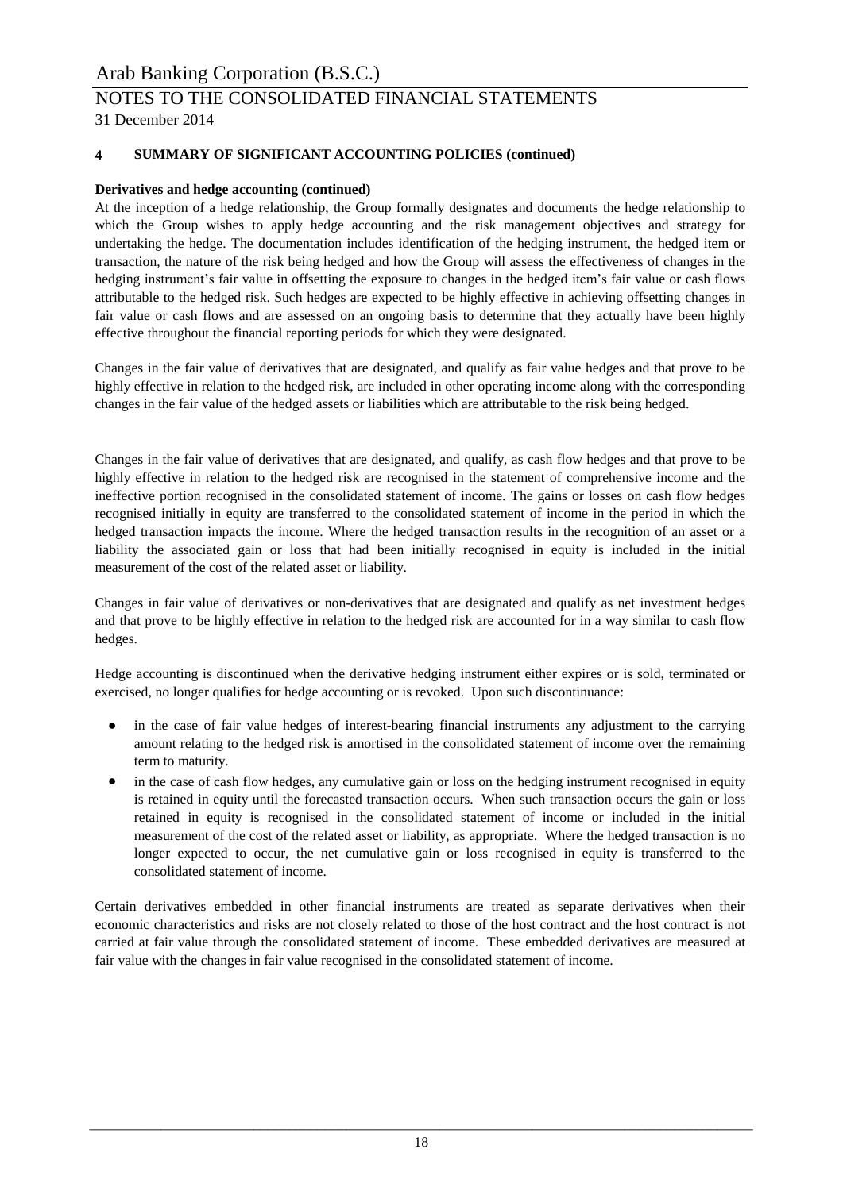# NOTES TO THE CONSOLIDATED FINANCIAL STATEMENTS 31 December 2014

### **4 SUMMARY OF SIGNIFICANT ACCOUNTING POLICIES (continued)**

### **Derivatives and hedge accounting (continued)**

At the inception of a hedge relationship, the Group formally designates and documents the hedge relationship to which the Group wishes to apply hedge accounting and the risk management objectives and strategy for undertaking the hedge. The documentation includes identification of the hedging instrument, the hedged item or transaction, the nature of the risk being hedged and how the Group will assess the effectiveness of changes in the hedging instrument's fair value in offsetting the exposure to changes in the hedged item's fair value or cash flows attributable to the hedged risk. Such hedges are expected to be highly effective in achieving offsetting changes in fair value or cash flows and are assessed on an ongoing basis to determine that they actually have been highly effective throughout the financial reporting periods for which they were designated.

Changes in the fair value of derivatives that are designated, and qualify as fair value hedges and that prove to be highly effective in relation to the hedged risk, are included in other operating income along with the corresponding changes in the fair value of the hedged assets or liabilities which are attributable to the risk being hedged.

Changes in the fair value of derivatives that are designated, and qualify, as cash flow hedges and that prove to be highly effective in relation to the hedged risk are recognised in the statement of comprehensive income and the ineffective portion recognised in the consolidated statement of income. The gains or losses on cash flow hedges recognised initially in equity are transferred to the consolidated statement of income in the period in which the hedged transaction impacts the income. Where the hedged transaction results in the recognition of an asset or a liability the associated gain or loss that had been initially recognised in equity is included in the initial measurement of the cost of the related asset or liability.

Changes in fair value of derivatives or non-derivatives that are designated and qualify as net investment hedges and that prove to be highly effective in relation to the hedged risk are accounted for in a way similar to cash flow hedges.

Hedge accounting is discontinued when the derivative hedging instrument either expires or is sold, terminated or exercised, no longer qualifies for hedge accounting or is revoked. Upon such discontinuance:

- in the case of fair value hedges of interest-bearing financial instruments any adjustment to the carrying amount relating to the hedged risk is amortised in the consolidated statement of income over the remaining term to maturity.
- in the case of cash flow hedges, any cumulative gain or loss on the hedging instrument recognised in equity is retained in equity until the forecasted transaction occurs. When such transaction occurs the gain or loss retained in equity is recognised in the consolidated statement of income or included in the initial measurement of the cost of the related asset or liability, as appropriate. Where the hedged transaction is no longer expected to occur, the net cumulative gain or loss recognised in equity is transferred to the consolidated statement of income.

Certain derivatives embedded in other financial instruments are treated as separate derivatives when their economic characteristics and risks are not closely related to those of the host contract and the host contract is not carried at fair value through the consolidated statement of income. These embedded derivatives are measured at fair value with the changes in fair value recognised in the consolidated statement of income.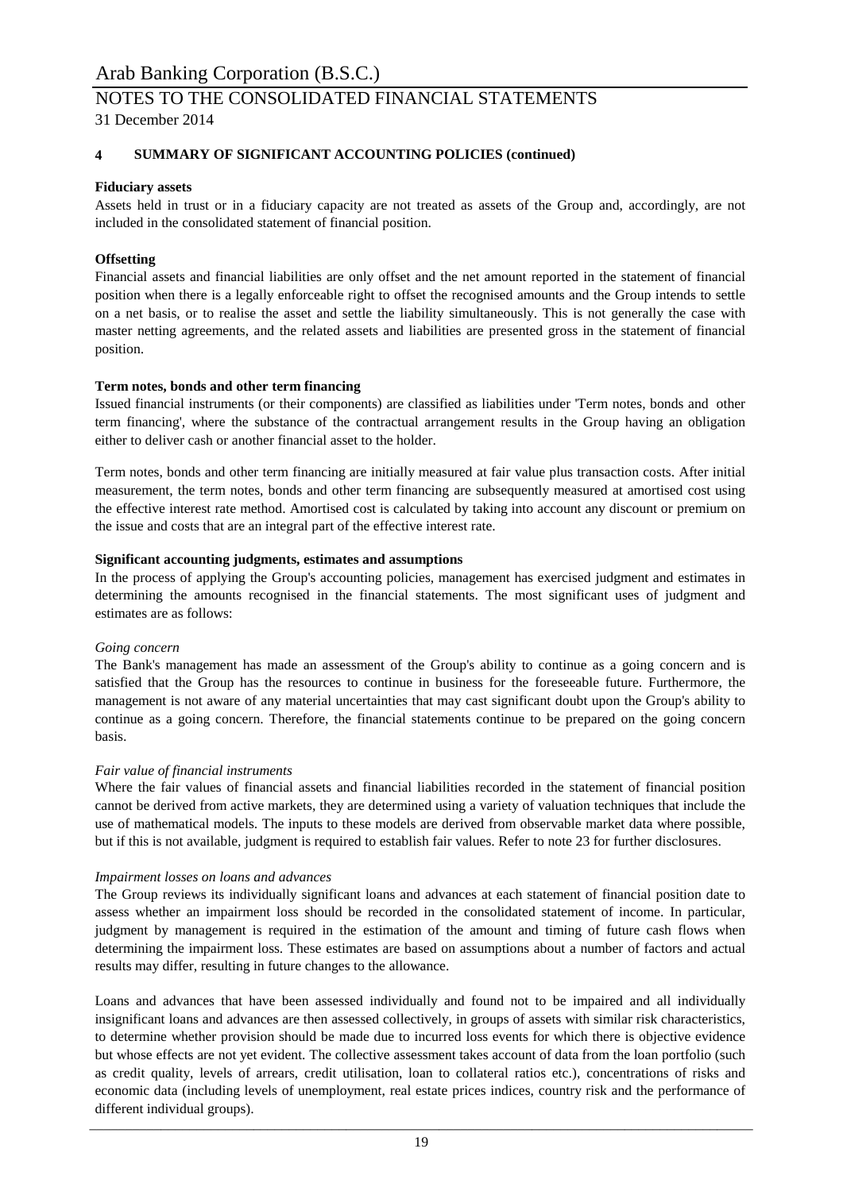## NOTES TO THE CONSOLIDATED FINANCIAL STATEMENTS 31 December 2014

### **4 SUMMARY OF SIGNIFICANT ACCOUNTING POLICIES (continued)**

### **Fiduciary assets**

Assets held in trust or in a fiduciary capacity are not treated as assets of the Group and, accordingly, are not included in the consolidated statement of financial position.

### **Offsetting**

Financial assets and financial liabilities are only offset and the net amount reported in the statement of financial position when there is a legally enforceable right to offset the recognised amounts and the Group intends to settle on a net basis, or to realise the asset and settle the liability simultaneously. This is not generally the case with master netting agreements, and the related assets and liabilities are presented gross in the statement of financial position.

### **Term notes, bonds and other term financing**

Issued financial instruments (or their components) are classified as liabilities under 'Term notes, bonds and other term financing', where the substance of the contractual arrangement results in the Group having an obligation either to deliver cash or another financial asset to the holder.

Term notes, bonds and other term financing are initially measured at fair value plus transaction costs. After initial measurement, the term notes, bonds and other term financing are subsequently measured at amortised cost using the effective interest rate method. Amortised cost is calculated by taking into account any discount or premium on the issue and costs that are an integral part of the effective interest rate.

### **Significant accounting judgments, estimates and assumptions**

In the process of applying the Group's accounting policies, management has exercised judgment and estimates in determining the amounts recognised in the financial statements. The most significant uses of judgment and estimates are as follows:

### *Going concern*

The Bank's management has made an assessment of the Group's ability to continue as a going concern and is satisfied that the Group has the resources to continue in business for the foreseeable future. Furthermore, the management is not aware of any material uncertainties that may cast significant doubt upon the Group's ability to continue as a going concern. Therefore, the financial statements continue to be prepared on the going concern basis.

### *Fair value of financial instruments*

Where the fair values of financial assets and financial liabilities recorded in the statement of financial position cannot be derived from active markets, they are determined using a variety of valuation techniques that include the use of mathematical models. The inputs to these models are derived from observable market data where possible, but if this is not available, judgment is required to establish fair values. Refer to note 23 for further disclosures.

### *Impairment losses on loans and advances*

The Group reviews its individually significant loans and advances at each statement of financial position date to assess whether an impairment loss should be recorded in the consolidated statement of income. In particular, judgment by management is required in the estimation of the amount and timing of future cash flows when determining the impairment loss. These estimates are based on assumptions about a number of factors and actual results may differ, resulting in future changes to the allowance.

Loans and advances that have been assessed individually and found not to be impaired and all individually insignificant loans and advances are then assessed collectively, in groups of assets with similar risk characteristics, to determine whether provision should be made due to incurred loss events for which there is objective evidence but whose effects are not yet evident. The collective assessment takes account of data from the loan portfolio (such as credit quality, levels of arrears, credit utilisation, loan to collateral ratios etc.), concentrations of risks and economic data (including levels of unemployment, real estate prices indices, country risk and the performance of different individual groups). \_\_\_\_\_\_\_\_\_\_\_\_\_\_\_\_\_\_\_\_\_\_\_\_\_\_\_\_\_\_\_\_\_\_\_\_\_\_\_\_\_\_\_\_\_\_\_\_\_\_\_\_\_\_\_\_\_\_\_\_\_\_\_\_\_\_\_\_\_\_\_\_\_\_\_\_\_\_\_\_\_\_\_\_\_\_\_\_\_\_\_\_\_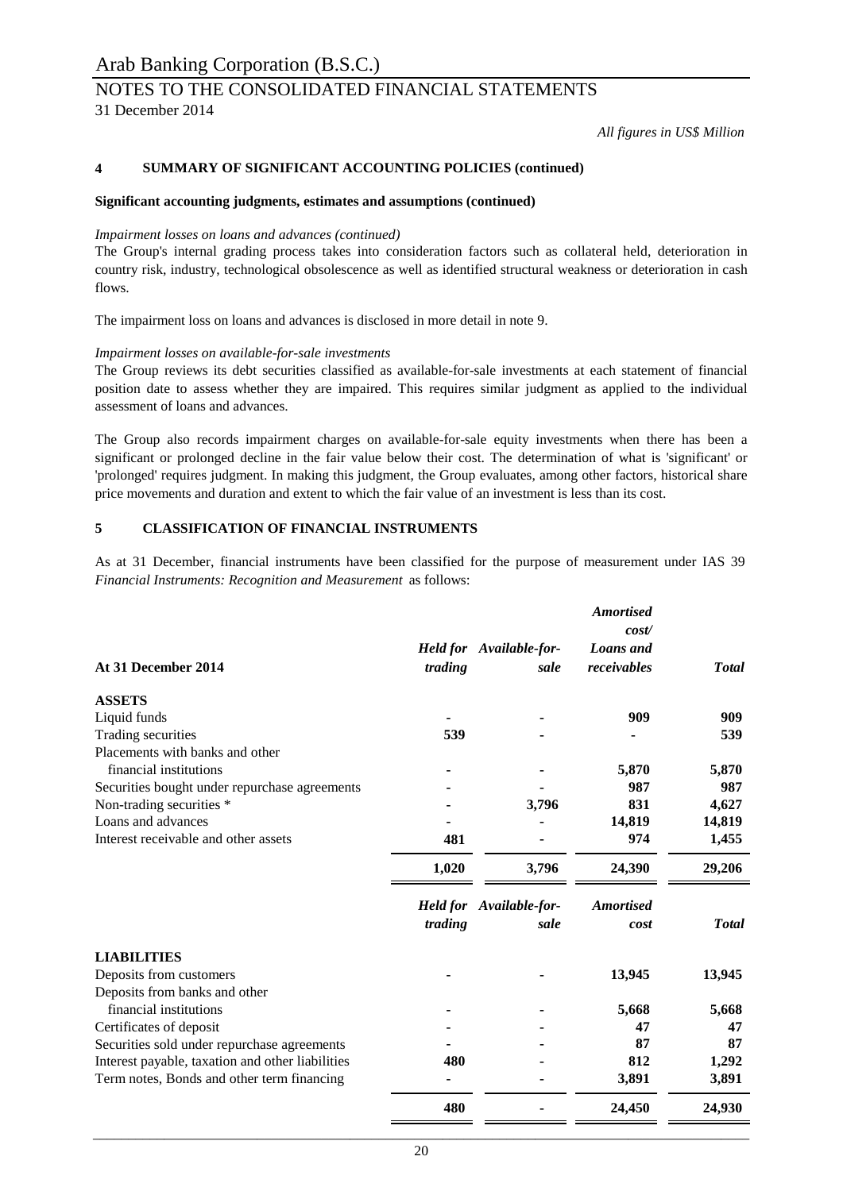31 December 2014

*All figures in US\$ Million*

#### **4 SUMMARY OF SIGNIFICANT ACCOUNTING POLICIES (continued)**

### **Significant accounting judgments, estimates and assumptions (continued)**

### *Impairment losses on loans and advances (continued)*

The Group's internal grading process takes into consideration factors such as collateral held, deterioration in country risk, industry, technological obsolescence as well as identified structural weakness or deterioration in cash flows.

The impairment loss on loans and advances is disclosed in more detail in note 9.

### *Impairment losses on available-for-sale investments*

The Group reviews its debt securities classified as available-for-sale investments at each statement of financial position date to assess whether they are impaired. This requires similar judgment as applied to the individual assessment of loans and advances.

The Group also records impairment charges on available-for-sale equity investments when there has been a significant or prolonged decline in the fair value below their cost. The determination of what is 'significant' or 'prolonged' requires judgment. In making this judgment, the Group evaluates, among other factors, historical share price movements and duration and extent to which the fair value of an investment is less than its cost.

### **5 CLASSIFICATION OF FINANCIAL INSTRUMENTS**

As at 31 December, financial instruments have been classified for the purpose of measurement under IAS 39 *Financial Instruments: Recognition and Measurement* as follows:

|                                                  |                 |                         | <b>Amortised</b><br>cost/ |               |
|--------------------------------------------------|-----------------|-------------------------|---------------------------|---------------|
|                                                  |                 | Held for Available-for- | <b>Loans</b> and          |               |
| At 31 December 2014                              | trading         | sale                    | receivables               | <b>T</b> otal |
| <b>ASSETS</b>                                    |                 |                         |                           |               |
| Liquid funds                                     |                 |                         | 909                       | 909           |
| Trading securities                               | 539             |                         |                           | 539           |
| Placements with banks and other                  |                 |                         |                           |               |
| financial institutions                           |                 |                         | 5,870                     | 5,870         |
| Securities bought under repurchase agreements    |                 |                         | 987                       | 987           |
| Non-trading securities *                         |                 | 3,796                   | 831                       | 4,627         |
| Loans and advances                               |                 |                         | 14,819                    | 14,819        |
| Interest receivable and other assets             | 481             |                         | 974                       | 1,455         |
|                                                  | 1,020           | 3,796                   | 24,390                    | 29,206        |
|                                                  | <b>Held for</b> | Available-for-          | <b>Amortised</b>          |               |
|                                                  | trading         | sale                    | cost                      | <b>T</b> otal |
| <b>LIABILITIES</b>                               |                 |                         |                           |               |
| Deposits from customers                          |                 |                         | 13,945                    | 13,945        |
| Deposits from banks and other                    |                 |                         |                           |               |
| financial institutions                           |                 |                         | 5,668                     | 5,668         |
| Certificates of deposit                          |                 |                         | 47                        | 47            |
| Securities sold under repurchase agreements      |                 |                         | 87                        | 87            |
| Interest payable, taxation and other liabilities | 480             |                         | 812                       | 1,292         |
| Term notes, Bonds and other term financing       |                 |                         | 3,891                     | 3,891         |
|                                                  | 480             |                         | 24,450                    | 24,930        |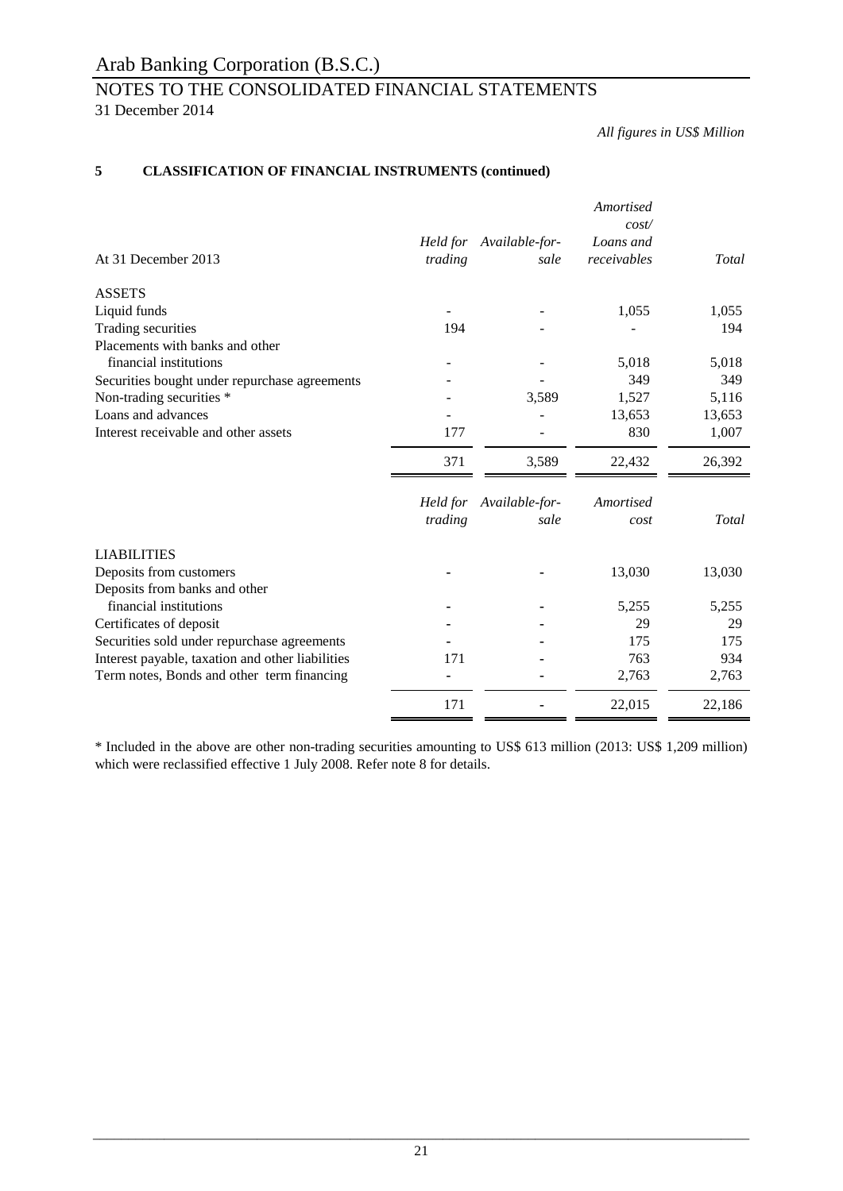31 December 2014

*All figures in US\$ Million*

## **5 CLASSIFICATION OF FINANCIAL INSTRUMENTS (continued)**

|                                                  |                     |                        | Amortised<br>cost/<br>Loans and |        |
|--------------------------------------------------|---------------------|------------------------|---------------------------------|--------|
| At 31 December 2013                              | Held for<br>trading | Available-for-<br>sale | receivables                     | Total  |
| <b>ASSETS</b>                                    |                     |                        |                                 |        |
| Liquid funds                                     |                     |                        | 1,055                           | 1,055  |
| Trading securities                               | 194                 |                        |                                 | 194    |
| Placements with banks and other                  |                     |                        |                                 |        |
| financial institutions                           |                     |                        | 5,018                           | 5,018  |
| Securities bought under repurchase agreements    |                     |                        | 349                             | 349    |
| Non-trading securities *                         |                     | 3,589                  | 1,527                           | 5,116  |
| Loans and advances                               |                     |                        | 13,653                          | 13,653 |
| Interest receivable and other assets             | 177                 |                        | 830                             | 1,007  |
|                                                  | 371                 | 3,589                  | 22,432                          | 26,392 |
|                                                  | Held for            | Available-for-         | Amortised                       |        |
|                                                  | trading             | sale                   | cost                            | Total  |
| <b>LIABILITIES</b>                               |                     |                        |                                 |        |
| Deposits from customers                          |                     |                        | 13,030                          | 13,030 |
| Deposits from banks and other                    |                     |                        |                                 |        |
| financial institutions                           |                     |                        | 5,255                           | 5,255  |
| Certificates of deposit                          |                     |                        | 29                              | 29     |
| Securities sold under repurchase agreements      |                     |                        | 175                             | 175    |
| Interest payable, taxation and other liabilities | 171                 |                        | 763                             | 934    |
| Term notes, Bonds and other term financing       |                     |                        | 2,763                           | 2,763  |
|                                                  | 171                 |                        | 22,015                          | 22,186 |

\* Included in the above are other non-trading securities amounting to US\$ 613 million (2013: US\$ 1,209 million) which were reclassified effective 1 July 2008. Refer note 8 for details.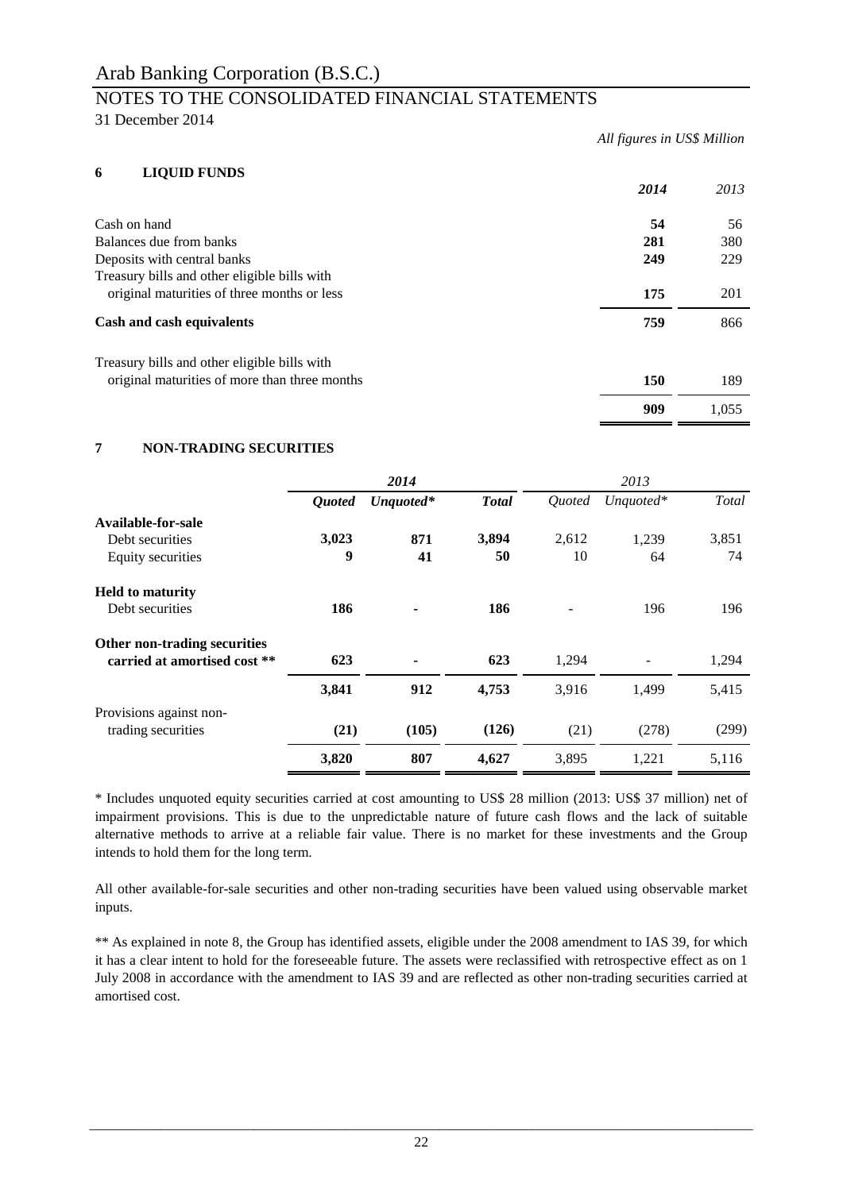## NOTES TO THE CONSOLIDATED FINANCIAL STATEMENTS

31 December 2014

*All figures in US\$ Million*

| <b>LIQUID FUNDS</b><br>6                      |      |       |
|-----------------------------------------------|------|-------|
|                                               | 2014 | 2013  |
| Cash on hand                                  | 54   | 56    |
| Balances due from banks                       | 281  | 380   |
| Deposits with central banks                   | 249  | 229   |
| Treasury bills and other eligible bills with  |      |       |
| original maturities of three months or less   | 175  | 201   |
| Cash and cash equivalents                     | 759  | 866   |
| Treasury bills and other eligible bills with  |      |       |
| original maturities of more than three months | 150  | 189   |
|                                               | 909  | 1.055 |

### **7 NON-TRADING SECURITIES**

|                              |               | 2014      |               |               | 2013      |       |
|------------------------------|---------------|-----------|---------------|---------------|-----------|-------|
|                              | <b>Ouoted</b> | Unquoted* | <b>T</b> otal | <i>Ouoted</i> | Unquoted* | Total |
| Available-for-sale           |               |           |               |               |           |       |
| Debt securities              | 3,023         | 871       | 3,894         | 2,612         | 1,239     | 3,851 |
| Equity securities            | 9             | 41        | 50            | 10            | 64        | 74    |
| <b>Held to maturity</b>      |               |           |               |               |           |       |
| Debt securities              | 186           |           | 186           |               | 196       | 196   |
| Other non-trading securities |               |           |               |               |           |       |
| carried at amortised cost ** | 623           |           | 623           | 1,294         |           | 1,294 |
|                              | 3,841         | 912       | 4,753         | 3,916         | 1,499     | 5,415 |
| Provisions against non-      |               |           |               |               |           |       |
| trading securities           | (21)          | (105)     | (126)         | (21)          | (278)     | (299) |
|                              | 3,820         | 807       | 4,627         | 3,895         | 1,221     | 5,116 |
|                              |               |           |               |               |           |       |

\* Includes unquoted equity securities carried at cost amounting to US\$ 28 million (2013: US\$ 37 million) net of impairment provisions. This is due to the unpredictable nature of future cash flows and the lack of suitable alternative methods to arrive at a reliable fair value. There is no market for these investments and the Group intends to hold them for the long term.

All other available-for-sale securities and other non-trading securities have been valued using observable market inputs.

\*\* As explained in note 8, the Group has identified assets, eligible under the 2008 amendment to IAS 39, for which it has a clear intent to hold for the foreseeable future. The assets were reclassified with retrospective effect as on 1 July 2008 in accordance with the amendment to IAS 39 and are reflected as other non-trading securities carried at amortised cost.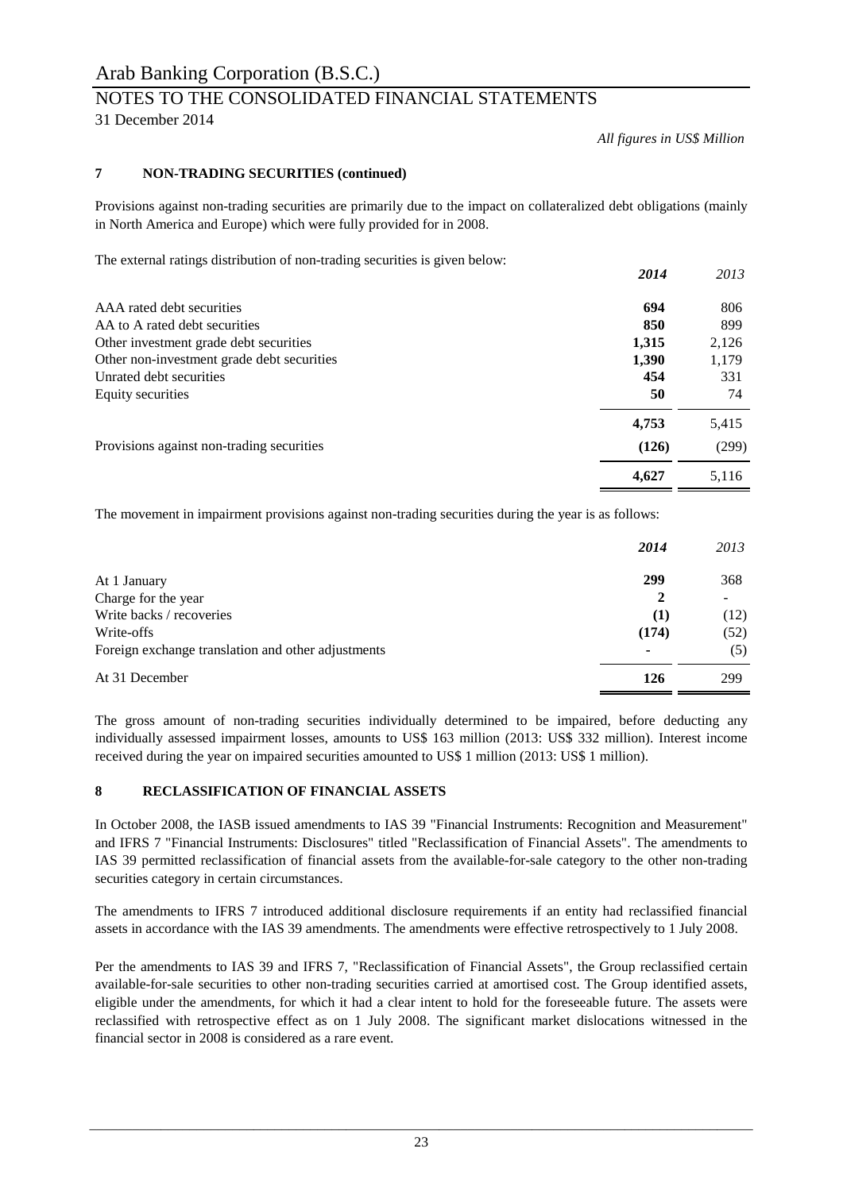# NOTES TO THE CONSOLIDATED FINANCIAL STATEMENTS

31 December 2014

*All figures in US\$ Million*

*2014 2013*

### **7 NON-TRADING SECURITIES (continued)**

Provisions against non-trading securities are primarily due to the impact on collateralized debt obligations (mainly in North America and Europe) which were fully provided for in 2008.

The external ratings distribution of non-trading securities is given below:

|                                            | 201T  | 2012  |
|--------------------------------------------|-------|-------|
| AAA rated debt securities                  | 694   | 806   |
| AA to A rated debt securities              | 850   | 899   |
| Other investment grade debt securities     | 1,315 | 2,126 |
| Other non-investment grade debt securities | 1,390 | 1,179 |
| Unrated debt securities                    | 454   | 331   |
| Equity securities                          | 50    | 74    |
|                                            | 4,753 | 5,415 |
| Provisions against non-trading securities  | (126) | (299) |
|                                            | 4,627 | 5,116 |

The movement in impairment provisions against non-trading securities during the year is as follows:

|                                                    | 2014  | 2013 |
|----------------------------------------------------|-------|------|
| At 1 January                                       | 299   | 368  |
| Charge for the year                                | 2     |      |
| Write backs / recoveries                           | (1)   | (12) |
| Write-offs                                         | (174) | (52) |
| Foreign exchange translation and other adjustments | -     | (5)  |
| At 31 December                                     | 126   | 299  |

The gross amount of non-trading securities individually determined to be impaired, before deducting any individually assessed impairment losses, amounts to US\$ 163 million (2013: US\$ 332 million). Interest income received during the year on impaired securities amounted to US\$ 1 million (2013: US\$ 1 million).

#### **8 RECLASSIFICATION OF FINANCIAL ASSETS**

In October 2008, the IASB issued amendments to IAS 39 "Financial Instruments: Recognition and Measurement" and IFRS 7 "Financial Instruments: Disclosures" titled "Reclassification of Financial Assets". The amendments to IAS 39 permitted reclassification of financial assets from the available-for-sale category to the other non-trading securities category in certain circumstances.

The amendments to IFRS 7 introduced additional disclosure requirements if an entity had reclassified financial assets in accordance with the IAS 39 amendments. The amendments were effective retrospectively to 1 July 2008.

Per the amendments to IAS 39 and IFRS 7, "Reclassification of Financial Assets", the Group reclassified certain available-for-sale securities to other non-trading securities carried at amortised cost. The Group identified assets, eligible under the amendments, for which it had a clear intent to hold for the foreseeable future. The assets were reclassified with retrospective effect as on 1 July 2008. The significant market dislocations witnessed in the financial sector in 2008 is considered as a rare event.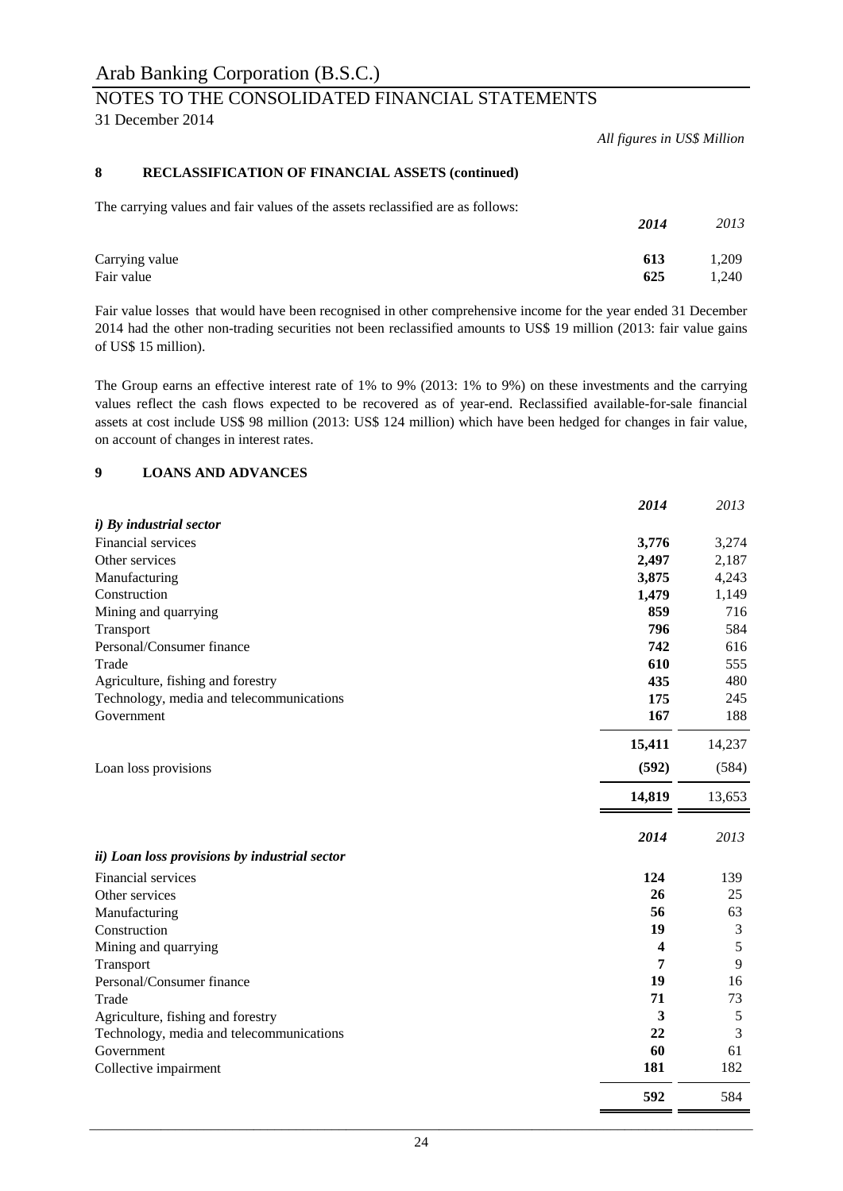## NOTES TO THE CONSOLIDATED FINANCIAL STATEMENTS

31 December 2014

*All figures in US\$ Million*

 $=$   $=$ 

#### **8 RECLASSIFICATION OF FINANCIAL ASSETS (continued)**

The carrying values and fair values of the assets reclassified are as follows:

|                | 2014 | 2013  |
|----------------|------|-------|
| Carrying value | 613  | 1,209 |
| Fair value     | 625  | 1,240 |

Fair value losses that would have been recognised in other comprehensive income for the year ended 31 December 2014 had the other non-trading securities not been reclassified amounts to US\$ 19 million (2013: fair value gains of US\$ 15 million).

The Group earns an effective interest rate of 1% to 9% (2013: 1% to 9%) on these investments and the carrying values reflect the cash flows expected to be recovered as of year-end. Reclassified available-for-sale financial assets at cost include US\$ 98 million (2013: US\$ 124 million) which have been hedged for changes in fair value, on account of changes in interest rates.

### **9 LOANS AND ADVANCES**

|                                               | 2014   | 2013           |
|-----------------------------------------------|--------|----------------|
| <i>i</i> ) By industrial sector               |        |                |
| <b>Financial services</b>                     | 3,776  | 3,274          |
| Other services                                | 2,497  | 2,187          |
| Manufacturing                                 | 3,875  | 4,243          |
| Construction                                  | 1,479  | 1,149          |
| Mining and quarrying                          | 859    | 716            |
| Transport                                     | 796    | 584            |
| Personal/Consumer finance                     | 742    | 616            |
| Trade                                         | 610    | 555            |
| Agriculture, fishing and forestry             | 435    | 480            |
| Technology, media and telecommunications      | 175    | 245            |
| Government                                    | 167    | 188            |
|                                               | 15,411 | 14,237         |
| Loan loss provisions                          | (592)  | (584)          |
|                                               | 14,819 | 13,653         |
|                                               | 2014   | 2013           |
| ii) Loan loss provisions by industrial sector |        |                |
| <b>Financial services</b>                     | 124    | 139            |
| Other services                                | 26     | 25             |
| Manufacturing                                 | 56     | 63             |
| Construction                                  | 19     | $\mathfrak{Z}$ |
| Mining and quarrying                          | 4      | $\sqrt{5}$     |
| Transport                                     | 7      | 9              |
| Personal/Consumer finance                     | 19     | 16             |
| Trade                                         | 71     | 73             |
| Agriculture, fishing and forestry             | 3      | $\mathfrak s$  |
| Technology, media and telecommunications      | 22     | 3              |
| Government                                    | 60     | 61             |
| Collective impairment                         | 181    | 182            |
|                                               | 592    | 584            |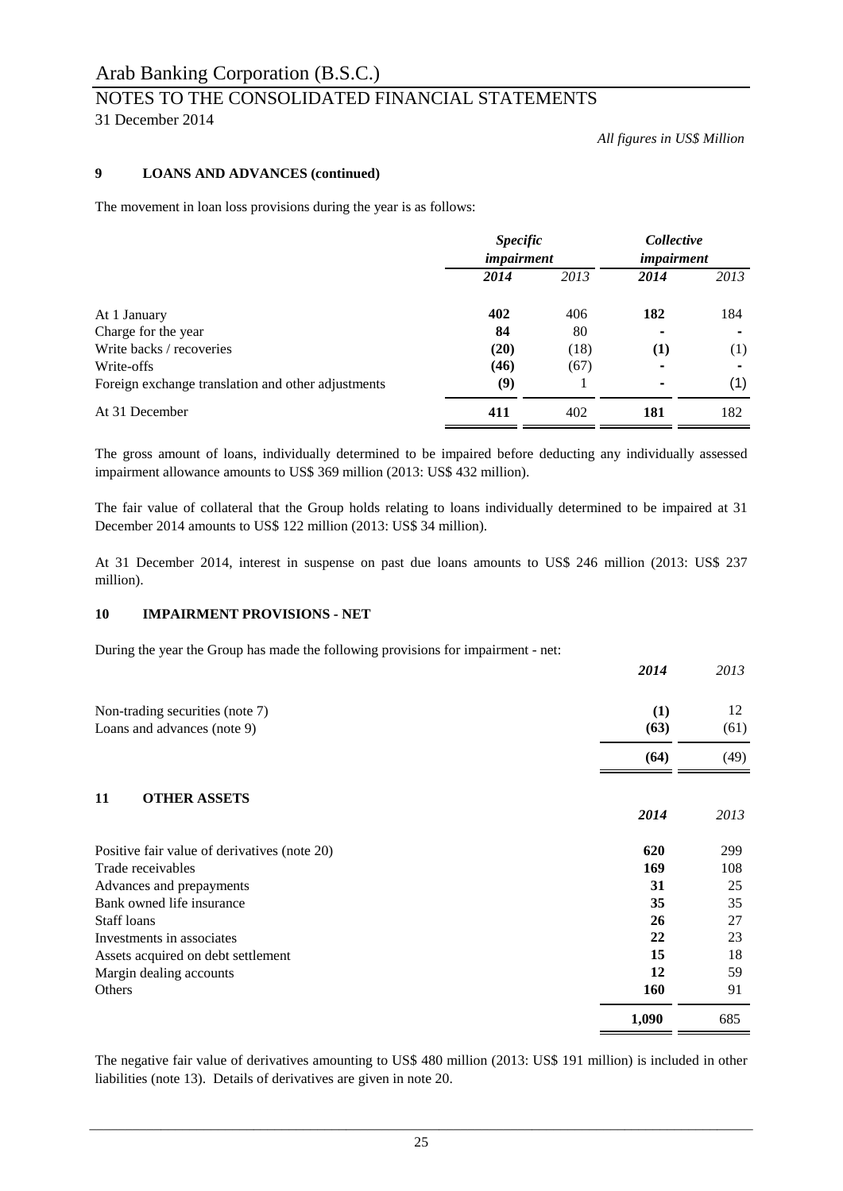# NOTES TO THE CONSOLIDATED FINANCIAL STATEMENTS

31 December 2014

*All figures in US\$ Million*

### **9 LOANS AND ADVANCES (continued)**

The movement in loan loss provisions during the year is as follows:

|                                                    | <b>Specific</b><br>impairment |      | Collective<br>impairment |      |
|----------------------------------------------------|-------------------------------|------|--------------------------|------|
|                                                    | 2014                          | 2013 | 2014                     | 2013 |
| At 1 January                                       | 402                           | 406  | 182                      | 184  |
| Charge for the year                                | 84                            | 80   | $\blacksquare$           |      |
| Write backs / recoveries                           | (20)                          | (18) | (1)                      | (1)  |
| Write-offs                                         | (46)                          | (67) |                          |      |
| Foreign exchange translation and other adjustments | (9)                           |      | $\blacksquare$           | (1)  |
| At 31 December                                     | 411                           | 402  | 181                      | 182  |

The gross amount of loans, individually determined to be impaired before deducting any individually assessed impairment allowance amounts to US\$ 369 million (2013: US\$ 432 million).

The fair value of collateral that the Group holds relating to loans individually determined to be impaired at 31 December 2014 amounts to US\$ 122 million (2013: US\$ 34 million).

At 31 December 2014, interest in suspense on past due loans amounts to US\$ 246 million (2013: US\$ 237 million).

### **10 IMPAIRMENT PROVISIONS - NET**

During the year the Group has made the following provisions for impairment - net:

|                                              | 2014       | 2013 |
|----------------------------------------------|------------|------|
| Non-trading securities (note 7)              | (1)        | 12   |
| Loans and advances (note 9)                  | (63)       | (61) |
|                                              | (64)       | (49) |
| 11<br><b>OTHER ASSETS</b>                    |            |      |
|                                              | 2014       | 2013 |
| Positive fair value of derivatives (note 20) | 620        | 299  |
| Trade receivables                            | 169        | 108  |
| Advances and prepayments                     | 31         | 25   |
| Bank owned life insurance                    | 35         | 35   |
| <b>Staff</b> loans                           | 26         | 27   |
| Investments in associates                    | 22         | 23   |
| Assets acquired on debt settlement           | 15         | 18   |
| Margin dealing accounts                      | 12         | 59   |
| Others                                       | <b>160</b> | 91   |
|                                              | 1,090      | 685  |

The negative fair value of derivatives amounting to US\$ 480 million (2013: US\$ 191 million) is included in other liabilities (note 13). Details of derivatives are given in note 20.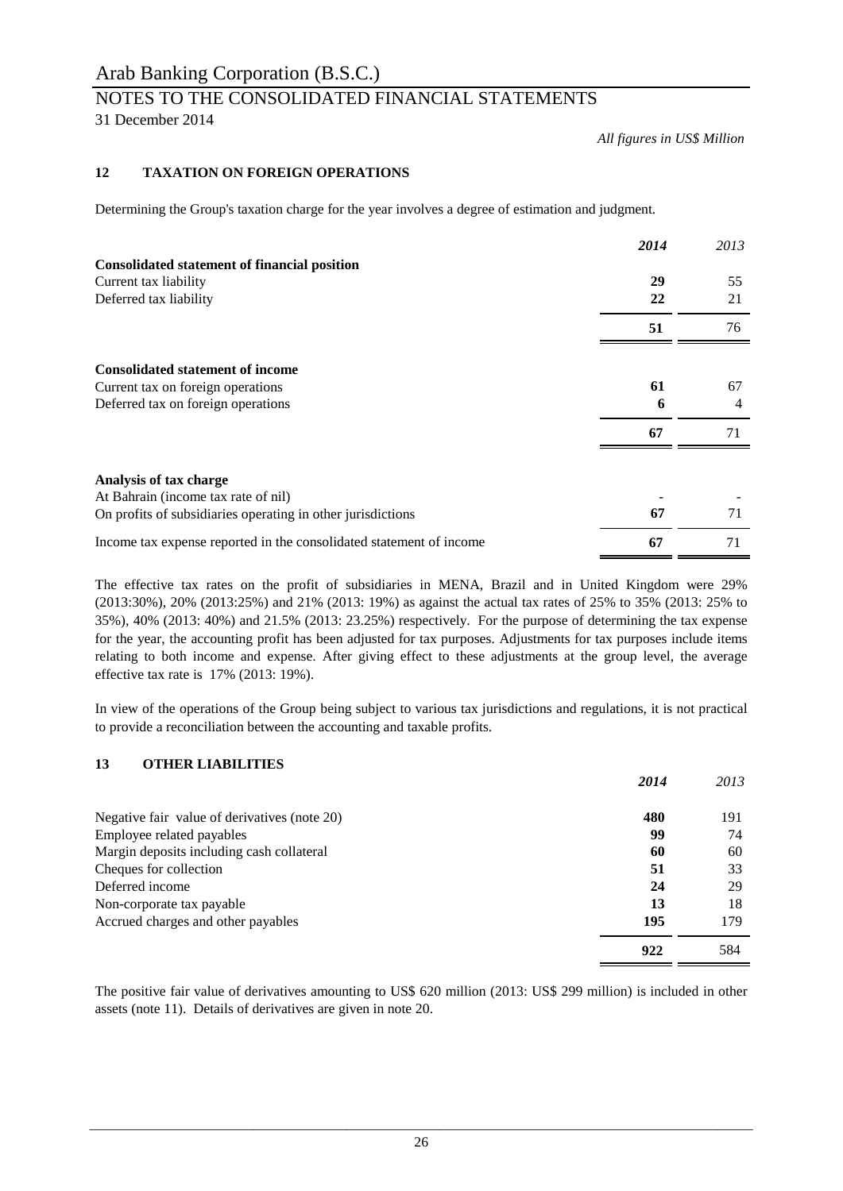## NOTES TO THE CONSOLIDATED FINANCIAL STATEMENTS 31 December 2014

*All figures in US\$ Million*

#### **12 TAXATION ON FOREIGN OPERATIONS**

Determining the Group's taxation charge for the year involves a degree of estimation and judgment.

|                                                                     | 2014 | 2013 |
|---------------------------------------------------------------------|------|------|
| <b>Consolidated statement of financial position</b>                 |      |      |
| Current tax liability                                               | 29   | 55   |
| Deferred tax liability                                              | 22   | 21   |
|                                                                     | 51   | 76   |
| <b>Consolidated statement of income</b>                             |      |      |
| Current tax on foreign operations                                   | 61   | 67   |
| Deferred tax on foreign operations                                  | 6    | 4    |
|                                                                     | 67   | 71   |
|                                                                     |      |      |
| Analysis of tax charge                                              |      |      |
| At Bahrain (income tax rate of nil)                                 |      |      |
| On profits of subsidiaries operating in other jurisdictions         | 67   | 71   |
| Income tax expense reported in the consolidated statement of income | 67   | 71   |

The effective tax rates on the profit of subsidiaries in MENA, Brazil and in United Kingdom were 29% (2013:30%), 20% (2013:25%) and 21% (2013: 19%) as against the actual tax rates of 25% to 35% (2013: 25% to 35%), 40% (2013: 40%) and 21.5% (2013: 23.25%) respectively. For the purpose of determining the tax expense for the year, the accounting profit has been adjusted for tax purposes. Adjustments for tax purposes include items relating to both income and expense. After giving effect to these adjustments at the group level, the average effective tax rate is 17% (2013: 19%).

In view of the operations of the Group being subject to various tax jurisdictions and regulations, it is not practical to provide a reconciliation between the accounting and taxable profits.

### **13 OTHER LIABILITIES**

|                                              | 2014 | 2013 |
|----------------------------------------------|------|------|
| Negative fair value of derivatives (note 20) | 480  | 191  |
| Employee related payables                    | 99   | 74   |
| Margin deposits including cash collateral    | 60   | 60   |
| Cheques for collection                       | 51   | 33   |
| Deferred income                              | 24   | 29   |
| Non-corporate tax payable                    | 13   | 18   |
| Accrued charges and other payables           | 195  | 179  |
|                                              | 922  | 584  |

The positive fair value of derivatives amounting to US\$ 620 million (2013: US\$ 299 million) is included in other assets (note 11). Details of derivatives are given in note 20.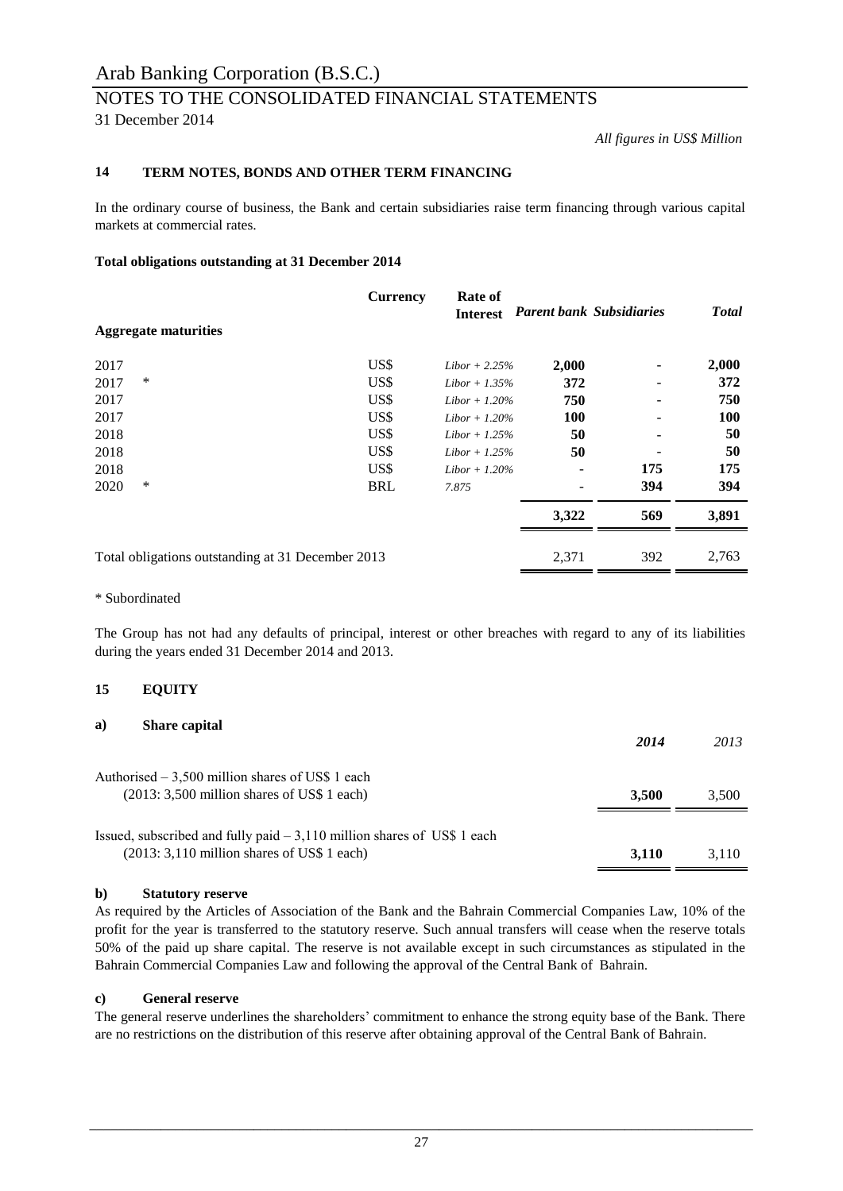## NOTES TO THE CONSOLIDATED FINANCIAL STATEMENTS

31 December 2014

*All figures in US\$ Million*

#### **14 TERM NOTES, BONDS AND OTHER TERM FINANCING**

In the ordinary course of business, the Bank and certain subsidiaries raise term financing through various capital markets at commercial rates.

### **Total obligations outstanding at 31 December 2014**

|                             | <b>Currency</b>                                   | Rate of<br><b>Interest</b> | <b>Parent bank Subsidiaries</b> |     | <b>Total</b> |
|-----------------------------|---------------------------------------------------|----------------------------|---------------------------------|-----|--------------|
| <b>Aggregate maturities</b> |                                                   |                            |                                 |     |              |
| 2017                        | US\$                                              | $Libor + 2.25\%$           | 2,000                           | -   | 2,000        |
| ∗<br>2017                   | US\$                                              | $Libor + 1.35\%$           | 372                             |     | 372          |
| 2017                        | US\$                                              | <i>Libor</i> + $1.20\%$    | 750                             |     | 750          |
| 2017                        | US\$                                              | $Libor + 1.20\%$           | <b>100</b>                      | -   | <b>100</b>   |
| 2018                        | US\$                                              | $Libor + 1.25\%$           | 50                              |     | 50           |
| 2018                        | US\$                                              | $Libor + 1.25%$            | 50                              |     | 50           |
| 2018                        | US\$                                              | Libor + $1.20\%$           |                                 | 175 | 175          |
| *<br>2020                   | <b>BRL</b>                                        | 7.875                      |                                 | 394 | 394          |
|                             |                                                   |                            | 3,322                           | 569 | 3,891        |
|                             | Total obligations outstanding at 31 December 2013 |                            | 2,371                           | 392 | 2,763        |

### \* Subordinated

The Group has not had any defaults of principal, interest or other breaches with regard to any of its liabilities during the years ended 31 December 2014 and 2013.

### **15 EQUITY**

| a)<br><b>Share capital</b>                                                                                                | 2014  | 2013  |
|---------------------------------------------------------------------------------------------------------------------------|-------|-------|
| Authorised $-3,500$ million shares of US\$ 1 each<br>$(2013: 3,500$ million shares of US\$ 1 each)                        | 3.500 | 3,500 |
| Issued, subscribed and fully paid $-3,110$ million shares of US\$ 1 each<br>$(2013: 3,110$ million shares of US\$ 1 each) | 3.110 | 3.110 |

### **b) Statutory reserve**

As required by the Articles of Association of the Bank and the Bahrain Commercial Companies Law, 10% of the profit for the year is transferred to the statutory reserve. Such annual transfers will cease when the reserve totals 50% of the paid up share capital. The reserve is not available except in such circumstances as stipulated in the Bahrain Commercial Companies Law and following the approval of the Central Bank of Bahrain.

### **c) General reserve**

The general reserve underlines the shareholders' commitment to enhance the strong equity base of the Bank. There are no restrictions on the distribution of this reserve after obtaining approval of the Central Bank of Bahrain.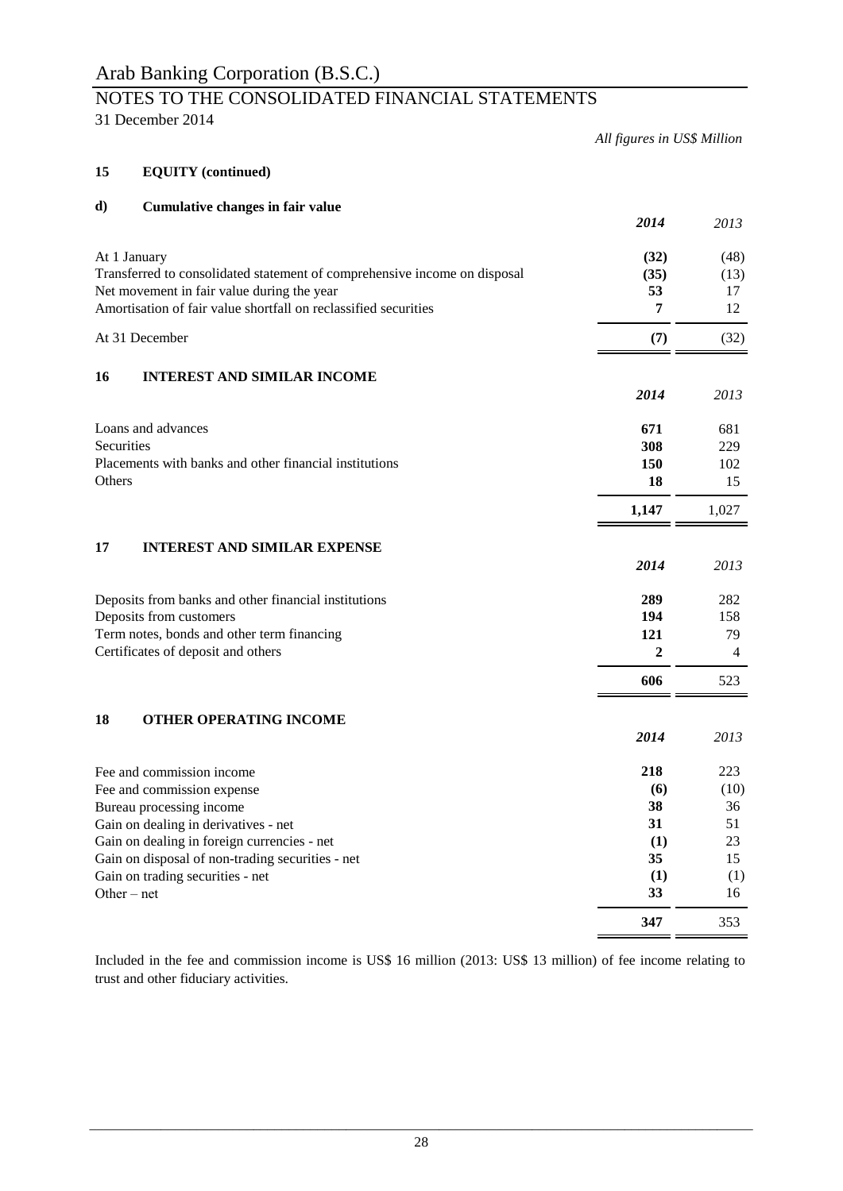# NOTES TO THE CONSOLIDATED FINANCIAL STATEMENTS

31 December 2014

*All figures in US\$ Million*

| 15         | <b>EQUITY</b> (continued)                                                 |                  |                |
|------------|---------------------------------------------------------------------------|------------------|----------------|
| d)         | <b>Cumulative changes in fair value</b>                                   |                  |                |
|            |                                                                           | 2014             | 2013           |
|            | At 1 January                                                              | (32)             | (48)           |
|            | Transferred to consolidated statement of comprehensive income on disposal | (35)             | (13)           |
|            | Net movement in fair value during the year                                | 53               | 17             |
|            | Amortisation of fair value shortfall on reclassified securities           | 7                | 12             |
|            | At 31 December                                                            | (7)              | (32)           |
| 16         | <b>INTEREST AND SIMILAR INCOME</b>                                        |                  |                |
|            |                                                                           | 2014             | 2013           |
|            | Loans and advances                                                        | 671              | 681            |
| Securities |                                                                           | 308              | 229            |
|            | Placements with banks and other financial institutions                    | 150              | 102            |
| Others     |                                                                           | 18               | 15             |
|            |                                                                           | 1,147            | 1,027          |
| 17         | <b>INTEREST AND SIMILAR EXPENSE</b>                                       |                  |                |
|            |                                                                           | 2014             | 2013           |
|            | Deposits from banks and other financial institutions                      | 289              | 282            |
|            | Deposits from customers                                                   | 194              | 158            |
|            | Term notes, bonds and other term financing                                | 121              | 79             |
|            | Certificates of deposit and others                                        | $\boldsymbol{2}$ | $\overline{4}$ |
|            |                                                                           | 606              | 523            |
| 18         | <b>OTHER OPERATING INCOME</b>                                             |                  |                |
|            |                                                                           | 2014             | 2013           |
|            | Fee and commission income                                                 | 218              | 223            |
|            | Fee and commission expense                                                | (6)              | (10)           |
|            | Bureau processing income                                                  | 38               | 36             |
|            | Gain on dealing in derivatives - net                                      | 31               | 51             |
|            | Gain on dealing in foreign currencies - net                               | (1)              | 23             |
|            | Gain on disposal of non-trading securities - net                          | 35               | 15             |
|            | Gain on trading securities - net                                          | (1)              | (1)            |
|            | Other $-$ net                                                             | 33               | 16             |
|            |                                                                           | 347              | 353            |

Included in the fee and commission income is US\$ 16 million (2013: US\$ 13 million) of fee income relating to trust and other fiduciary activities.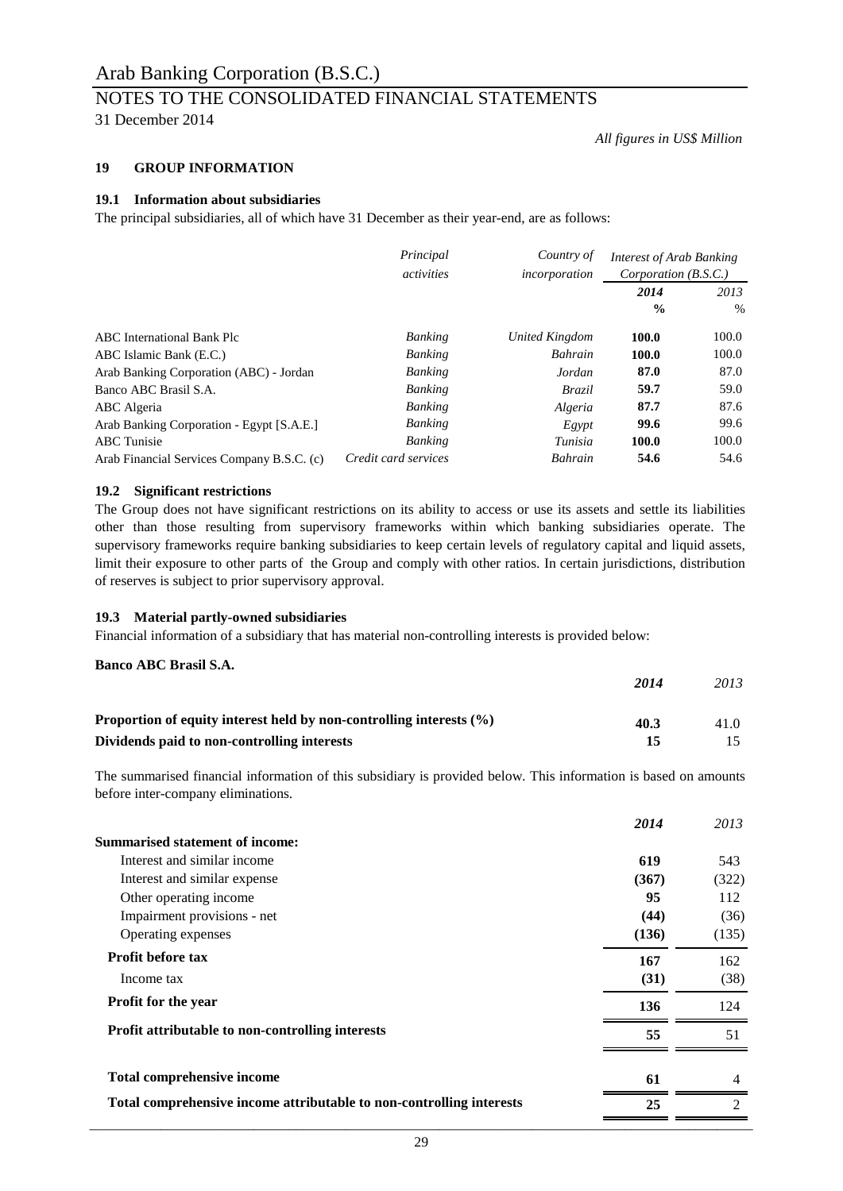# NOTES TO THE CONSOLIDATED FINANCIAL STATEMENTS

31 December 2014

*All figures in US\$ Million*

*2014 2013*

#### **19 GROUP INFORMATION**

### **19.1 Information about subsidiaries**

The principal subsidiaries, all of which have 31 December as their year-end, are as follows:

|                                            | Principal<br>activities | Country of<br>incorporation | Interest of Arab Banking<br>Corporation (B.S.C.) |       |
|--------------------------------------------|-------------------------|-----------------------------|--------------------------------------------------|-------|
|                                            |                         |                             | 2014                                             | 2013  |
|                                            |                         |                             | $\frac{0}{0}$                                    | $\%$  |
| <b>ABC</b> International Bank Plc          | Banking                 | United Kingdom              | <b>100.0</b>                                     | 100.0 |
| ABC Islamic Bank (E.C.)                    | Banking                 | Bahrain                     | 100.0                                            | 100.0 |
| Arab Banking Corporation (ABC) - Jordan    | Banking                 | Jordan                      | 87.0                                             | 87.0  |
| Banco ABC Brasil S.A.                      | <b>Banking</b>          | <i>Brazil</i>               | 59.7                                             | 59.0  |
| ABC Algeria                                | <b>Banking</b>          | Algeria                     | 87.7                                             | 87.6  |
| Arab Banking Corporation - Egypt [S.A.E.]  | <b>Banking</b>          | Egypt                       | 99.6                                             | 99.6  |
| <b>ABC</b> Tunisie                         | <b>Banking</b>          | Tunisia                     | 100.0                                            | 100.0 |
| Arab Financial Services Company B.S.C. (c) | Credit card services    | Bahrain                     | 54.6                                             | 54.6  |

### **19.2 Significant restrictions**

The Group does not have significant restrictions on its ability to access or use its assets and settle its liabilities other than those resulting from supervisory frameworks within which banking subsidiaries operate. The supervisory frameworks require banking subsidiaries to keep certain levels of regulatory capital and liquid assets, limit their exposure to other parts of the Group and comply with other ratios. In certain jurisdictions, distribution of reserves is subject to prior supervisory approval.

### **19.3 Material partly-owned subsidiaries**

Financial information of a subsidiary that has material non-controlling interests is provided below:

**Banco ABC Brasil S.A.** 

|                                                                            | $\sim$ unt | 201.7 |
|----------------------------------------------------------------------------|------------|-------|
| <b>Proportion of equity interest held by non-controlling interests (%)</b> | 40.3       | 41.0  |
| Dividends paid to non-controlling interests                                |            |       |

The summarised financial information of this subsidiary is provided below. This information is based on amounts before inter-company eliminations.

|                                                                      | 2014  | 2013                        |
|----------------------------------------------------------------------|-------|-----------------------------|
| <b>Summarised statement of income:</b>                               |       |                             |
| Interest and similar income                                          | 619   | 543                         |
| Interest and similar expense                                         | (367) | (322)                       |
| Other operating income                                               | 95    | 112                         |
| Impairment provisions - net                                          | (44)  | (36)                        |
| Operating expenses                                                   | (136) | (135)                       |
| <b>Profit before tax</b>                                             | 167   | 162                         |
| Income tax                                                           | (31)  | (38)                        |
| Profit for the year                                                  | 136   | 124                         |
| <b>Profit attributable to non-controlling interests</b>              | 55    | 51                          |
| <b>Total comprehensive income</b>                                    | 61    |                             |
|                                                                      |       |                             |
| Total comprehensive income attributable to non-controlling interests | 25    | $\mathcal{D}_{\mathcal{L}}$ |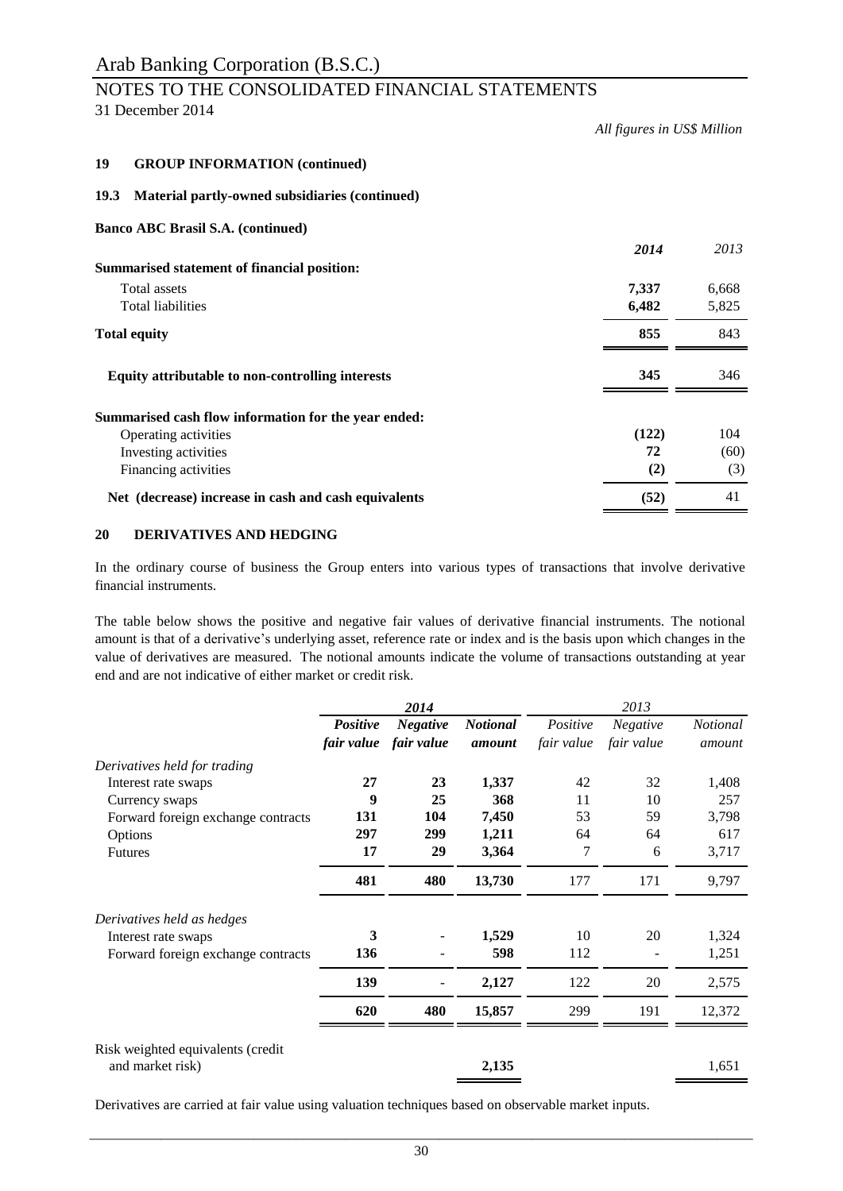# NOTES TO THE CONSOLIDATED FINANCIAL STATEMENTS

31 December 2014

*All figures in US\$ Million*

#### **19 GROUP INFORMATION (continued)**

### **19.3 Material partly-owned subsidiaries (continued)**

| <b>Banco ABC Brasil S.A. (continued)</b>             |       |       |
|------------------------------------------------------|-------|-------|
|                                                      | 2014  | 2013  |
| Summarised statement of financial position:          |       |       |
| Total assets                                         | 7,337 | 6,668 |
| <b>Total liabilities</b>                             | 6,482 | 5,825 |
| <b>Total equity</b>                                  | 855   | 843   |
| Equity attributable to non-controlling interests     | 345   | 346   |
| Summarised cash flow information for the year ended: |       |       |
| Operating activities                                 | (122) | 104   |
| Investing activities                                 | 72    | (60)  |
| Financing activities                                 | (2)   | (3)   |
| Net (decrease) increase in cash and cash equivalents | (52)  | 41    |

### **20 DERIVATIVES AND HEDGING**

In the ordinary course of business the Group enters into various types of transactions that involve derivative financial instruments.

The table below shows the positive and negative fair values of derivative financial instruments. The notional amount is that of a derivative's underlying asset, reference rate or index and is the basis upon which changes in the value of derivatives are measured. The notional amounts indicate the volume of transactions outstanding at year end and are not indicative of either market or credit risk.

|                                                       | 2014            |            |                 | 2013       |            |                 |
|-------------------------------------------------------|-----------------|------------|-----------------|------------|------------|-----------------|
|                                                       | <b>Positive</b> | Negative   | <b>Notional</b> | Positive   | Negative   | <i>Notional</i> |
|                                                       | fair value      | fair value | amount          | fair value | fair value | amount          |
| Derivatives held for trading                          |                 |            |                 |            |            |                 |
| Interest rate swaps                                   | 27              | 23         | 1,337           | 42         | 32         | 1,408           |
| Currency swaps                                        | 9               | 25         | 368             | 11         | 10         | 257             |
| Forward foreign exchange contracts                    | 131             | 104        | 7,450           | 53         | 59         | 3,798           |
| Options                                               | 297             | 299        | 1,211           | 64         | 64         | 617             |
| <b>Futures</b>                                        | 17              | 29         | 3,364           | 7          | 6          | 3,717           |
|                                                       | 481             | 480        | 13,730          | 177        | 171        | 9,797           |
| Derivatives held as hedges                            |                 |            |                 |            |            |                 |
| Interest rate swaps                                   | 3               |            | 1,529           | 10         | 20         | 1,324           |
| Forward foreign exchange contracts                    | 136             |            | 598             | 112        |            | 1,251           |
|                                                       | 139             |            | 2,127           | 122        | 20         | 2,575           |
|                                                       | 620             | 480        | 15,857          | 299        | 191        | 12,372          |
|                                                       |                 |            |                 |            |            |                 |
| Risk weighted equivalents (credit<br>and market risk) |                 |            | 2,135           |            |            | 1,651           |

Derivatives are carried at fair value using valuation techniques based on observable market inputs.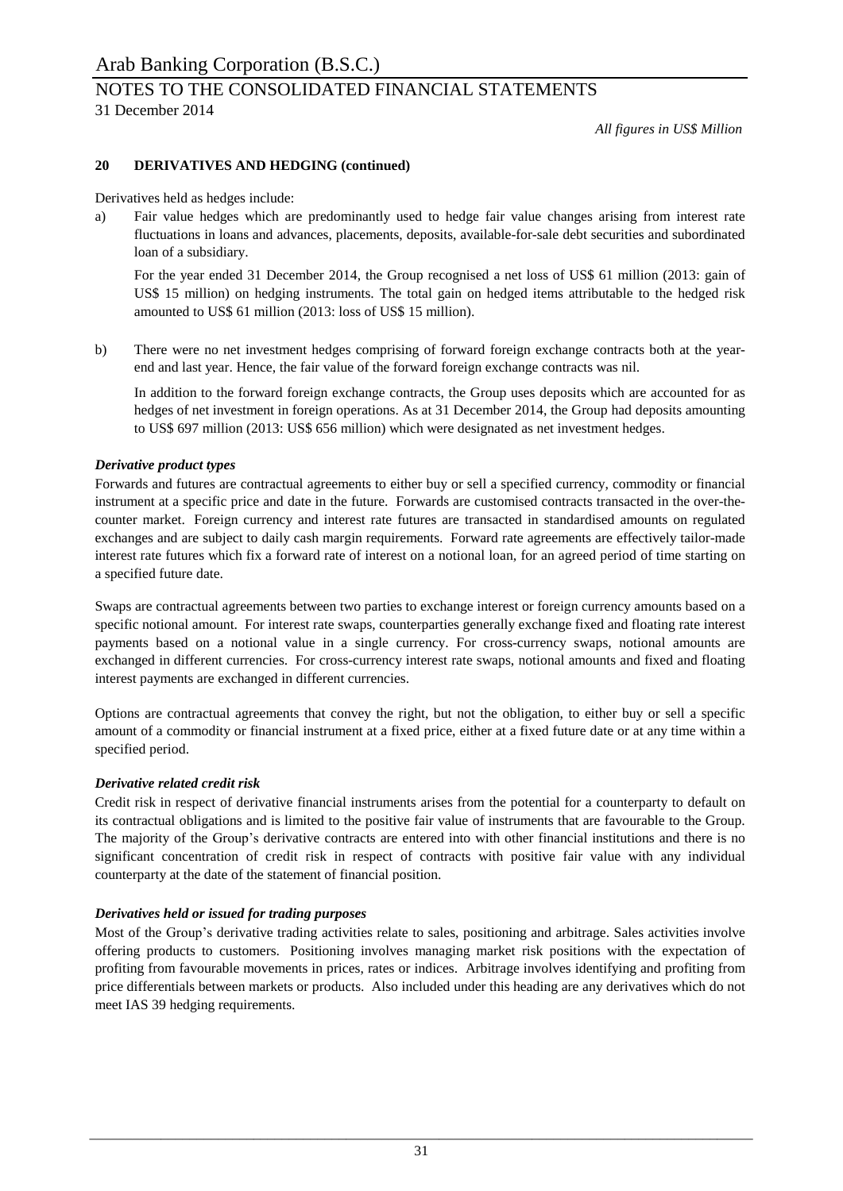31 December 2014

*All figures in US\$ Million*

### **20 DERIVATIVES AND HEDGING (continued)**

Derivatives held as hedges include:

a) Fair value hedges which are predominantly used to hedge fair value changes arising from interest rate fluctuations in loans and advances, placements, deposits, available-for-sale debt securities and subordinated loan of a subsidiary.

For the year ended 31 December 2014, the Group recognised a net loss of US\$ 61 million (2013: gain of US\$ 15 million) on hedging instruments. The total gain on hedged items attributable to the hedged risk amounted to US\$ 61 million (2013: loss of US\$ 15 million).

b) There were no net investment hedges comprising of forward foreign exchange contracts both at the yearend and last year. Hence, the fair value of the forward foreign exchange contracts was nil.

In addition to the forward foreign exchange contracts, the Group uses deposits which are accounted for as hedges of net investment in foreign operations. As at 31 December 2014, the Group had deposits amounting to US\$ 697 million (2013: US\$ 656 million) which were designated as net investment hedges.

### *Derivative product types*

Forwards and futures are contractual agreements to either buy or sell a specified currency, commodity or financial instrument at a specific price and date in the future. Forwards are customised contracts transacted in the over-thecounter market. Foreign currency and interest rate futures are transacted in standardised amounts on regulated exchanges and are subject to daily cash margin requirements. Forward rate agreements are effectively tailor-made interest rate futures which fix a forward rate of interest on a notional loan, for an agreed period of time starting on a specified future date.

Swaps are contractual agreements between two parties to exchange interest or foreign currency amounts based on a specific notional amount. For interest rate swaps, counterparties generally exchange fixed and floating rate interest payments based on a notional value in a single currency. For cross-currency swaps, notional amounts are exchanged in different currencies. For cross-currency interest rate swaps, notional amounts and fixed and floating interest payments are exchanged in different currencies.

Options are contractual agreements that convey the right, but not the obligation, to either buy or sell a specific amount of a commodity or financial instrument at a fixed price, either at a fixed future date or at any time within a specified period.

### *Derivative related credit risk*

Credit risk in respect of derivative financial instruments arises from the potential for a counterparty to default on its contractual obligations and is limited to the positive fair value of instruments that are favourable to the Group. The majority of the Group's derivative contracts are entered into with other financial institutions and there is no significant concentration of credit risk in respect of contracts with positive fair value with any individual counterparty at the date of the statement of financial position.

## *Derivatives held or issued for trading purposes*

Most of the Group's derivative trading activities relate to sales, positioning and arbitrage. Sales activities involve offering products to customers. Positioning involves managing market risk positions with the expectation of profiting from favourable movements in prices, rates or indices. Arbitrage involves identifying and profiting from price differentials between markets or products. Also included under this heading are any derivatives which do not meet IAS 39 hedging requirements.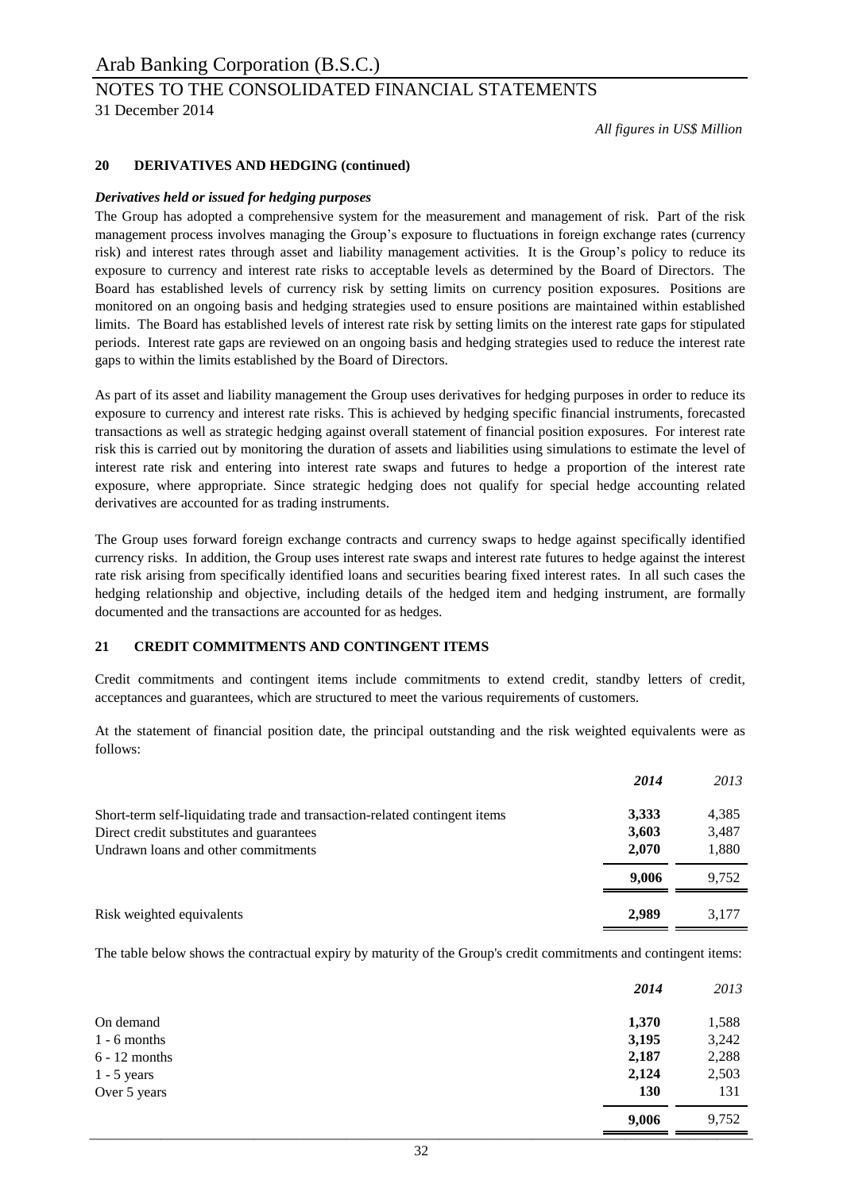31 December 2014

*All figures in US\$ Million*

### **20 DERIVATIVES AND HEDGING (continued)**

### *Derivatives held or issued for hedging purposes*

The Group has adopted a comprehensive system for the measurement and management of risk. Part of the risk management process involves managing the Group's exposure to fluctuations in foreign exchange rates (currency risk) and interest rates through asset and liability management activities. It is the Group's policy to reduce its exposure to currency and interest rate risks to acceptable levels as determined by the Board of Directors. The Board has established levels of currency risk by setting limits on currency position exposures. Positions are monitored on an ongoing basis and hedging strategies used to ensure positions are maintained within established limits. The Board has established levels of interest rate risk by setting limits on the interest rate gaps for stipulated periods. Interest rate gaps are reviewed on an ongoing basis and hedging strategies used to reduce the interest rate gaps to within the limits established by the Board of Directors.

As part of its asset and liability management the Group uses derivatives for hedging purposes in order to reduce its exposure to currency and interest rate risks. This is achieved by hedging specific financial instruments, forecasted transactions as well as strategic hedging against overall statement of financial position exposures. For interest rate risk this is carried out by monitoring the duration of assets and liabilities using simulations to estimate the level of interest rate risk and entering into interest rate swaps and futures to hedge a proportion of the interest rate exposure, where appropriate. Since strategic hedging does not qualify for special hedge accounting related derivatives are accounted for as trading instruments.

The Group uses forward foreign exchange contracts and currency swaps to hedge against specifically identified currency risks. In addition, the Group uses interest rate swaps and interest rate futures to hedge against the interest rate risk arising from specifically identified loans and securities bearing fixed interest rates. In all such cases the hedging relationship and objective, including details of the hedged item and hedging instrument, are formally documented and the transactions are accounted for as hedges.

#### **21 CREDIT COMMITMENTS AND CONTINGENT ITEMS**

Credit commitments and contingent items include commitments to extend credit, standby letters of credit, acceptances and guarantees, which are structured to meet the various requirements of customers.

At the statement of financial position date, the principal outstanding and the risk weighted equivalents were as follows:

|                                                                                                                                                               | 2014                    | 2013                    |
|---------------------------------------------------------------------------------------------------------------------------------------------------------------|-------------------------|-------------------------|
| Short-term self-liquidating trade and transaction-related contingent items<br>Direct credit substitutes and guarantees<br>Undrawn loans and other commitments | 3,333<br>3,603<br>2.070 | 4,385<br>3,487<br>1,880 |
|                                                                                                                                                               | 9.006                   | 9.752                   |
| Risk weighted equivalents                                                                                                                                     | 2,989                   | 3.177                   |

The table below shows the contractual expiry by maturity of the Group's credit commitments and contingent items:

|                 | 2014       | 2013  |
|-----------------|------------|-------|
| On demand       | 1,370      | 1,588 |
| $1 - 6$ months  | 3,195      | 3,242 |
| $6 - 12$ months | 2,187      | 2,288 |
| $1 - 5$ years   | 2,124      | 2,503 |
| Over 5 years    | <b>130</b> | 131   |
|                 | 9,006      | 9,752 |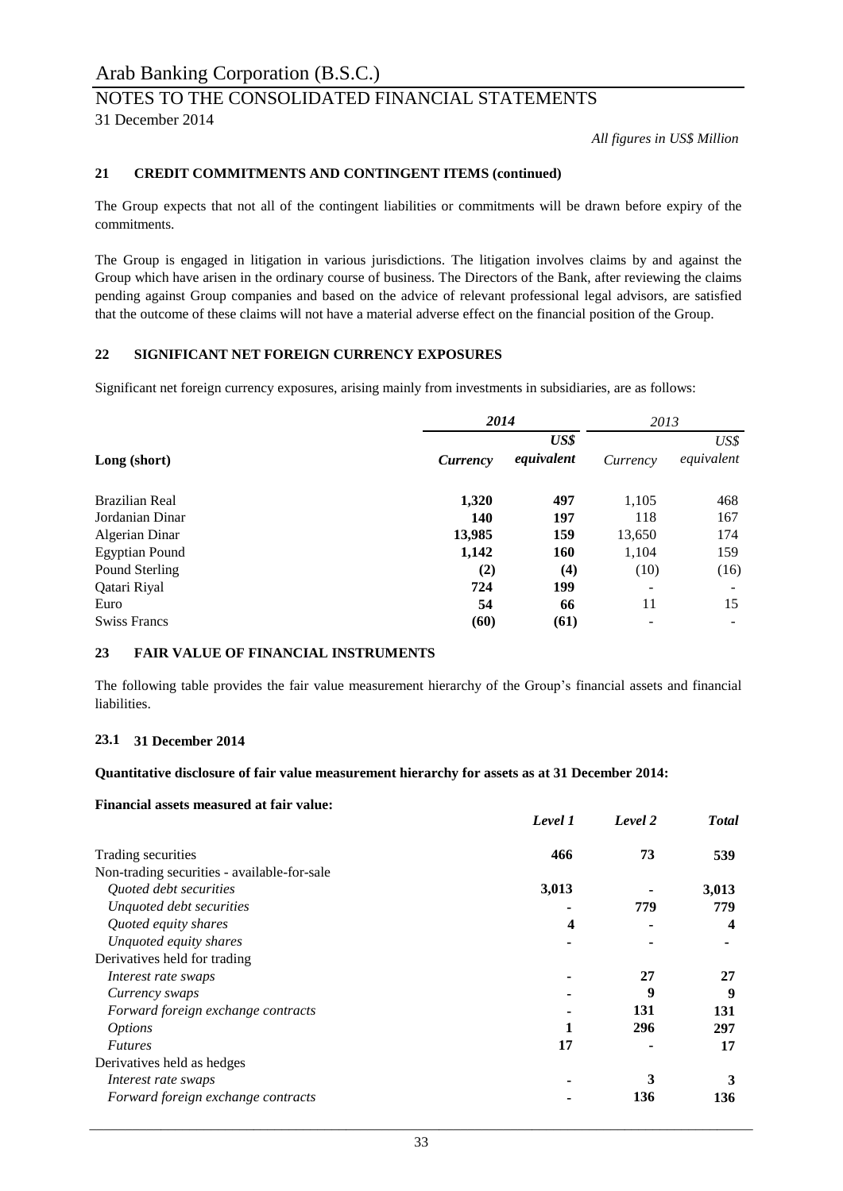31 December 2014

*All figures in US\$ Million*

#### **21 CREDIT COMMITMENTS AND CONTINGENT ITEMS (continued)**

The Group expects that not all of the contingent liabilities or commitments will be drawn before expiry of the commitments.

The Group is engaged in litigation in various jurisdictions. The litigation involves claims by and against the Group which have arisen in the ordinary course of business. The Directors of the Bank, after reviewing the claims pending against Group companies and based on the advice of relevant professional legal advisors, are satisfied that the outcome of these claims will not have a material adverse effect on the financial position of the Group.

### **22 SIGNIFICANT NET FOREIGN CURRENCY EXPOSURES**

Significant net foreign currency exposures, arising mainly from investments in subsidiaries, are as follows:

|                       | 2014<br>2013 |                    |          |                          |
|-----------------------|--------------|--------------------|----------|--------------------------|
| Long (short)          | Currency     | US\$<br>equivalent | Currency | US\$<br>equivalent       |
| Brazilian Real        | 1,320        | 497                | 1,105    | 468                      |
| Jordanian Dinar       | 140          | 197                | 118      | 167                      |
| Algerian Dinar        | 13,985       | 159                | 13,650   | 174                      |
| <b>Egyptian Pound</b> | 1,142        | 160                | 1,104    | 159                      |
| Pound Sterling        | (2)          | (4)                | (10)     | (16)                     |
| Qatari Riyal          | 724          | 199                | -        | $\overline{\phantom{a}}$ |
| Euro                  | 54           | 66                 | 11       | 15                       |
| <b>Swiss Francs</b>   | (60)         | (61)               |          | -                        |

### **23 FAIR VALUE OF FINANCIAL INSTRUMENTS**

The following table provides the fair value measurement hierarchy of the Group's financial assets and financial liabilities.

### **23.1 31 December 2014**

### **Quantitative disclosure of fair value measurement hierarchy for assets as at 31 December 2014:**

### **Financial assets measured at fair value:**

|                                             | Level 1 | Level 2 | <b>T</b> otal |
|---------------------------------------------|---------|---------|---------------|
| Trading securities                          | 466     | 73      | 539           |
| Non-trading securities - available-for-sale |         |         |               |
| Quoted debt securities                      | 3,013   |         | 3,013         |
| Unquoted debt securities                    |         | 779     | 779           |
| Quoted equity shares                        | 4       |         | 4             |
| Unquoted equity shares                      |         |         |               |
| Derivatives held for trading                |         |         |               |
| Interest rate swaps                         |         | 27      | 27            |
| Currency swaps                              |         | 9       | 9             |
| Forward foreign exchange contracts          |         | 131     | 131           |
| <i>Options</i>                              |         | 296     | 297           |
| <b>Futures</b>                              | 17      | ٠       | 17            |
| Derivatives held as hedges                  |         |         |               |
| Interest rate swaps                         |         | 3       | 3             |
| Forward foreign exchange contracts          |         | 136     | 136           |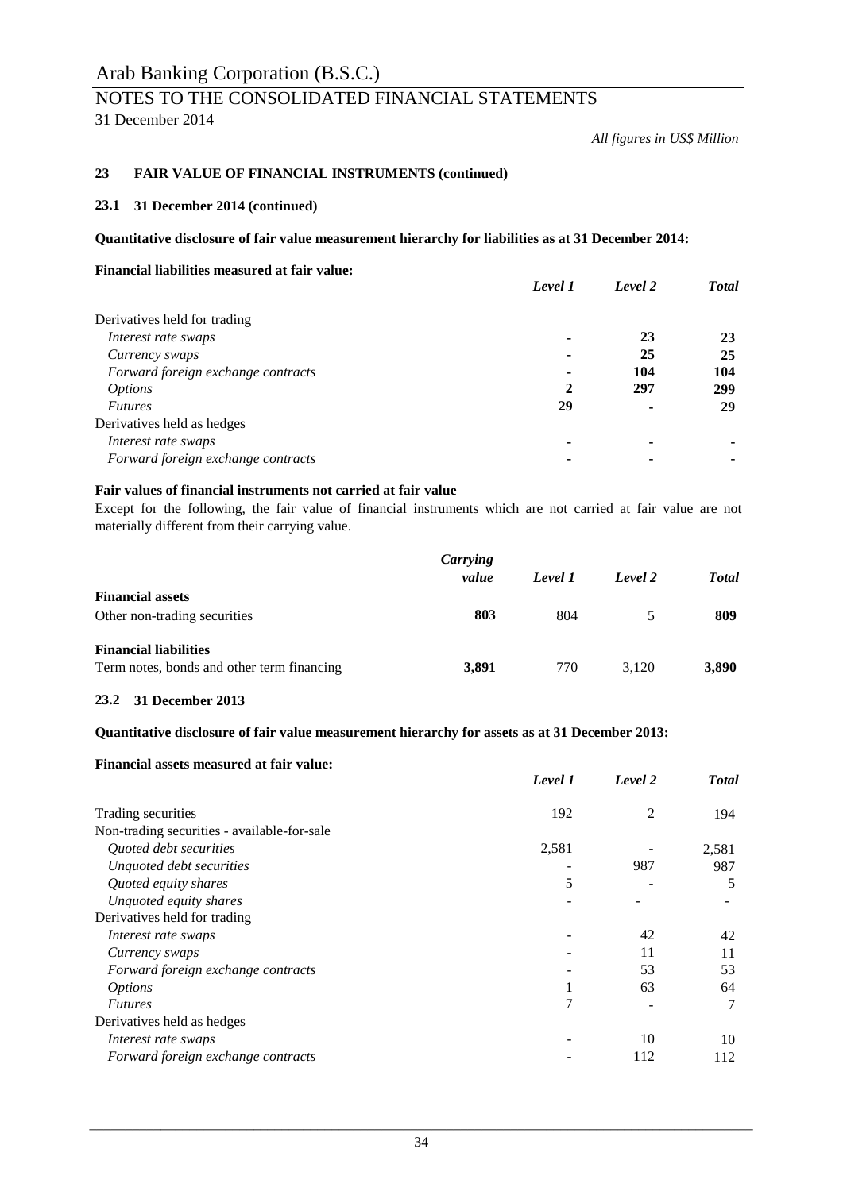# NOTES TO THE CONSOLIDATED FINANCIAL STATEMENTS

31 December 2014

*All figures in US\$ Million*

### **23 FAIR VALUE OF FINANCIAL INSTRUMENTS (continued)**

### **23.1 31 December 2014 (continued)**

### **Quantitative disclosure of fair value measurement hierarchy for liabilities as at 31 December 2014:**

### **Financial liabilities measured at fair value:**

|                                    | Level 1 | Level 2 | <b>T</b> otal |
|------------------------------------|---------|---------|---------------|
| Derivatives held for trading       |         |         |               |
| Interest rate swaps                |         | 23      | 23            |
| Currency swaps                     |         | 25      | 25            |
| Forward foreign exchange contracts |         | 104     | 104           |
| <i>Options</i>                     | 2       | 297     | 299           |
| <i>Futures</i>                     | 29      |         | 29            |
| Derivatives held as hedges         |         |         |               |
| Interest rate swaps                |         |         |               |
| Forward foreign exchange contracts |         |         |               |
|                                    |         |         |               |

### **Fair values of financial instruments not carried at fair value**

Except for the following, the fair value of financial instruments which are not carried at fair value are not materially different from their carrying value.

|                                                                            | Carrying<br>value | Level 1 | Level 2 | <b>Total</b> |
|----------------------------------------------------------------------------|-------------------|---------|---------|--------------|
| <b>Financial assets</b><br>Other non-trading securities                    | 803               | 804     |         | 809          |
| <b>Financial liabilities</b><br>Term notes, bonds and other term financing | 3,891             | 770     | 3.120   | 3,890        |

### **23.2 31 December 2013**

### **Quantitative disclosure of fair value measurement hierarchy for assets as at 31 December 2013:**

### **Financial assets measured at fair value:**

|                                             | Level 1 | Level 2 | <b>Total</b> |
|---------------------------------------------|---------|---------|--------------|
| Trading securities                          | 192     | 2       | 194          |
| Non-trading securities - available-for-sale |         |         |              |
| Quoted debt securities                      | 2,581   |         | 2,581        |
| Unquoted debt securities                    |         | 987     | 987          |
| Quoted equity shares                        | 5       |         | 5            |
| Unquoted equity shares                      |         |         |              |
| Derivatives held for trading                |         |         |              |
| Interest rate swaps                         |         | 42      | 42           |
| Currency swaps                              |         | 11      | 11           |
| Forward foreign exchange contracts          |         | 53      | 53           |
| <i>Options</i>                              | 1       | 63      | 64           |
| <i>Futures</i>                              | 7       |         | 7            |
| Derivatives held as hedges                  |         |         |              |
| Interest rate swaps                         |         | 10      | 10           |
| Forward foreign exchange contracts          |         | 112     | 112          |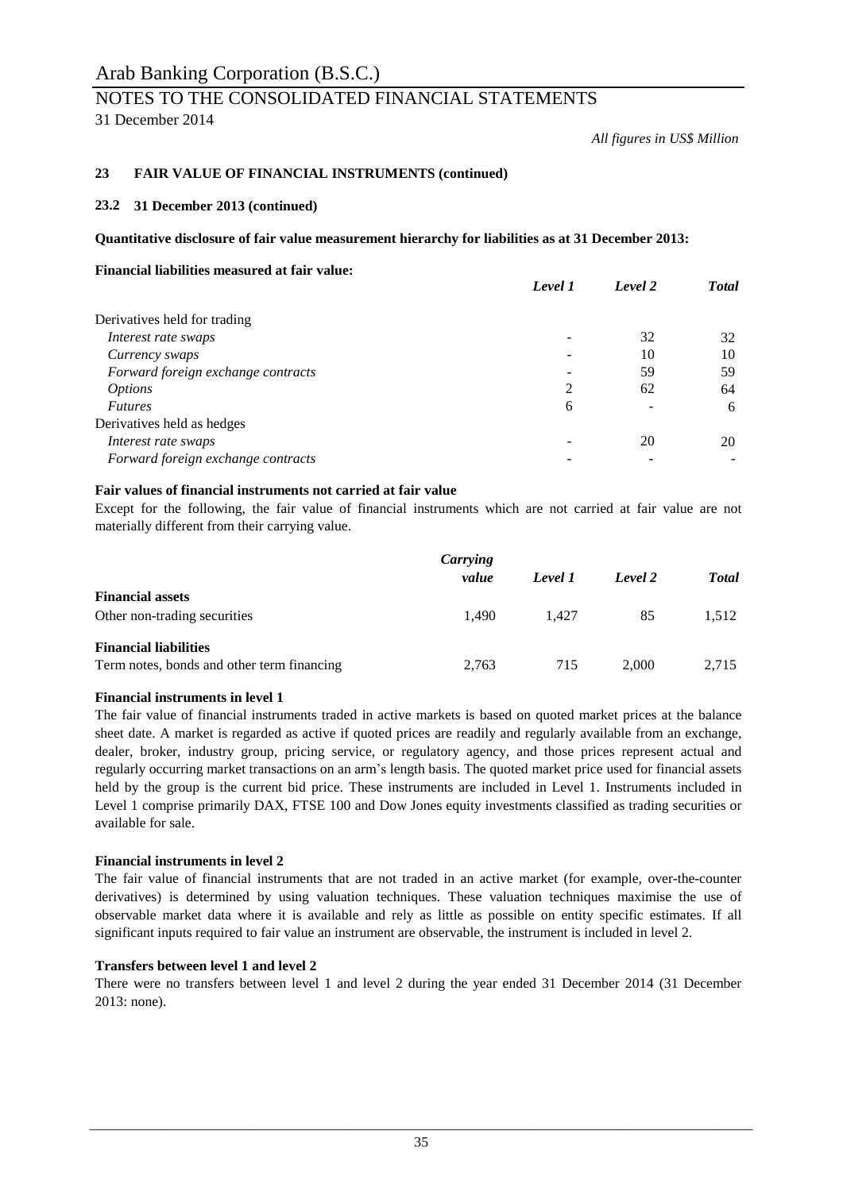# NOTES TO THE CONSOLIDATED FINANCIAL STATEMENTS

31 December 2014

*All figures in US\$ Million*

### **23 FAIR VALUE OF FINANCIAL INSTRUMENTS (continued)**

### **23.2 31 December 2013 (continued)**

### **Quantitative disclosure of fair value measurement hierarchy for liabilities as at 31 December 2013:**

### **Financial liabilities measured at fair value:**

|                                    | Level 1 | Level 2 | <b>Total</b> |
|------------------------------------|---------|---------|--------------|
| Derivatives held for trading       |         |         |              |
| Interest rate swaps                |         | 32      | 32           |
| Currency swaps                     |         | 10      | 10           |
| Forward foreign exchange contracts |         | 59      | 59           |
| <i>Options</i>                     | 2       | 62      | 64           |
| <i>Futures</i>                     | 6       |         | 6            |
| Derivatives held as hedges         |         |         |              |
| Interest rate swaps                |         | 20      | 20           |
| Forward foreign exchange contracts |         |         |              |

### **Fair values of financial instruments not carried at fair value**

Except for the following, the fair value of financial instruments which are not carried at fair value are not materially different from their carrying value.

|                                                                            | Carrying<br>value | Level 1 | Level 2 | <b>Total</b> |
|----------------------------------------------------------------------------|-------------------|---------|---------|--------------|
| <b>Financial assets</b><br>Other non-trading securities                    | 1.490             | 1.427   | 85      | 1.512        |
| <b>Financial liabilities</b><br>Term notes, bonds and other term financing | 2,763             | 715     | 2.000   | 2.715        |

### **Financial instruments in level 1**

The fair value of financial instruments traded in active markets is based on quoted market prices at the balance sheet date. A market is regarded as active if quoted prices are readily and regularly available from an exchange, dealer, broker, industry group, pricing service, or regulatory agency, and those prices represent actual and regularly occurring market transactions on an arm's length basis. The quoted market price used for financial assets held by the group is the current bid price. These instruments are included in Level 1. Instruments included in Level 1 comprise primarily DAX, FTSE 100 and Dow Jones equity investments classified as trading securities or available for sale.

### **Financial instruments in level 2**

The fair value of financial instruments that are not traded in an active market (for example, over-the-counter derivatives) is determined by using valuation techniques. These valuation techniques maximise the use of observable market data where it is available and rely as little as possible on entity specific estimates. If all significant inputs required to fair value an instrument are observable, the instrument is included in level 2.

### **Transfers between level 1 and level 2**

There were no transfers between level 1 and level 2 during the year ended 31 December 2014 (31 December 2013: none).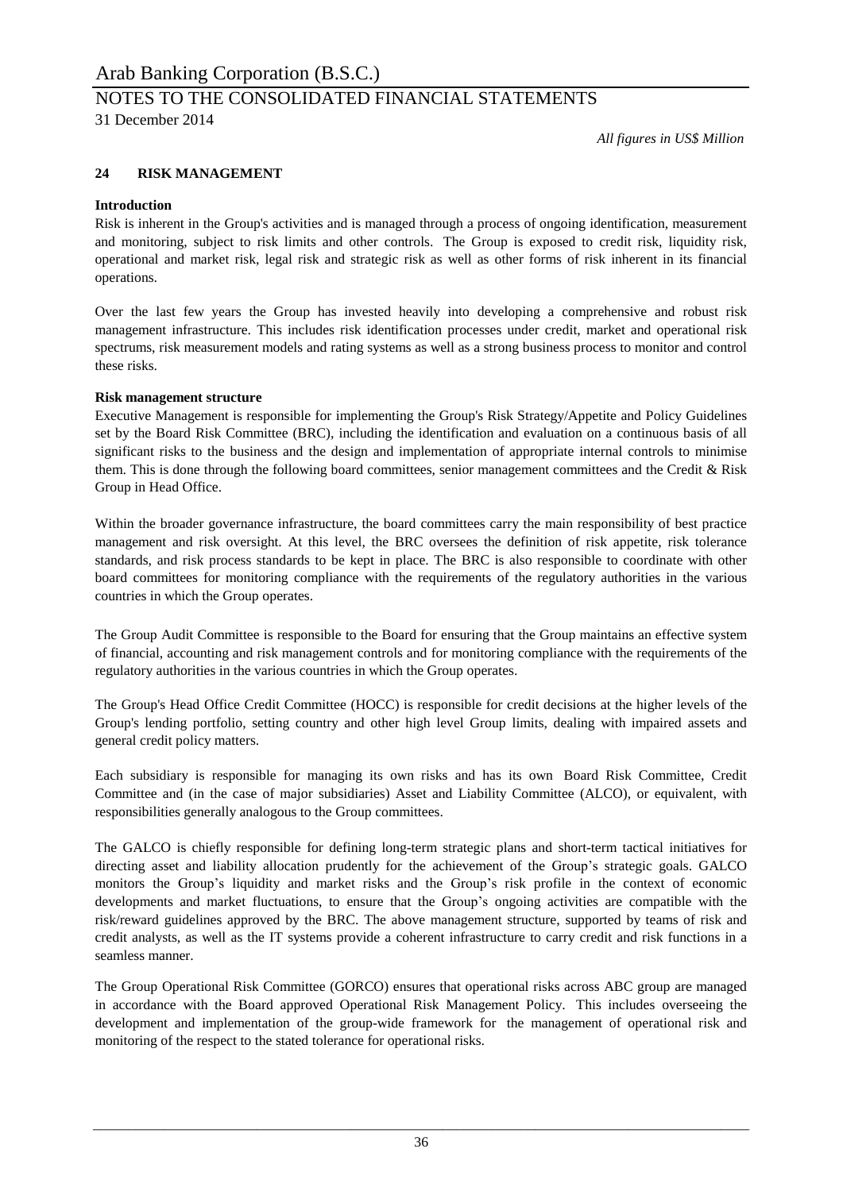31 December 2014

*All figures in US\$ Million*

### **24 RISK MANAGEMENT**

### **Introduction**

Risk is inherent in the Group's activities and is managed through a process of ongoing identification, measurement and monitoring, subject to risk limits and other controls. The Group is exposed to credit risk, liquidity risk, operational and market risk, legal risk and strategic risk as well as other forms of risk inherent in its financial operations.

Over the last few years the Group has invested heavily into developing a comprehensive and robust risk management infrastructure. This includes risk identification processes under credit, market and operational risk spectrums, risk measurement models and rating systems as well as a strong business process to monitor and control these risks.

### **Risk management structure**

Executive Management is responsible for implementing the Group's Risk Strategy/Appetite and Policy Guidelines set by the Board Risk Committee (BRC), including the identification and evaluation on a continuous basis of all significant risks to the business and the design and implementation of appropriate internal controls to minimise them. This is done through the following board committees, senior management committees and the Credit & Risk Group in Head Office.

Within the broader governance infrastructure, the board committees carry the main responsibility of best practice management and risk oversight. At this level, the BRC oversees the definition of risk appetite, risk tolerance standards, and risk process standards to be kept in place. The BRC is also responsible to coordinate with other board committees for monitoring compliance with the requirements of the regulatory authorities in the various countries in which the Group operates.

The Group Audit Committee is responsible to the Board for ensuring that the Group maintains an effective system of financial, accounting and risk management controls and for monitoring compliance with the requirements of the regulatory authorities in the various countries in which the Group operates.

The Group's Head Office Credit Committee (HOCC) is responsible for credit decisions at the higher levels of the Group's lending portfolio, setting country and other high level Group limits, dealing with impaired assets and general credit policy matters.

Each subsidiary is responsible for managing its own risks and has its own Board Risk Committee, Credit Committee and (in the case of major subsidiaries) Asset and Liability Committee (ALCO), or equivalent, with responsibilities generally analogous to the Group committees.

The GALCO is chiefly responsible for defining long-term strategic plans and short-term tactical initiatives for directing asset and liability allocation prudently for the achievement of the Group's strategic goals. GALCO monitors the Group's liquidity and market risks and the Group's risk profile in the context of economic developments and market fluctuations, to ensure that the Group's ongoing activities are compatible with the risk/reward guidelines approved by the BRC. The above management structure, supported by teams of risk and credit analysts, as well as the IT systems provide a coherent infrastructure to carry credit and risk functions in a seamless manner.

The Group Operational Risk Committee (GORCO) ensures that operational risks across ABC group are managed in accordance with the Board approved Operational Risk Management Policy. This includes overseeing the development and implementation of the group-wide framework for the management of operational risk and monitoring of the respect to the stated tolerance for operational risks.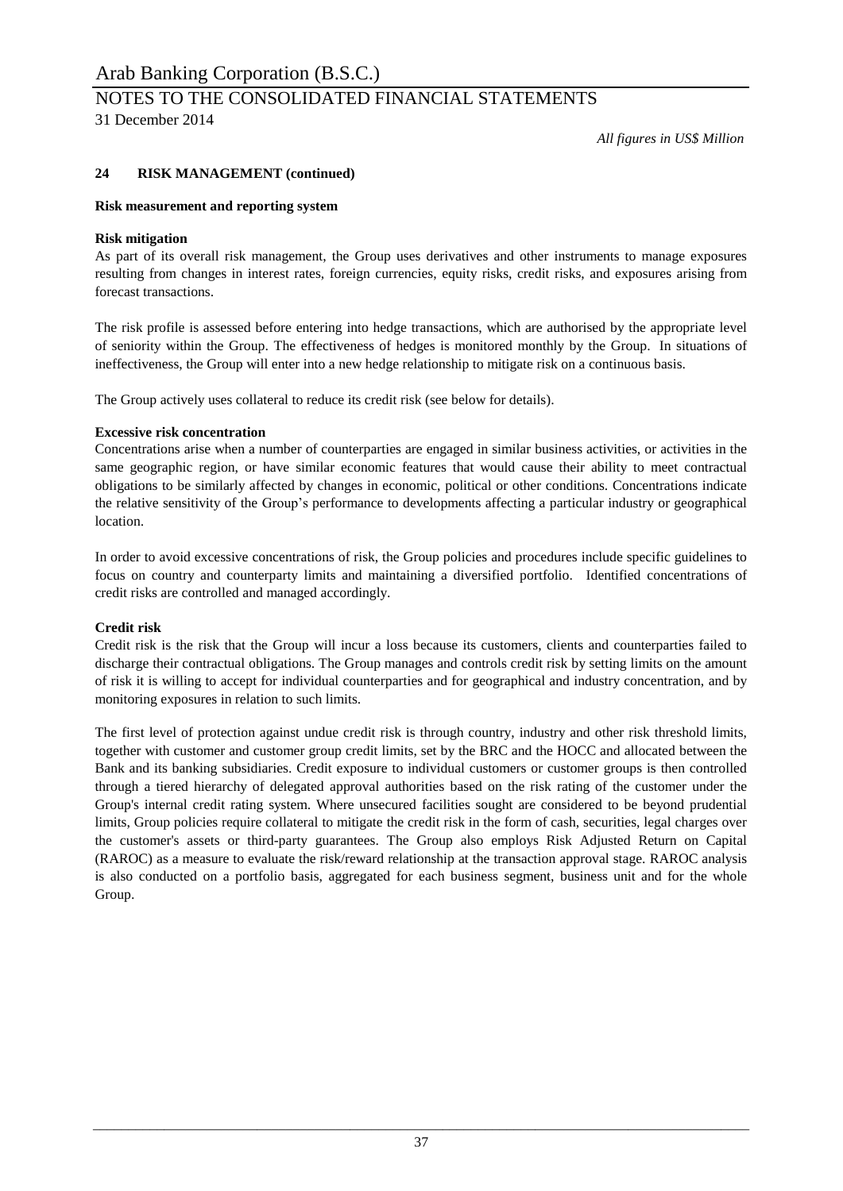31 December 2014

*All figures in US\$ Million*

### **24 RISK MANAGEMENT (continued)**

### **Risk measurement and reporting system**

### **Risk mitigation**

As part of its overall risk management, the Group uses derivatives and other instruments to manage exposures resulting from changes in interest rates, foreign currencies, equity risks, credit risks, and exposures arising from forecast transactions.

The risk profile is assessed before entering into hedge transactions, which are authorised by the appropriate level of seniority within the Group. The effectiveness of hedges is monitored monthly by the Group. In situations of ineffectiveness, the Group will enter into a new hedge relationship to mitigate risk on a continuous basis.

The Group actively uses collateral to reduce its credit risk (see below for details).

### **Excessive risk concentration**

Concentrations arise when a number of counterparties are engaged in similar business activities, or activities in the same geographic region, or have similar economic features that would cause their ability to meet contractual obligations to be similarly affected by changes in economic, political or other conditions. Concentrations indicate the relative sensitivity of the Group's performance to developments affecting a particular industry or geographical **location** 

In order to avoid excessive concentrations of risk, the Group policies and procedures include specific guidelines to focus on country and counterparty limits and maintaining a diversified portfolio. Identified concentrations of credit risks are controlled and managed accordingly.

### **Credit risk**

Credit risk is the risk that the Group will incur a loss because its customers, clients and counterparties failed to discharge their contractual obligations. The Group manages and controls credit risk by setting limits on the amount of risk it is willing to accept for individual counterparties and for geographical and industry concentration, and by monitoring exposures in relation to such limits.

The first level of protection against undue credit risk is through country, industry and other risk threshold limits, together with customer and customer group credit limits, set by the BRC and the HOCC and allocated between the Bank and its banking subsidiaries. Credit exposure to individual customers or customer groups is then controlled through a tiered hierarchy of delegated approval authorities based on the risk rating of the customer under the Group's internal credit rating system. Where unsecured facilities sought are considered to be beyond prudential limits, Group policies require collateral to mitigate the credit risk in the form of cash, securities, legal charges over the customer's assets or third-party guarantees. The Group also employs Risk Adjusted Return on Capital (RAROC) as a measure to evaluate the risk/reward relationship at the transaction approval stage. RAROC analysis is also conducted on a portfolio basis, aggregated for each business segment, business unit and for the whole Group.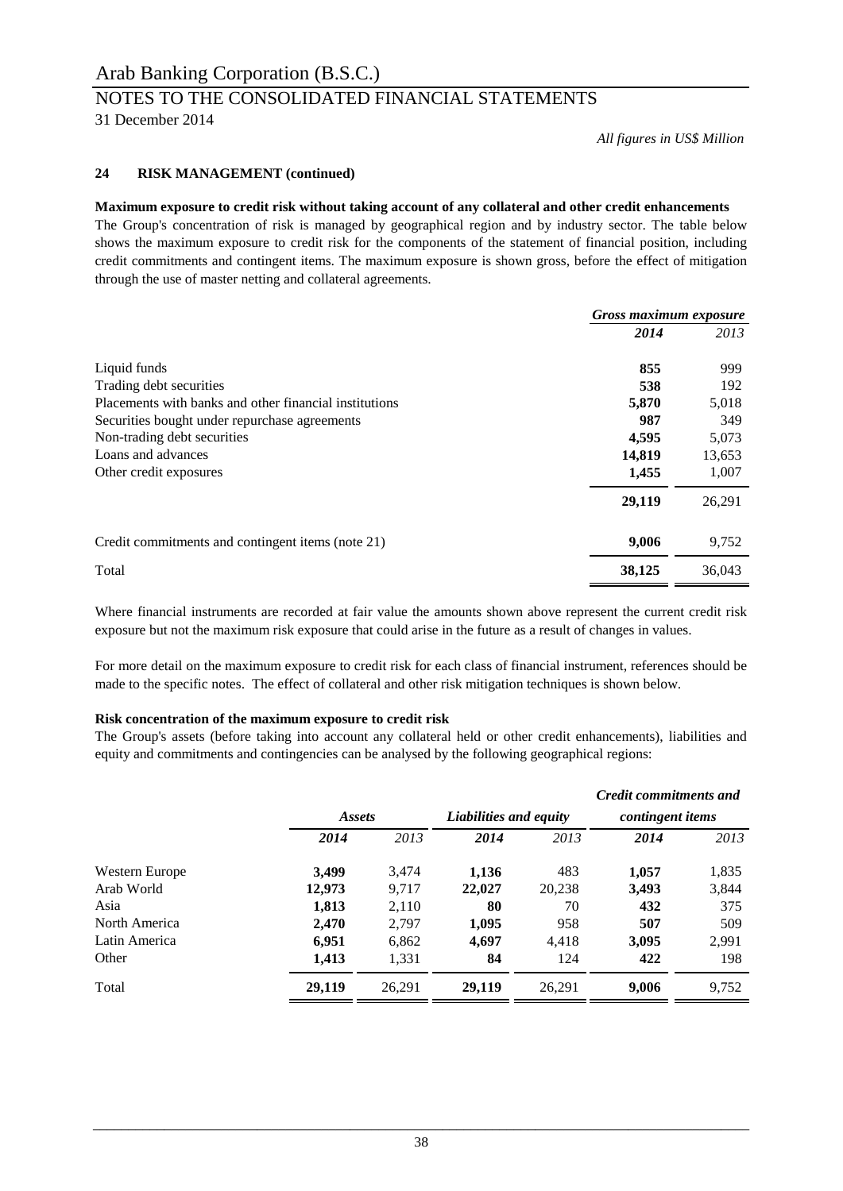## NOTES TO THE CONSOLIDATED FINANCIAL STATEMENTS

31 December 2014

*All figures in US\$ Million*

### **24 RISK MANAGEMENT (continued)**

### **Maximum exposure to credit risk without taking account of any collateral and other credit enhancements**

The Group's concentration of risk is managed by geographical region and by industry sector. The table below shows the maximum exposure to credit risk for the components of the statement of financial position, including credit commitments and contingent items. The maximum exposure is shown gross, before the effect of mitigation through the use of master netting and collateral agreements.

|                                                        | Gross maximum exposure |        |  |
|--------------------------------------------------------|------------------------|--------|--|
|                                                        | 2014                   | 2013   |  |
| Liquid funds                                           | 855                    | 999    |  |
| Trading debt securities                                | 538                    | 192    |  |
| Placements with banks and other financial institutions | 5,870                  | 5,018  |  |
| Securities bought under repurchase agreements          | 987                    | 349    |  |
| Non-trading debt securities                            | 4,595                  | 5,073  |  |
| Loans and advances                                     | 14,819                 | 13,653 |  |
| Other credit exposures                                 | 1,455                  | 1,007  |  |
|                                                        | 29,119                 | 26,291 |  |
| Credit commitments and contingent items (note 21)      | 9,006                  | 9,752  |  |
| Total                                                  | 38,125                 | 36,043 |  |

Where financial instruments are recorded at fair value the amounts shown above represent the current credit risk exposure but not the maximum risk exposure that could arise in the future as a result of changes in values.

For more detail on the maximum exposure to credit risk for each class of financial instrument, references should be made to the specific notes. The effect of collateral and other risk mitigation techniques is shown below.

### **Risk concentration of the maximum exposure to credit risk**

The Group's assets (before taking into account any collateral held or other credit enhancements), liabilities and equity and commitments and contingencies can be analysed by the following geographical regions:

|                |        |        |                        |        | <b>Credit commitments and</b> |       |
|----------------|--------|--------|------------------------|--------|-------------------------------|-------|
|                | Assets |        | Liabilities and equity |        | contingent items              |       |
|                | 2014   | 2013   | 2014                   | 2013   | 2014                          | 2013  |
| Western Europe | 3,499  | 3,474  | 1,136                  | 483    | 1,057                         | 1,835 |
| Arab World     | 12,973 | 9,717  | 22,027                 | 20,238 | 3,493                         | 3,844 |
| Asia           | 1,813  | 2,110  | 80                     | 70     | 432                           | 375   |
| North America  | 2,470  | 2,797  | 1,095                  | 958    | 507                           | 509   |
| Latin America  | 6,951  | 6,862  | 4,697                  | 4,418  | 3,095                         | 2,991 |
| Other          | 1,413  | 1,331  | 84                     | 124    | 422                           | 198   |
| Total          | 29,119 | 26,291 | 29,119                 | 26,291 | 9,006                         | 9,752 |
|                |        |        |                        |        |                               |       |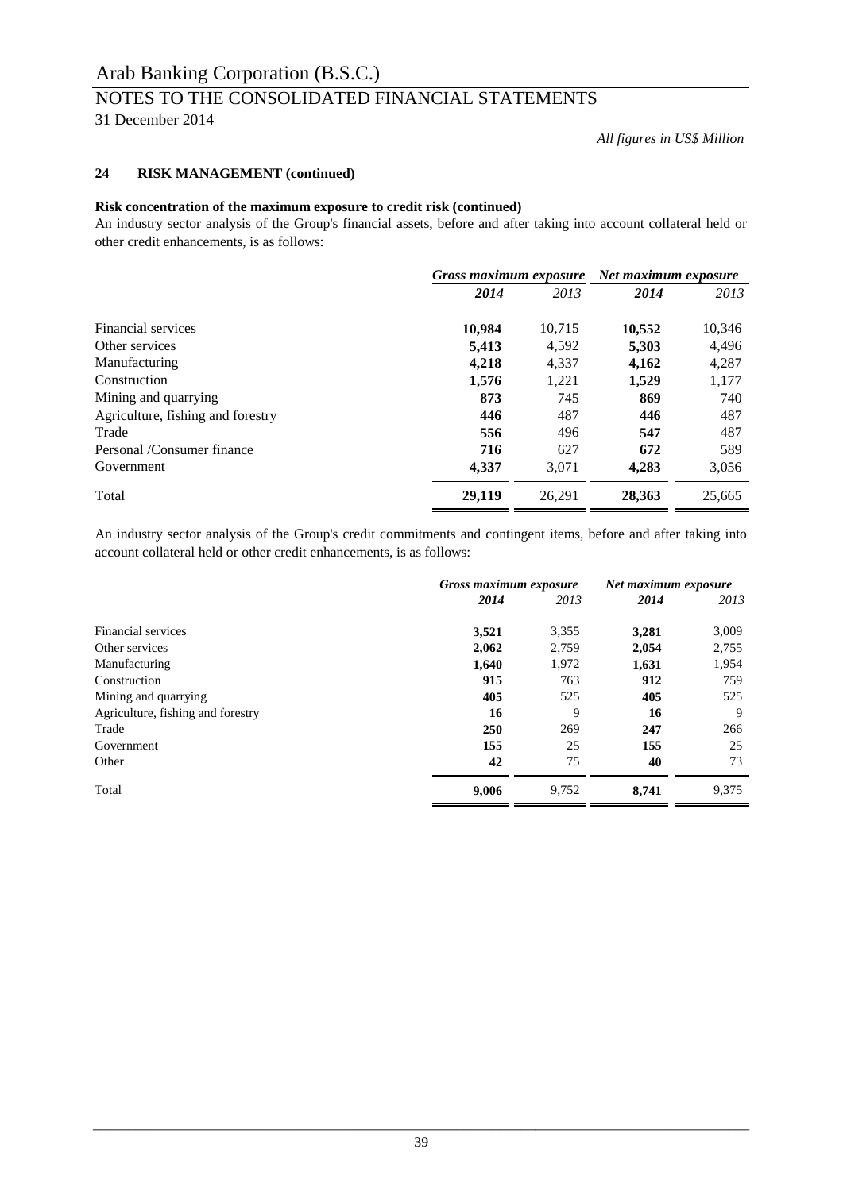# NOTES TO THE CONSOLIDATED FINANCIAL STATEMENTS

31 December 2014

*All figures in US\$ Million*

### **24 RISK MANAGEMENT (continued)**

### **Risk concentration of the maximum exposure to credit risk (continued)**

An industry sector analysis of the Group's financial assets, before and after taking into account collateral held or other credit enhancements, is as follows:

|                                   | Gross maximum exposure |        | Net maximum exposure |        |
|-----------------------------------|------------------------|--------|----------------------|--------|
|                                   | 2014                   | 2013   | 2014                 | 2013   |
| Financial services                | 10,984                 | 10,715 | 10,552               | 10,346 |
| Other services                    | 5,413                  | 4,592  | 5,303                | 4,496  |
| Manufacturing                     | 4,218                  | 4,337  | 4,162                | 4,287  |
| Construction                      | 1,576                  | 1.221  | 1,529                | 1,177  |
| Mining and quarrying              | 873                    | 745    | 869                  | 740    |
| Agriculture, fishing and forestry | 446                    | 487    | 446                  | 487    |
| Trade                             | 556                    | 496    | 547                  | 487    |
| Personal /Consumer finance        | 716                    | 627    | 672                  | 589    |
| Government                        | 4,337                  | 3,071  | 4,283                | 3,056  |
| Total                             | 29,119                 | 26.291 | 28.363               | 25,665 |

An industry sector analysis of the Group's credit commitments and contingent items, before and after taking into account collateral held or other credit enhancements, is as follows:

|                                   | Gross maximum exposure |       | Net maximum exposure |       |
|-----------------------------------|------------------------|-------|----------------------|-------|
|                                   | 2014                   | 2013  | 2014                 | 2013  |
| Financial services                | 3,521                  | 3,355 | 3,281                | 3,009 |
| Other services                    | 2,062                  | 2,759 | 2,054                | 2,755 |
| Manufacturing                     | 1,640                  | 1,972 | 1,631                | 1,954 |
| Construction                      | 915                    | 763   | 912                  | 759   |
| Mining and quarrying              | 405                    | 525   | 405                  | 525   |
| Agriculture, fishing and forestry | 16                     | 9     | 16                   | 9     |
| Trade                             | 250                    | 269   | 247                  | 266   |
| Government                        | 155                    | 25    | 155                  | 25    |
| Other                             | 42                     | 75    | 40                   | 73    |
| Total                             | 9,006                  | 9,752 | 8,741                | 9,375 |
|                                   |                        |       |                      |       |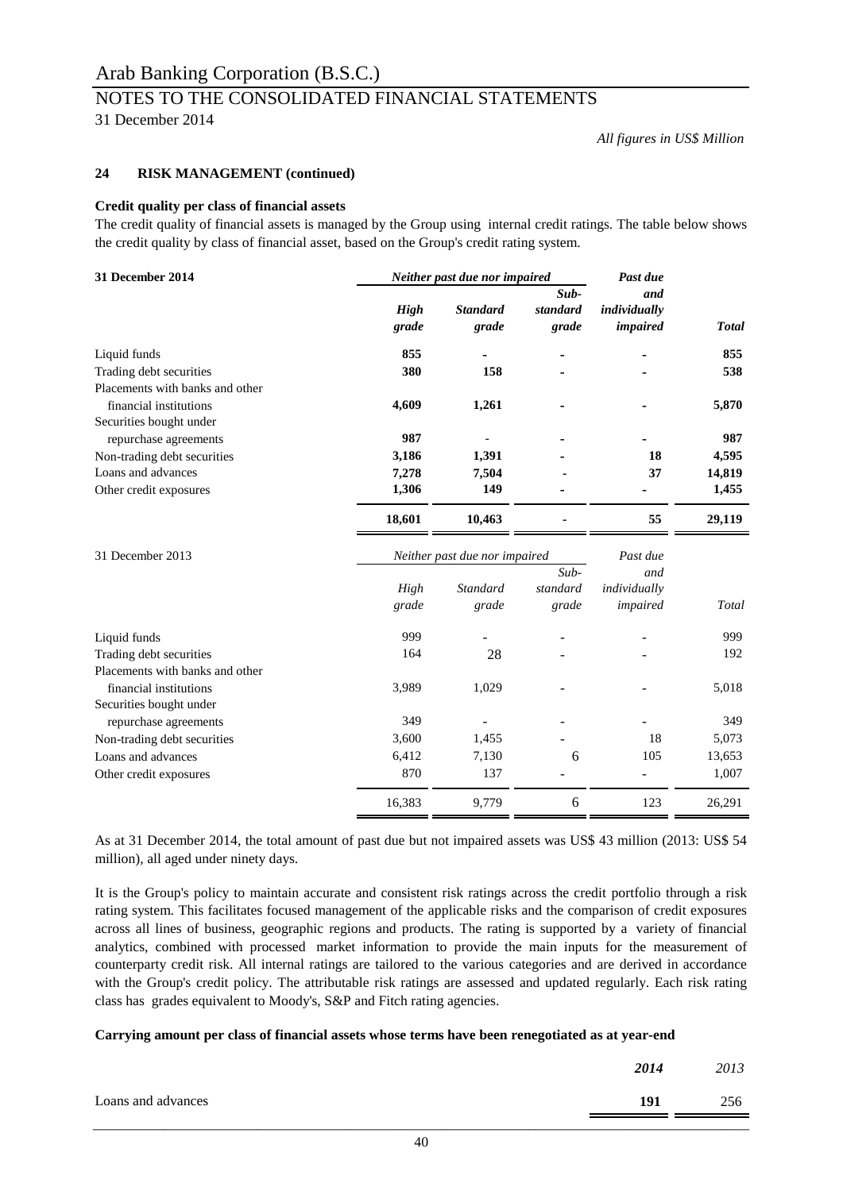## NOTES TO THE CONSOLIDATED FINANCIAL STATEMENTS

31 December 2014

*All figures in US\$ Million*

### **24 RISK MANAGEMENT (continued)**

### **Credit quality per class of financial assets**

The credit quality of financial assets is managed by the Group using internal credit ratings. The table below shows the credit quality by class of financial asset, based on the Group's credit rating system.

| 31 December 2014                |                      | Neither past due nor impaired |                             | Past due                               |              |
|---------------------------------|----------------------|-------------------------------|-----------------------------|----------------------------------------|--------------|
|                                 | <b>High</b><br>grade | <b>Standard</b><br>grade      | $Sub-$<br>standard<br>grade | and<br>individually<br><i>impaired</i> | <b>Total</b> |
| Liquid funds                    | 855                  | ٠                             | ٠                           |                                        | 855          |
| Trading debt securities         | 380                  | 158                           | ٠                           |                                        | 538          |
| Placements with banks and other |                      |                               |                             |                                        |              |
| financial institutions          | 4,609                | 1,261                         |                             |                                        | 5,870        |
| Securities bought under         |                      |                               |                             |                                        |              |
| repurchase agreements           | 987                  |                               | $\blacksquare$              |                                        | 987          |
| Non-trading debt securities     | 3,186                | 1,391                         | ۰                           | 18                                     | 4,595        |
| Loans and advances              | 7,278                | 7,504                         |                             | 37                                     | 14,819       |
| Other credit exposures          | 1,306                | 149                           |                             |                                        | 1,455        |
|                                 | 18,601               | 10,463                        |                             | 55                                     | 29,119       |
|                                 |                      |                               |                             |                                        |              |

| 31 December 2013                | Neither past due nor impaired | Past due                 |                             |                                 |        |
|---------------------------------|-------------------------------|--------------------------|-----------------------------|---------------------------------|--------|
|                                 | High<br>grade                 | <b>Standard</b><br>grade | $Sub-$<br>standard<br>grade | and<br>individually<br>impaired | Total  |
| Liquid funds                    | 999                           | $\overline{\phantom{a}}$ |                             |                                 | 999    |
| Trading debt securities         | 164                           | 28                       |                             |                                 | 192    |
| Placements with banks and other |                               |                          |                             |                                 |        |
| financial institutions          | 3,989                         | 1,029                    |                             |                                 | 5,018  |
| Securities bought under         |                               |                          |                             |                                 |        |
| repurchase agreements           | 349                           |                          |                             |                                 | 349    |
| Non-trading debt securities     | 3,600                         | 1,455                    |                             | 18                              | 5,073  |
| Loans and advances              | 6,412                         | 7,130                    | 6                           | 105                             | 13,653 |
| Other credit exposures          | 870                           | 137                      |                             |                                 | 1,007  |
|                                 | 16,383                        | 9,779                    | 6                           | 123                             | 26,291 |

As at 31 December 2014, the total amount of past due but not impaired assets was US\$ 43 million (2013: US\$ 54 million), all aged under ninety days.

It is the Group's policy to maintain accurate and consistent risk ratings across the credit portfolio through a risk rating system. This facilitates focused management of the applicable risks and the comparison of credit exposures across all lines of business, geographic regions and products. The rating is supported by a variety of financial analytics, combined with processed market information to provide the main inputs for the measurement of counterparty credit risk. All internal ratings are tailored to the various categories and are derived in accordance with the Group's credit policy. The attributable risk ratings are assessed and updated regularly. Each risk rating class has grades equivalent to Moody's, S&P and Fitch rating agencies.

### **Carrying amount per class of financial assets whose terms have been renegotiated as at year-end**

|                    | 2014 | 2013 |
|--------------------|------|------|
| Loans and advances | 191  | 256  |
|                    |      |      |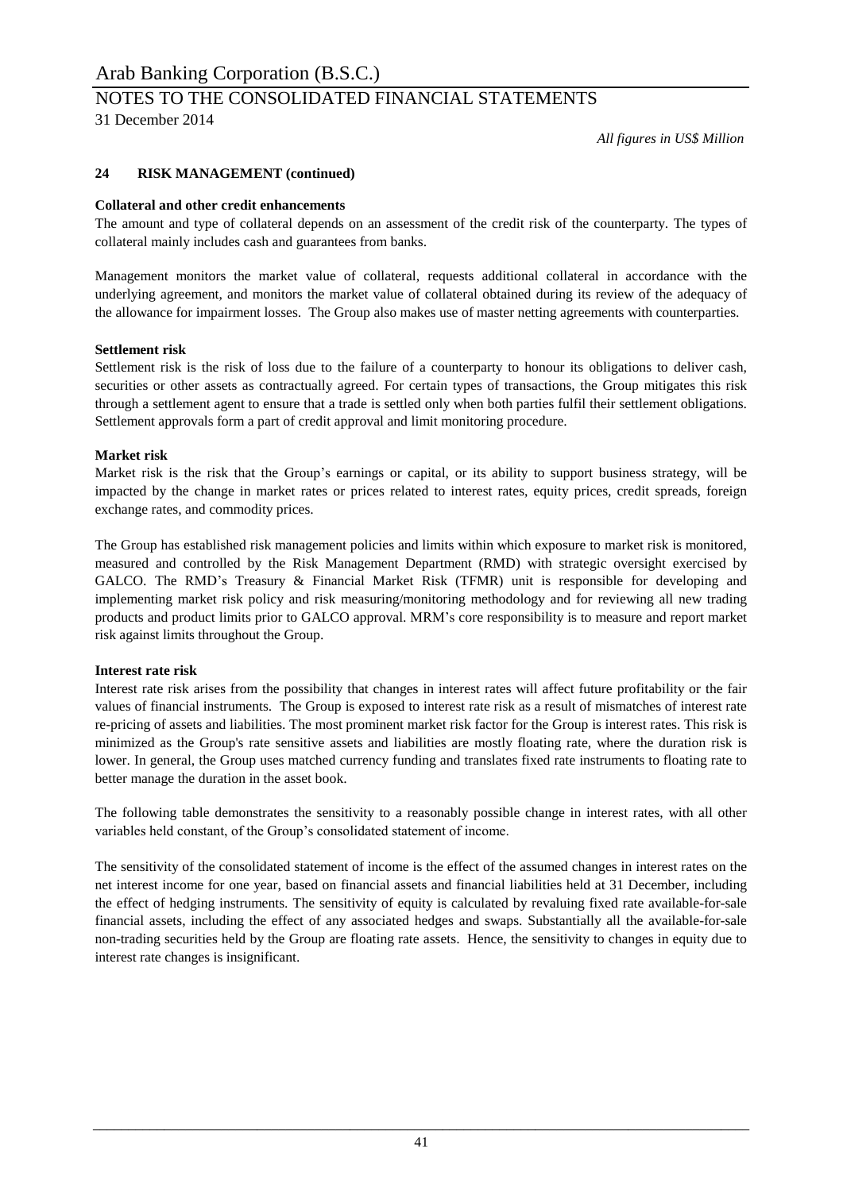31 December 2014

*All figures in US\$ Million*

### **24 RISK MANAGEMENT (continued)**

### **Collateral and other credit enhancements**

The amount and type of collateral depends on an assessment of the credit risk of the counterparty. The types of collateral mainly includes cash and guarantees from banks.

Management monitors the market value of collateral, requests additional collateral in accordance with the underlying agreement, and monitors the market value of collateral obtained during its review of the adequacy of the allowance for impairment losses. The Group also makes use of master netting agreements with counterparties.

### **Settlement risk**

Settlement risk is the risk of loss due to the failure of a counterparty to honour its obligations to deliver cash, securities or other assets as contractually agreed. For certain types of transactions, the Group mitigates this risk through a settlement agent to ensure that a trade is settled only when both parties fulfil their settlement obligations. Settlement approvals form a part of credit approval and limit monitoring procedure.

### **Market risk**

Market risk is the risk that the Group's earnings or capital, or its ability to support business strategy, will be impacted by the change in market rates or prices related to interest rates, equity prices, credit spreads, foreign exchange rates, and commodity prices.

The Group has established risk management policies and limits within which exposure to market risk is monitored, measured and controlled by the Risk Management Department (RMD) with strategic oversight exercised by GALCO. The RMD's Treasury & Financial Market Risk (TFMR) unit is responsible for developing and implementing market risk policy and risk measuring/monitoring methodology and for reviewing all new trading products and product limits prior to GALCO approval. MRM's core responsibility is to measure and report market risk against limits throughout the Group.

### **Interest rate risk**

Interest rate risk arises from the possibility that changes in interest rates will affect future profitability or the fair values of financial instruments. The Group is exposed to interest rate risk as a result of mismatches of interest rate re-pricing of assets and liabilities. The most prominent market risk factor for the Group is interest rates. This risk is minimized as the Group's rate sensitive assets and liabilities are mostly floating rate, where the duration risk is lower. In general, the Group uses matched currency funding and translates fixed rate instruments to floating rate to better manage the duration in the asset book.

The following table demonstrates the sensitivity to a reasonably possible change in interest rates, with all other variables held constant, of the Group's consolidated statement of income.

The sensitivity of the consolidated statement of income is the effect of the assumed changes in interest rates on the net interest income for one year, based on financial assets and financial liabilities held at 31 December, including the effect of hedging instruments. The sensitivity of equity is calculated by revaluing fixed rate available-for-sale financial assets, including the effect of any associated hedges and swaps. Substantially all the available-for-sale non-trading securities held by the Group are floating rate assets. Hence, the sensitivity to changes in equity due to interest rate changes is insignificant.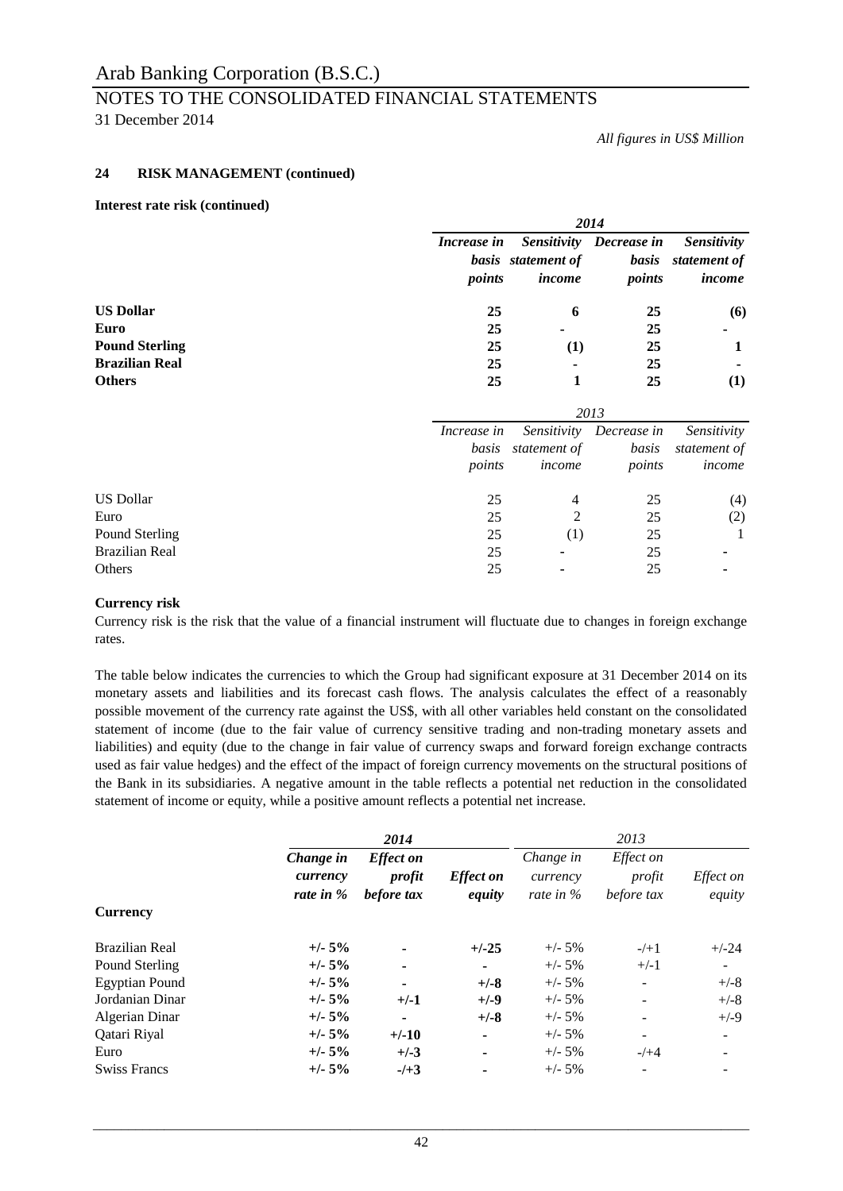# NOTES TO THE CONSOLIDATED FINANCIAL STATEMENTS

31 December 2014

*All figures in US\$ Million*

### **24 RISK MANAGEMENT (continued)**

### **Interest rate risk (continued)**

|                       | 2014        |                    |                         |              |  |  |  |  |  |
|-----------------------|-------------|--------------------|-------------------------|--------------|--|--|--|--|--|
|                       | Increase in |                    | Sensitivity Decrease in | Sensitivity  |  |  |  |  |  |
|                       |             | basis statement of | <b>basis</b>            | statement of |  |  |  |  |  |
|                       | points      | income             | points                  | income       |  |  |  |  |  |
| <b>US Dollar</b>      | 25          | 6                  | 25                      | (6)          |  |  |  |  |  |
| Euro                  | 25          |                    | 25                      |              |  |  |  |  |  |
| <b>Pound Sterling</b> | 25          | (1)                | 25                      | 1            |  |  |  |  |  |
| <b>Brazilian Real</b> | 25          |                    | 25                      |              |  |  |  |  |  |
| <b>Others</b>         | 25          | 1                  | 25                      | (1)          |  |  |  |  |  |
|                       |             |                    |                         |              |  |  |  |  |  |
|                       |             |                    | 2013                    |              |  |  |  |  |  |
|                       | Increase in |                    | Sensitivity Decrease in | Sensitivity  |  |  |  |  |  |
|                       | basis       | statement of       | basis                   | statement of |  |  |  |  |  |
|                       | points      | income             | points                  | income       |  |  |  |  |  |
| <b>US Dollar</b>      | 25          | 4                  | 25                      |              |  |  |  |  |  |
| Euro                  | 25          | $\overline{2}$     | 25                      | (4)          |  |  |  |  |  |
| Pound Sterling        | 25          | (1)                | 25                      | (2)<br>1     |  |  |  |  |  |
| <b>Brazilian Real</b> | 25          |                    | 25                      |              |  |  |  |  |  |

### **Currency risk**

Currency risk is the risk that the value of a financial instrument will fluctuate due to changes in foreign exchange rates.

The table below indicates the currencies to which the Group had significant exposure at 31 December 2014 on its monetary assets and liabilities and its forecast cash flows. The analysis calculates the effect of a reasonably possible movement of the currency rate against the US\$, with all other variables held constant on the consolidated statement of income (due to the fair value of currency sensitive trading and non-trading monetary assets and liabilities) and equity (due to the change in fair value of currency swaps and forward foreign exchange contracts used as fair value hedges) and the effect of the impact of foreign currency movements on the structural positions of the Bank in its subsidiaries. A negative amount in the table reflects a potential net reduction in the consolidated statement of income or equity, while a positive amount reflects a potential net increase.

|                       |                                    |                                          | 2013                       |                                       |                                   |                            |  |  |
|-----------------------|------------------------------------|------------------------------------------|----------------------------|---------------------------------------|-----------------------------------|----------------------------|--|--|
|                       | Change in<br>currency<br>rate in % | <b>Effect</b> on<br>profit<br>before tax | <b>Effect</b> on<br>equity | Change in<br>currency<br>rate in $\%$ | Effect on<br>profit<br>before tax | <i>Effect on</i><br>equity |  |  |
| <b>Currency</b>       |                                    |                                          |                            |                                       |                                   |                            |  |  |
| <b>Brazilian Real</b> | $+/- 5\%$                          | ۰                                        | $+/-25$                    | $+/- 5\%$                             | $-/-1$                            | $+/-24$                    |  |  |
| Pound Sterling        | $+/- 5\%$                          | ٠                                        | $\blacksquare$             | $+/- 5\%$                             | $+/-1$                            | $\overline{\phantom{a}}$   |  |  |
| <b>Egyptian Pound</b> | $+/- 5\%$                          | $\blacksquare$                           | $+/-8$                     | $+/- 5\%$                             | $\overline{\phantom{0}}$          | $+/-8$                     |  |  |
| Jordanian Dinar       | $+/- 5\%$                          | $+/-1$                                   | $+/-9$                     | $+/- 5\%$                             |                                   | $+/-8$                     |  |  |
| Algerian Dinar        | $+/- 5\%$                          | $\blacksquare$                           | $+/-8$                     | $+/- 5\%$                             |                                   | $+/-9$                     |  |  |
| Oatari Rival          | $+/- 5\%$                          | $+/-10$                                  | $\blacksquare$             | $+/- 5\%$                             |                                   |                            |  |  |
| Euro                  | $+/- 5\%$                          | $+/-3$                                   | $\blacksquare$             | $+/- 5\%$                             | $-/-4$                            |                            |  |  |
| <b>Swiss Francs</b>   | $+/- 5\%$                          | $-1+3$                                   |                            | $+/- 5\%$                             |                                   |                            |  |  |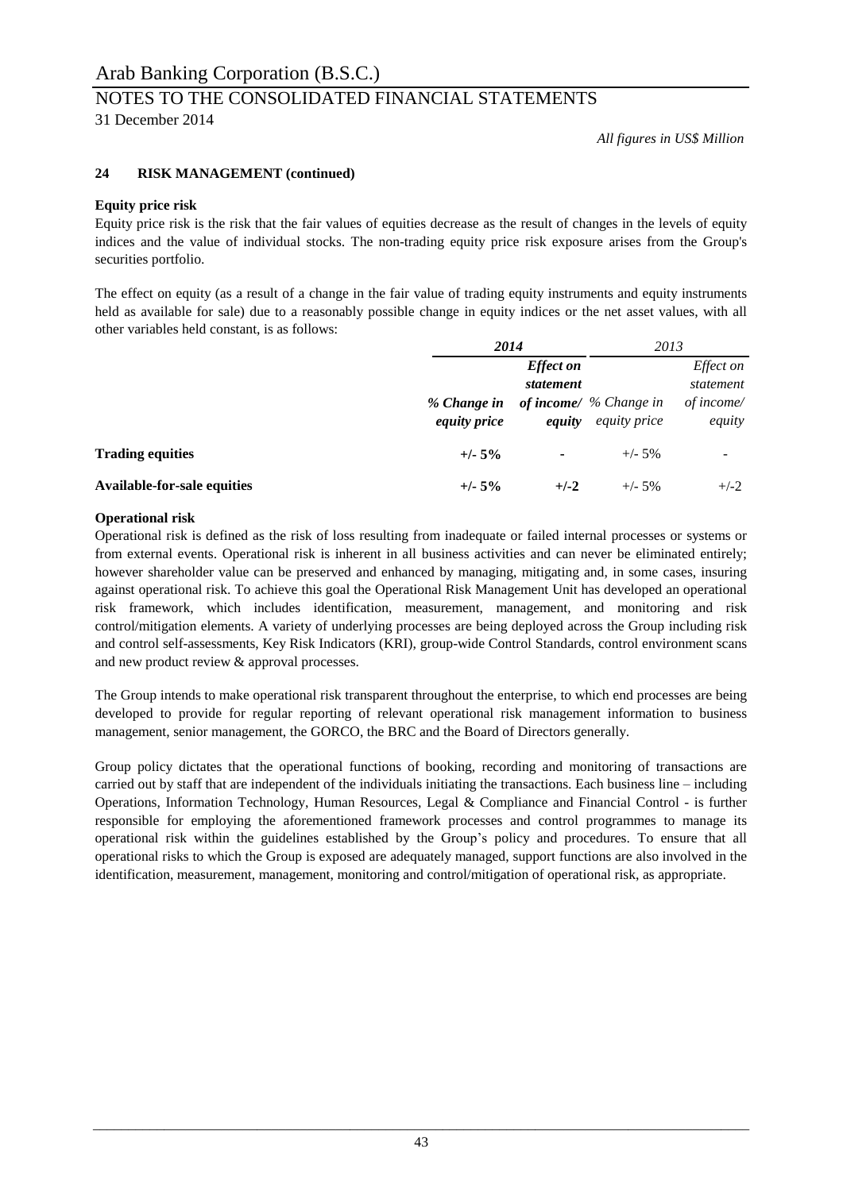31 December 2014

*All figures in US\$ Million*

### **24 RISK MANAGEMENT (continued)**

### **Equity price risk**

Equity price risk is the risk that the fair values of equities decrease as the result of changes in the levels of equity indices and the value of individual stocks. The non-trading equity price risk exposure arises from the Group's securities portfolio.

The effect on equity (as a result of a change in the fair value of trading equity instruments and equity instruments held as available for sale) due to a reasonably possible change in equity indices or the net asset values, with all other variables held constant, is as follows:

|                                    | 2014                               |                  | 2013                                          |                      |
|------------------------------------|------------------------------------|------------------|-----------------------------------------------|----------------------|
|                                    |                                    | <b>Effect</b> on |                                               | Effect on            |
|                                    |                                    | statement        |                                               | statement            |
|                                    | % Change in<br><i>equity price</i> | equity           | of income/ % Change in<br><i>equity price</i> | of income/<br>equity |
| <b>Trading equities</b>            | $+/- 5\%$                          | ٠                | $+/- 5\%$                                     |                      |
| <b>Available-for-sale equities</b> | $+/- 5\%$                          | $+/-2$           | $+/- 5\%$                                     | $+/-2$               |

### **Operational risk**

Operational risk is defined as the risk of loss resulting from inadequate or failed internal processes or systems or from external events. Operational risk is inherent in all business activities and can never be eliminated entirely; however shareholder value can be preserved and enhanced by managing, mitigating and, in some cases, insuring against operational risk. To achieve this goal the Operational Risk Management Unit has developed an operational risk framework, which includes identification, measurement, management, and monitoring and risk control/mitigation elements. A variety of underlying processes are being deployed across the Group including risk and control self-assessments, Key Risk Indicators (KRI), group-wide Control Standards, control environment scans and new product review & approval processes.

The Group intends to make operational risk transparent throughout the enterprise, to which end processes are being developed to provide for regular reporting of relevant operational risk management information to business management, senior management, the GORCO, the BRC and the Board of Directors generally.

Group policy dictates that the operational functions of booking, recording and monitoring of transactions are carried out by staff that are independent of the individuals initiating the transactions. Each business line – including Operations, Information Technology, Human Resources, Legal & Compliance and Financial Control - is further responsible for employing the aforementioned framework processes and control programmes to manage its operational risk within the guidelines established by the Group's policy and procedures. To ensure that all operational risks to which the Group is exposed are adequately managed, support functions are also involved in the identification, measurement, management, monitoring and control/mitigation of operational risk, as appropriate.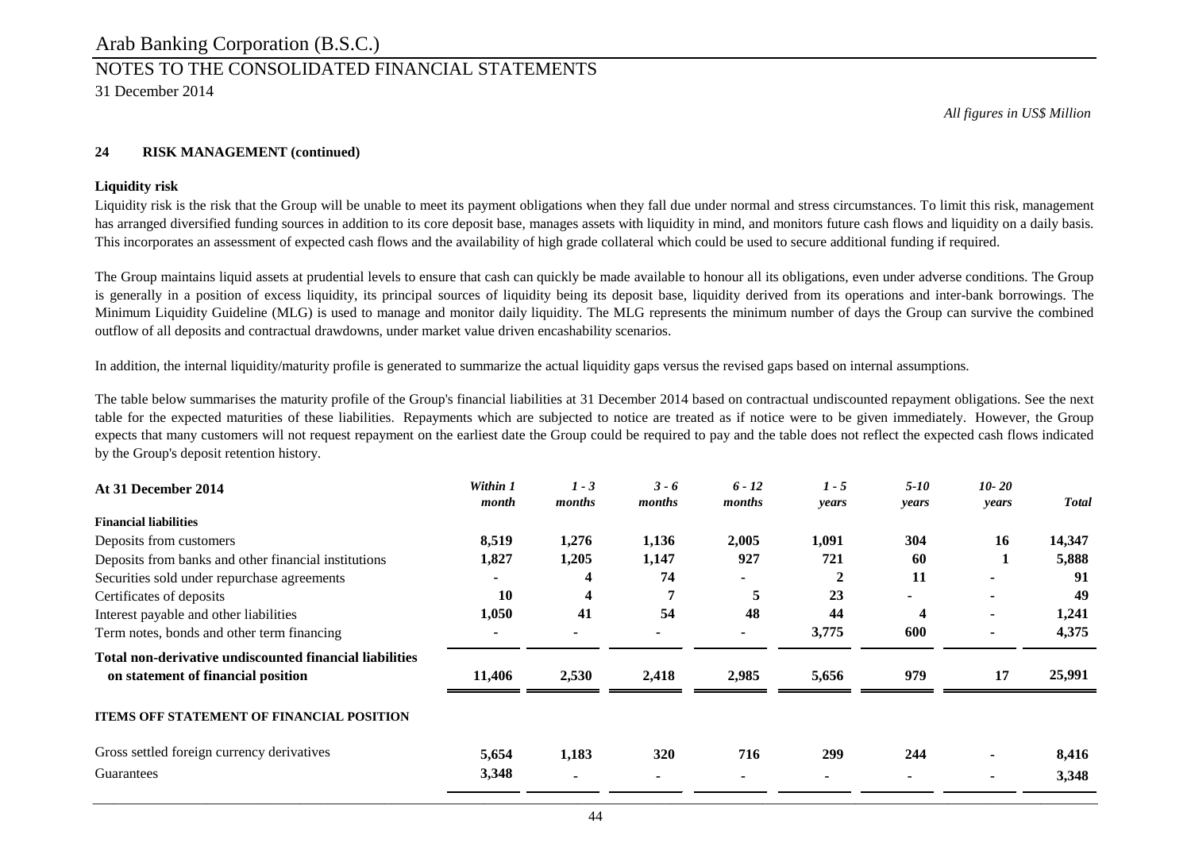31 December 2014

*All figures in US\$ Million*

#### **24 RISK MANAGEMENT (continued)**

### **Liquidity risk**

Liquidity risk is the risk that the Group will be unable to meet its payment obligations when they fall due under normal and stress circumstances. To limit this risk, management has arranged diversified funding sources in addition to its core deposit base, manages assets with liquidity in mind, and monitors future cash flows and liquidity on a daily basis. This incorporates an assessment of expected cash flows and the availability of high grade collateral which could be used to secure additional funding if required.

The Group maintains liquid assets at prudential levels to ensure that cash can quickly be made available to honour all its obligations, even under adverse conditions. The Group is generally in a position of excess liquidity, its principal sources of liquidity being its deposit base, liquidity derived from its operations and inter-bank borrowings. The Minimum Liquidity Guideline (MLG) is used to manage and monitor daily liquidity. The MLG represents the minimum number of days the Group can survive the combined outflow of all deposits and contractual drawdowns, under market value driven encashability scenarios.

In addition, the internal liquidity/maturity profile is generated to summarize the actual liquidity gaps versus the revised gaps based on internal assumptions.

The table below summarises the maturity profile of the Group's financial liabilities at 31 December 2014 based on contractual undiscounted repayment obligations. See the next table for the expected maturities of these liabilities. Repayments which are subjected to notice are treated as if notice were to be given immediately. However, the Group expects that many customers will not request repayment on the earliest date the Group could be required to pay and the table does not reflect the expected cash flows indicated by the Group's deposit retention history.

| At 31 December 2014                                                                           | Within 1<br>month | $1 - 3$<br>months | $3 - 6$<br>months | $6 - 12$<br>months | $1 - 5$<br>years | $5 - 10$<br>years | $10 - 20$<br>years       | <b>Total</b> |
|-----------------------------------------------------------------------------------------------|-------------------|-------------------|-------------------|--------------------|------------------|-------------------|--------------------------|--------------|
| <b>Financial liabilities</b>                                                                  |                   |                   |                   |                    |                  |                   |                          |              |
| Deposits from customers                                                                       | 8,519             | 1,276             | 1,136             | 2,005              | 1,091            | 304               | 16                       | 14,347       |
| Deposits from banks and other financial institutions                                          | 1,827             | 1,205             | 1,147             | 927                | 721              | 60                | л                        | 5,888        |
| Securities sold under repurchase agreements                                                   | ۰                 | 4                 | 74                | ۰                  | 2                | 11                |                          | 91           |
| Certificates of deposits                                                                      | 10                | 4                 |                   | 5                  | 23               | ۰                 |                          | 49           |
| Interest payable and other liabilities                                                        | 1,050             | 41                | 54                | 48                 | 44               |                   | $\blacksquare$           | 1,241        |
| Term notes, bonds and other term financing                                                    |                   |                   |                   | ٠                  | 3,775            | 600               | $\overline{\phantom{0}}$ | 4,375        |
| Total non-derivative undiscounted financial liabilities<br>on statement of financial position | 11,406            | 2,530             | 2,418             | 2,985              | 5,656            | 979               | 17                       | 25,991       |
| <b>ITEMS OFF STATEMENT OF FINANCIAL POSITION</b>                                              |                   |                   |                   |                    |                  |                   |                          |              |
| Gross settled foreign currency derivatives                                                    | 5,654             | 1,183             | 320               | 716                | 299              | 244               | ۰                        | 8,416        |
| Guarantees                                                                                    | 3,348             |                   |                   | $\blacksquare$     |                  |                   |                          | 3,348        |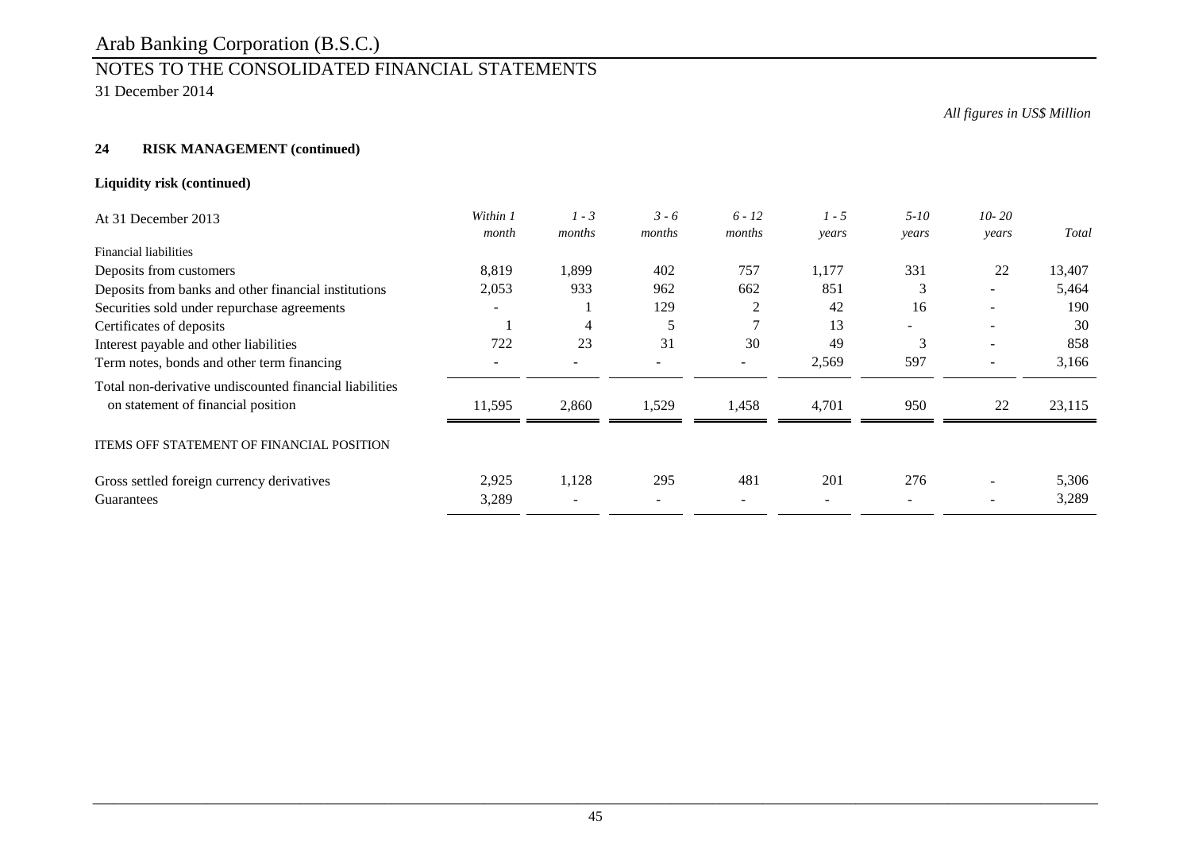31 December 2014

*All figures in US\$ Million*

### **24 RISK MANAGEMENT (continued)**

### **Liquidity risk (continued)**

| At 31 December 2013                                                                           | Within 1<br>month        | $1 - 3$<br>months | $3 - 6$<br>months | $6 - 12$<br>months | $1 - 5$<br>years | $5 - 10$<br>years | $10 - 20$<br>years       | Total  |
|-----------------------------------------------------------------------------------------------|--------------------------|-------------------|-------------------|--------------------|------------------|-------------------|--------------------------|--------|
| <b>Financial liabilities</b>                                                                  |                          |                   |                   |                    |                  |                   |                          |        |
| Deposits from customers                                                                       | 8,819                    | 1,899             | 402               | 757                | 1,177            | 331               | 22                       | 13,407 |
| Deposits from banks and other financial institutions                                          | 2,053                    | 933               | 962               | 662                | 851              | 3                 |                          | 5,464  |
| Securities sold under repurchase agreements                                                   |                          |                   | 129               | $\mathcal{D}$      | 42               | 16                |                          | 190    |
| Certificates of deposits                                                                      |                          | 4                 |                   |                    | 13               |                   |                          | 30     |
| Interest payable and other liabilities                                                        | 722                      | 23                | 31                | 30                 | 49               | 3                 |                          | 858    |
| Term notes, bonds and other term financing                                                    | $\overline{\phantom{a}}$ |                   |                   | -                  | 2,569            | 597               | $\overline{\phantom{a}}$ | 3,166  |
| Total non-derivative undiscounted financial liabilities<br>on statement of financial position | 11,595                   | 2,860             | 1,529             | 1,458              | 4,701            | 950               | 22                       | 23,115 |
| ITEMS OFF STATEMENT OF FINANCIAL POSITION                                                     |                          |                   |                   |                    |                  |                   |                          |        |
| Gross settled foreign currency derivatives                                                    | 2,925                    | 1,128             | 295               | 481                | 201              | 276               |                          | 5,306  |
| Guarantees                                                                                    | 3,289                    |                   |                   |                    |                  |                   |                          | 3,289  |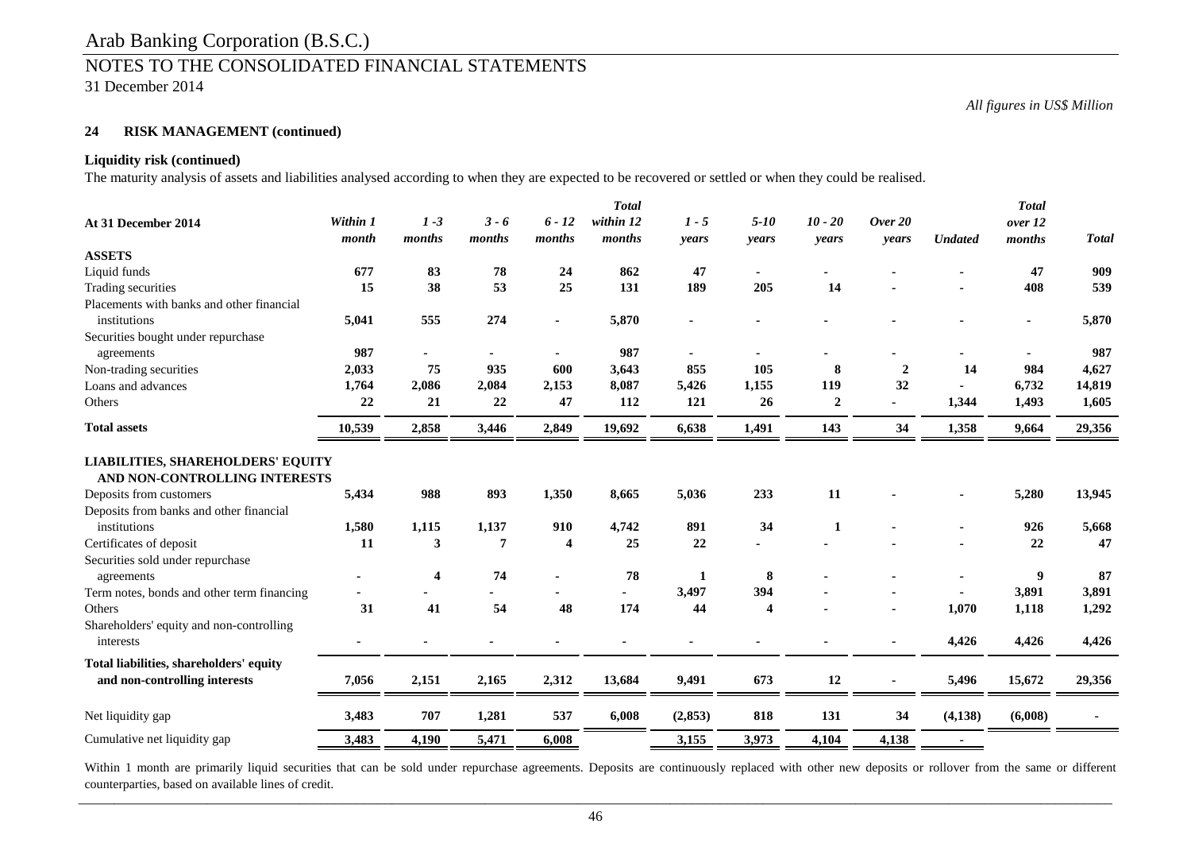31 December 2014

*All figures in US\$ Million*

#### **24 RISK MANAGEMENT (continued)**

### **Liquidity risk (continued)**

The maturity analysis of assets and liabilities analysed according to when they are expected to be recovered or settled or when they could be realised.

|                                            |          |                         |         |                  | <b>Total</b> |          |                  |                  |                |                | <b>Total</b> |              |
|--------------------------------------------|----------|-------------------------|---------|------------------|--------------|----------|------------------|------------------|----------------|----------------|--------------|--------------|
| At 31 December 2014                        | Within 1 | $1 - 3$                 | $3 - 6$ | $6 - 12$         | within 12    | $1 - 5$  | $5 - 10$         | $10 - 20$        | Over $20$      |                | over 12      |              |
|                                            | month    | months                  | months  | months           | months       | years    | years            | years            | years          | <b>Undated</b> | months       | <b>Total</b> |
| <b>ASSETS</b>                              |          |                         |         |                  |              |          |                  |                  |                |                |              |              |
| Liquid funds                               | 677      | 83                      | 78      | 24               | 862          | 47       |                  |                  |                |                | 47           | 909          |
| Trading securities                         | 15       | 38                      | 53      | 25               | 131          | 189      | 205              | 14               |                |                | 408          | 539          |
| Placements with banks and other financial  |          |                         |         |                  |              |          |                  |                  |                |                |              |              |
| institutions                               | 5,041    | 555                     | 274     | $\blacksquare$   | 5,870        |          |                  |                  |                |                |              | 5,870        |
| Securities bought under repurchase         |          |                         |         |                  |              |          |                  |                  |                |                |              |              |
| agreements                                 | 987      |                         |         |                  | 987          |          |                  |                  |                |                |              | 987          |
| Non-trading securities                     | 2,033    | 75                      | 935     | 600              | 3,643        | 855      | 105              | 8                | $\overline{2}$ | 14             | 984          | 4,627        |
| Loans and advances                         | 1,764    | 2,086                   | 2,084   | 2,153            | 8,087        | 5,426    | 1,155            | 119              | 32             |                | 6,732        | 14,819       |
| Others                                     | 22       | 21                      | 22      | 47               | 112          | 121      | 26               | $\boldsymbol{2}$ | $\blacksquare$ | 1,344          | 1,493        | 1,605        |
| <b>Total assets</b>                        | 10,539   | 2,858                   | 3,446   | 2,849            | 19,692       | 6,638    | 1,491            | 143              | 34             | 1,358          | 9,664        | 29,356       |
| <b>LIABILITIES, SHAREHOLDERS' EQUITY</b>   |          |                         |         |                  |              |          |                  |                  |                |                |              |              |
| AND NON-CONTROLLING INTERESTS              |          |                         |         |                  |              |          |                  |                  |                |                |              |              |
| Deposits from customers                    | 5,434    | 988                     | 893     | 1,350            | 8,665        | 5,036    | 233              | 11               |                |                | 5,280        | 13,945       |
| Deposits from banks and other financial    |          |                         |         |                  |              |          |                  |                  |                |                |              |              |
| institutions                               | 1,580    | 1,115                   | 1,137   | 910              | 4,742        | 891      | 34               | 1                |                |                | 926          | 5,668        |
| Certificates of deposit                    | 11       | 3                       | 7       | $\boldsymbol{4}$ | 25           | 22       |                  |                  |                |                | 22           | 47           |
| Securities sold under repurchase           |          |                         |         |                  |              |          |                  |                  |                |                |              |              |
| agreements                                 |          | $\overline{\mathbf{4}}$ | 74      |                  | 78           | 1        | 8                |                  |                |                | 9            | 87           |
| Term notes, bonds and other term financing |          |                         |         |                  | ۰.           | 3,497    | 394              |                  |                |                | 3,891        | 3,891        |
| Others                                     | 31       | 41                      | 54      | 48               | 174          | 44       | $\boldsymbol{4}$ |                  |                | 1,070          | 1,118        | 1,292        |
| Shareholders' equity and non-controlling   |          |                         |         |                  |              |          |                  |                  |                |                |              |              |
| interests                                  |          |                         |         |                  |              |          |                  |                  |                | 4,426          | 4,426        | 4,426        |
| Total liabilities, shareholders' equity    |          |                         |         |                  |              |          |                  |                  |                |                |              |              |
| and non-controlling interests              | 7,056    | 2,151                   | 2,165   | 2,312            | 13,684       | 9,491    | 673              | 12               |                | 5,496          | 15,672       | 29,356       |
| Net liquidity gap                          | 3,483    | 707                     | 1,281   | 537              | 6,008        | (2, 853) | 818              | 131              | 34             | (4, 138)       | (6,008)      |              |
| Cumulative net liquidity gap               | 3,483    | 4,190                   | 5,471   | 6,008            |              | 3,155    | 3,973            | 4,104            | 4,138          |                |              |              |
|                                            |          |                         |         |                  |              |          |                  |                  |                |                |              |              |

Within 1 month are primarily liquid securities that can be sold under repurchase agreements. Deposits are continuously replaced with other new deposits or rollover from the same or different counterparties, based on available lines of credit.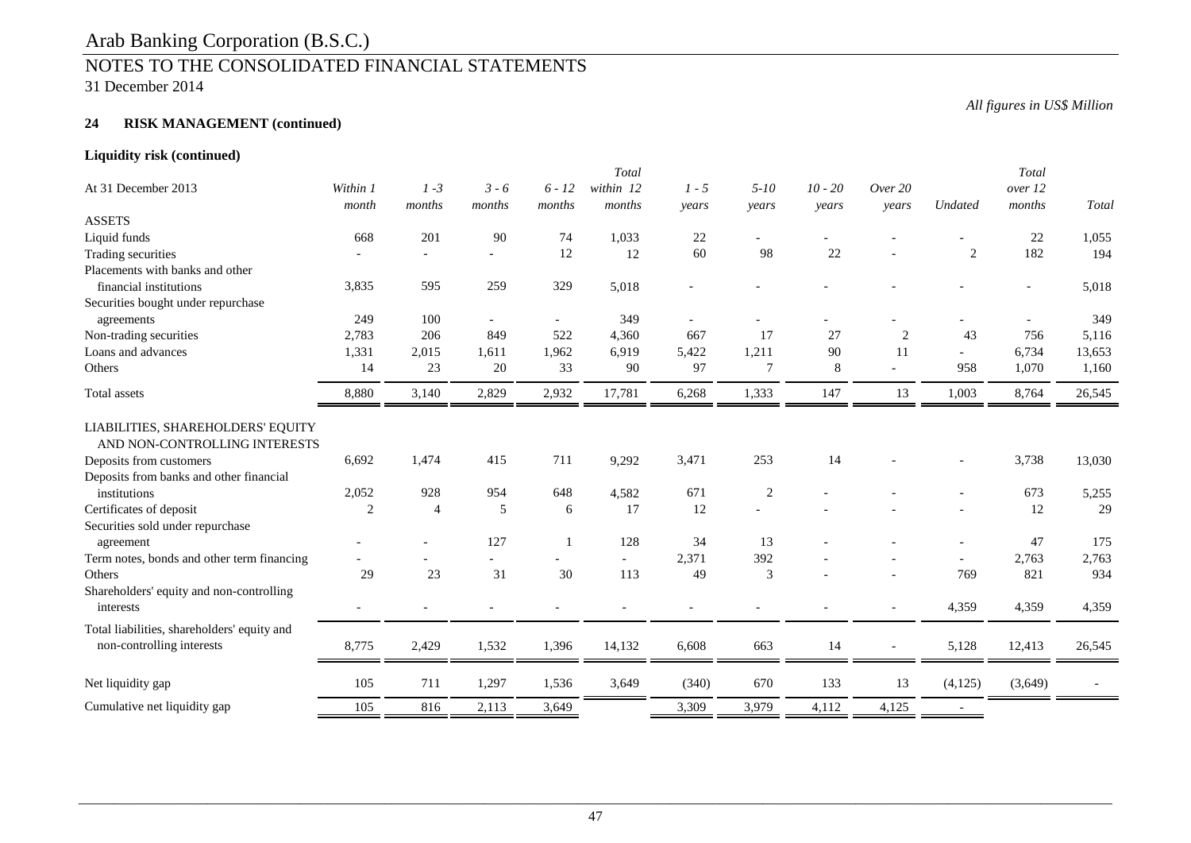31 December 2014

### **24 RISK MANAGEMENT (continued)**

*All figures in US\$ Million*

## **Liquidity risk (continued)**

|                                                                          |          |                |         |          | Total     |         |                |           |                          |                | Total   |        |
|--------------------------------------------------------------------------|----------|----------------|---------|----------|-----------|---------|----------------|-----------|--------------------------|----------------|---------|--------|
| At 31 December 2013                                                      | Within 1 | $1 - 3$        | $3 - 6$ | $6 - 12$ | within 12 | $1 - 5$ | $5 - 10$       | $10 - 20$ | Over $20$                |                | over 12 |        |
|                                                                          | month    | months         | months  | months   | months    | years   | years          | years     | years                    | <b>Undated</b> | months  | Total  |
| <b>ASSETS</b>                                                            |          |                |         |          |           |         |                |           |                          |                |         |        |
| Liquid funds                                                             | 668      | 201            | 90      | 74       | 1,033     | $22\,$  |                |           |                          |                | 22      | 1,055  |
| Trading securities                                                       |          |                |         | 12       | 12        | 60      | 98             | 22        |                          | $\overline{2}$ | 182     | 194    |
| Placements with banks and other                                          |          |                |         |          |           |         |                |           |                          |                |         |        |
| financial institutions                                                   | 3,835    | 595            | 259     | 329      | 5,018     |         |                |           |                          |                |         | 5,018  |
| Securities bought under repurchase                                       |          |                |         |          |           |         |                |           |                          |                |         |        |
| agreements                                                               | 249      | 100            |         |          | 349       |         |                |           |                          |                |         | 349    |
| Non-trading securities                                                   | 2,783    | 206            | 849     | 522      | 4.360     | 667     | 17             | 27        | 2                        | 43             | 756     | 5,116  |
| Loans and advances                                                       | 1,331    | 2,015          | 1.611   | 1,962    | 6.919     | 5,422   | 1.211          | 90        | 11                       |                | 6,734   | 13,653 |
| Others                                                                   | 14       | 23             | 20      | 33       | 90        | 97      | $\overline{7}$ | 8         | $\sim$                   | 958            | 1,070   | 1,160  |
| Total assets                                                             | 8,880    | 3,140          | 2,829   | 2,932    | 17,781    | 6,268   | 1,333          | 147       | 13                       | 1,003          | 8,764   | 26,545 |
| LIABILITIES, SHAREHOLDERS' EQUITY<br>AND NON-CONTROLLING INTERESTS       |          |                |         |          |           |         |                |           |                          |                |         |        |
| Deposits from customers                                                  | 6,692    | 1,474          | 415     | 711      | 9,292     | 3,471   | 253            | 14        |                          |                | 3,738   | 13,030 |
| Deposits from banks and other financial                                  |          |                |         |          |           |         |                |           |                          |                |         |        |
| institutions                                                             | 2,052    | 928            | 954     | 648      | 4,582     | 671     | 2              |           |                          |                | 673     | 5,255  |
| Certificates of deposit                                                  | 2        | $\overline{4}$ | 5       | 6        | 17        | 12      |                |           |                          |                | 12      | 29     |
| Securities sold under repurchase                                         |          |                |         |          |           |         |                |           |                          |                |         |        |
| agreement                                                                |          |                | 127     |          | 128       | 34      | 13             |           |                          |                | 47      | 175    |
| Term notes, bonds and other term financing                               |          |                |         |          | $\sim$    | 2,371   | 392            |           |                          |                | 2,763   | 2,763  |
| Others                                                                   | 29       | 23             | 31      | 30       | 113       | 49      | $\mathfrak{Z}$ |           |                          | 769            | 821     | 934    |
| Shareholders' equity and non-controlling                                 |          |                |         |          |           |         |                |           |                          |                |         |        |
| interests                                                                |          |                |         |          |           |         |                |           | $\overline{\phantom{a}}$ | 4,359          | 4,359   | 4,359  |
| Total liabilities, shareholders' equity and<br>non-controlling interests | 8,775    | 2,429          | 1,532   | 1,396    | 14,132    | 6,608   | 663            | 14        |                          | 5,128          | 12,413  | 26,545 |
| Net liquidity gap                                                        | 105      | 711            | 1,297   | 1,536    | 3,649     | (340)   | 670            | 133       | 13                       | (4, 125)       | (3,649) |        |
| Cumulative net liquidity gap                                             | 105      | 816            | 2.113   | 3.649    |           | 3,309   | 3.979          | 4.112     | 4,125                    |                |         |        |
|                                                                          |          |                |         |          |           |         |                |           |                          |                |         |        |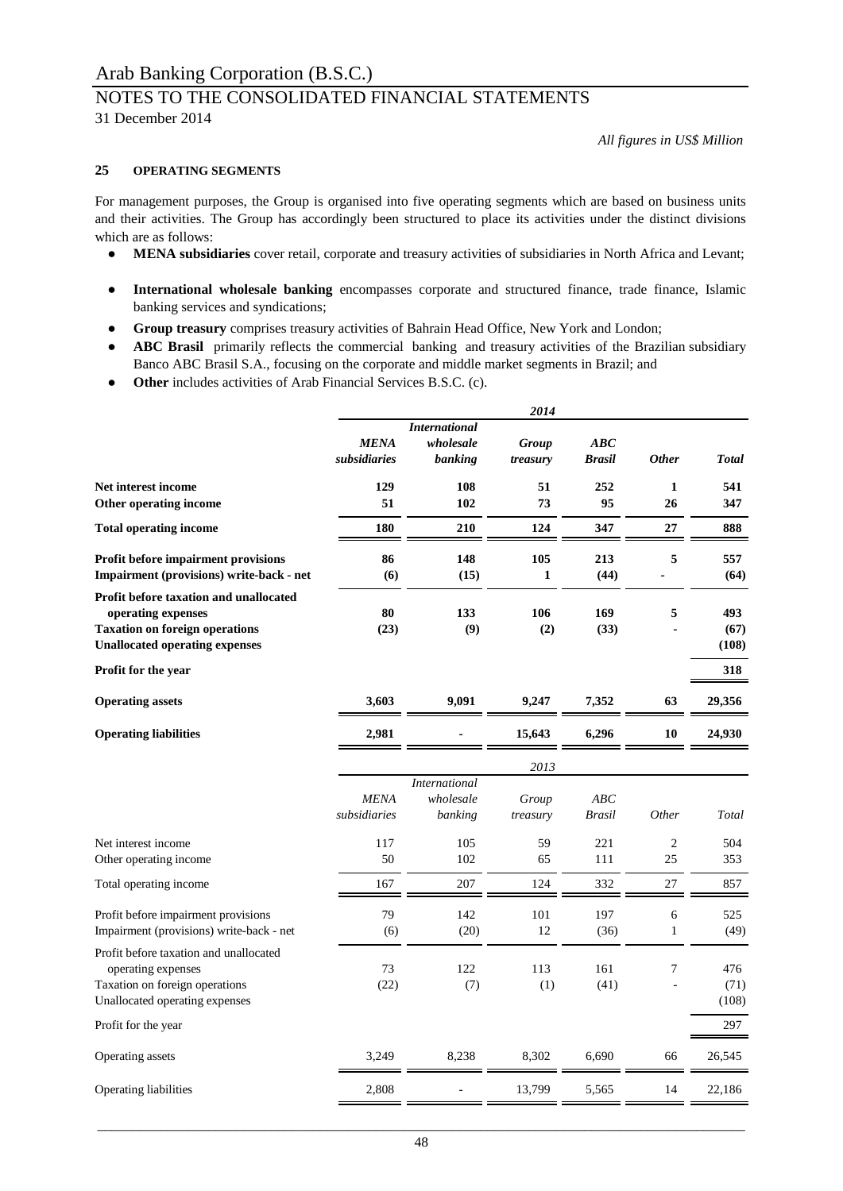# NOTES TO THE CONSOLIDATED FINANCIAL STATEMENTS

31 December 2014

*All figures in US\$ Million*

### **25 OPERATING SEGMENTS**

For management purposes, the Group is organised into five operating segments which are based on business units and their activities. The Group has accordingly been structured to place its activities under the distinct divisions which are as follows:

- **MENA subsidiaries** cover retail, corporate and treasury activities of subsidiaries in North Africa and Levant;
- $\bullet$ **International wholesale banking** encompasses corporate and structured finance, trade finance, Islamic banking services and syndications;
- $\bullet$ **Group treasury** comprises treasury activities of Bahrain Head Office, New York and London;
- **ABC Brasil** primarily reflects the commercial banking and treasury activities of the Brazilian subsidiary Banco ABC Brasil S.A., focusing on the corporate and middle market segments in Brazil; and
- **Other** includes activities of Arab Financial Services B.S.C. (c).

|                                                                                |              |                      | 2014         |               |                |               |
|--------------------------------------------------------------------------------|--------------|----------------------|--------------|---------------|----------------|---------------|
|                                                                                |              | <b>International</b> |              |               |                |               |
|                                                                                | <b>MENA</b>  | wholesale            | <b>Group</b> | ABC           |                |               |
|                                                                                | subsidiaries | banking              | treasury     | <b>Brasil</b> | <b>Other</b>   | <b>Total</b>  |
| Net interest income                                                            | 129          | 108                  | 51           | 252           | $\mathbf{1}$   | 541           |
| Other operating income                                                         | 51           | 102                  | 73           | 95            | 26             | 347           |
| <b>Total operating income</b>                                                  | 180          | 210                  | 124          | 347           | 27             | 888           |
| Profit before impairment provisions                                            | 86           | 148                  | 105          | 213           | 5              | 557           |
| Impairment (provisions) write-back - net                                       | (6)          | (15)                 | $\mathbf{1}$ | (44)          |                | (64)          |
| Profit before taxation and unallocated                                         |              |                      |              |               |                |               |
| operating expenses                                                             | 80           | 133                  | 106          | 169           | 5              | 493           |
| <b>Taxation on foreign operations</b><br><b>Unallocated operating expenses</b> | (23)         | (9)                  | (2)          | (33)          |                | (67)<br>(108) |
| Profit for the year                                                            |              |                      |              |               |                | 318           |
| <b>Operating assets</b>                                                        | 3,603        | 9,091                | 9,247        | 7,352         | 63             | 29,356        |
| <b>Operating liabilities</b>                                                   | 2,981        |                      | 15,643       | 6,296         | 10             | 24,930        |
|                                                                                |              |                      | 2013         |               |                |               |
|                                                                                |              | <b>International</b> |              |               |                |               |
|                                                                                | <b>MENA</b>  | wholesale            | Group        | ABC           |                |               |
|                                                                                | subsidiaries | banking              | treasury     | <b>Brasil</b> | Other          | Total         |
| Net interest income                                                            | 117          | 105                  | 59           | 221           | $\overline{2}$ | 504           |
| Other operating income                                                         | 50           | 102                  | 65           | 111           | 25             | 353           |
| Total operating income                                                         | 167          | 207                  | 124          | 332           | 27             | 857           |
| Profit before impairment provisions                                            | 79           | 142                  | 101          | 197           | 6              | 525           |
| Impairment (provisions) write-back - net                                       | (6)          | (20)                 | 12           | (36)          | $\mathbf{1}$   | (49)          |
| Profit before taxation and unallocated<br>operating expenses                   | 73           | 122                  | 113          | 161           | 7              | 476           |
| Taxation on foreign operations                                                 | (22)         | (7)                  | (1)          | (41)          |                | (71)          |
| Unallocated operating expenses                                                 |              |                      |              |               |                | (108)         |
| Profit for the year                                                            |              |                      |              |               |                | 297           |
| Operating assets                                                               | 3,249        | 8,238                | 8,302        | 6,690         | 66             | 26,545        |
| <b>Operating liabilities</b>                                                   | 2,808        |                      | 13,799       | 5,565         | 14             | 22,186        |
|                                                                                |              |                      |              |               |                |               |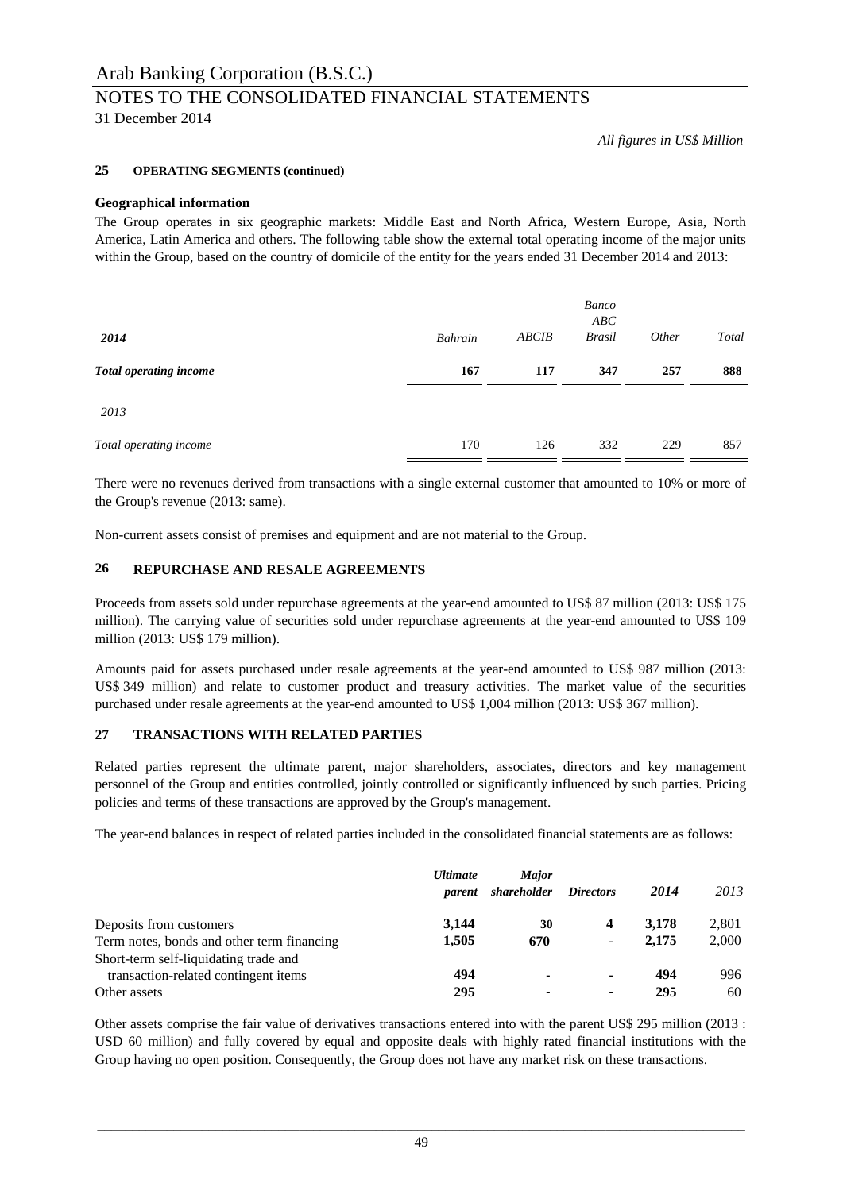## NOTES TO THE CONSOLIDATED FINANCIAL STATEMENTS

31 December 2014

*All figures in US\$ Million*

### **25 OPERATING SEGMENTS (continued)**

### **Geographical information**

The Group operates in six geographic markets: Middle East and North Africa, Western Europe, Asia, North America, Latin America and others. The following table show the external total operating income of the major units within the Group, based on the country of domicile of the entity for the years ended 31 December 2014 and 2013:

| 2014                          | Bahrain | <b>ABCIB</b> | Banco<br>ABC<br><b>Brasil</b> | Other | Total |
|-------------------------------|---------|--------------|-------------------------------|-------|-------|
| <b>Total operating income</b> | 167     | 117          | 347                           | 257   | 888   |
| 2013                          |         |              |                               |       |       |
| Total operating income        | 170     | 126          | 332                           | 229   | 857   |

There were no revenues derived from transactions with a single external customer that amounted to 10% or more of the Group's revenue (2013: same).

Non-current assets consist of premises and equipment and are not material to the Group.

### **26 REPURCHASE AND RESALE AGREEMENTS**

Proceeds from assets sold under repurchase agreements at the year-end amounted to US\$ 87 million (2013: US\$ 175 million). The carrying value of securities sold under repurchase agreements at the year-end amounted to US\$ 109 million (2013: US\$ 179 million).

Amounts paid for assets purchased under resale agreements at the year-end amounted to US\$ 987 million (2013: US\$ 349 million) and relate to customer product and treasury activities. The market value of the securities purchased under resale agreements at the year-end amounted to US\$ 1,004 million (2013: US\$ 367 million).

#### **27 TRANSACTIONS WITH RELATED PARTIES**

Related parties represent the ultimate parent, major shareholders, associates, directors and key management personnel of the Group and entities controlled, jointly controlled or significantly influenced by such parties. Pricing policies and terms of these transactions are approved by the Group's management.

The year-end balances in respect of related parties included in the consolidated financial statements are as follows:

|                                            | <i><b>Ultimate</b></i><br>parent | <b>Major</b><br>shareholder | <b>Directors</b> | 2014  | 2013  |
|--------------------------------------------|----------------------------------|-----------------------------|------------------|-------|-------|
| Deposits from customers                    | 3.144                            | 30                          | 4                | 3,178 | 2,801 |
| Term notes, bonds and other term financing | 1.505                            | 670                         | ٠                | 2.175 | 2,000 |
| Short-term self-liquidating trade and      |                                  |                             |                  |       |       |
| transaction-related contingent items       | 494                              |                             | ٠                | 494   | 996   |
| Other assets                               | 295                              | ۰                           |                  | 295   | 60    |

Other assets comprise the fair value of derivatives transactions entered into with the parent US\$ 295 million (2013 : USD 60 million) and fully covered by equal and opposite deals with highly rated financial institutions with the Group having no open position. Consequently, the Group does not have any market risk on these transactions.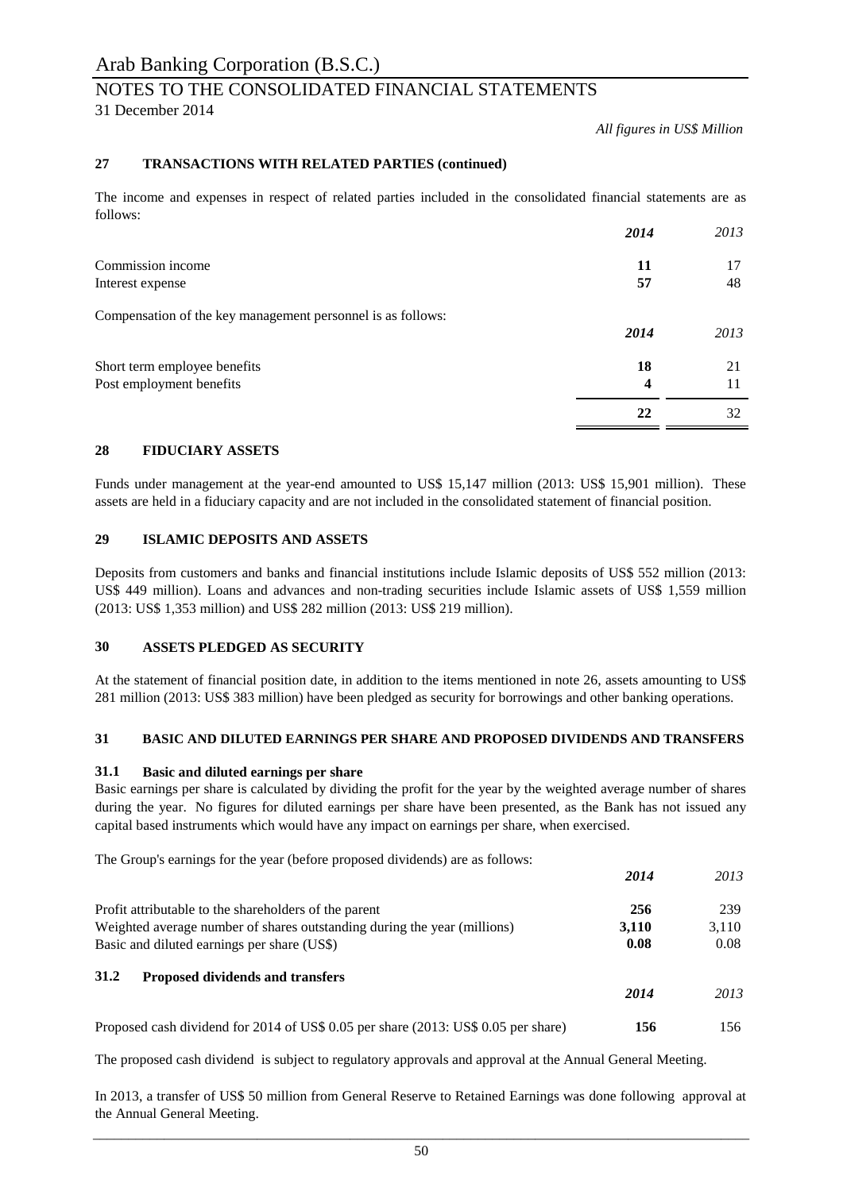31 December 2014

### *All figures in US\$ Million*

#### **27 TRANSACTIONS WITH RELATED PARTIES (continued)**

The income and expenses in respect of related parties included in the consolidated financial statements are as follows:

|                                                             | 2014 | 2013 |
|-------------------------------------------------------------|------|------|
| Commission income                                           | 11   |      |
| Interest expense                                            | 57   | 48   |
| Compensation of the key management personnel is as follows: |      |      |
|                                                             | 2014 | 2013 |
| Short term employee benefits                                | 18   | 21   |
| Post employment benefits                                    | 4    | 11   |
|                                                             | 22   | 32   |

#### **28 FIDUCIARY ASSETS**

Funds under management at the year-end amounted to US\$ 15,147 million (2013: US\$ 15,901 million). These assets are held in a fiduciary capacity and are not included in the consolidated statement of financial position.

#### **29 ISLAMIC DEPOSITS AND ASSETS**

Deposits from customers and banks and financial institutions include Islamic deposits of US\$ 552 million (2013: US\$ 449 million). Loans and advances and non-trading securities include Islamic assets of US\$ 1,559 million (2013: US\$ 1,353 million) and US\$ 282 million (2013: US\$ 219 million).

#### **30 ASSETS PLEDGED AS SECURITY**

At the statement of financial position date, in addition to the items mentioned in note 26, assets amounting to US\$ 281 million (2013: US\$ 383 million) have been pledged as security for borrowings and other banking operations.

#### **31 BASIC AND DILUTED EARNINGS PER SHARE AND PROPOSED DIVIDENDS AND TRANSFERS**

### **31.1 Basic and diluted earnings per share**

Basic earnings per share is calculated by dividing the profit for the year by the weighted average number of shares during the year. No figures for diluted earnings per share have been presented, as the Bank has not issued any capital based instruments which would have any impact on earnings per share, when exercised.

The Group's earnings for the year (before proposed dividends) are as follows:

|                                                                                    | 2014  | 2013  |
|------------------------------------------------------------------------------------|-------|-------|
| Profit attributable to the shareholders of the parent                              | 256   | 239   |
| Weighted average number of shares outstanding during the year (millions)           | 3,110 | 3,110 |
| Basic and diluted earnings per share (US\$)                                        | 0.08  | 0.08  |
| 31.2<br><b>Proposed dividends and transfers</b>                                    |       |       |
|                                                                                    | 2014  | 2013  |
| Proposed cash dividend for 2014 of US\$ 0.05 per share (2013: US\$ 0.05 per share) | 156   | 156   |

The proposed cash dividend is subject to regulatory approvals and approval at the Annual General Meeting.

In 2013, a transfer of US\$ 50 million from General Reserve to Retained Earnings was done following approval at the Annual General Meeting.